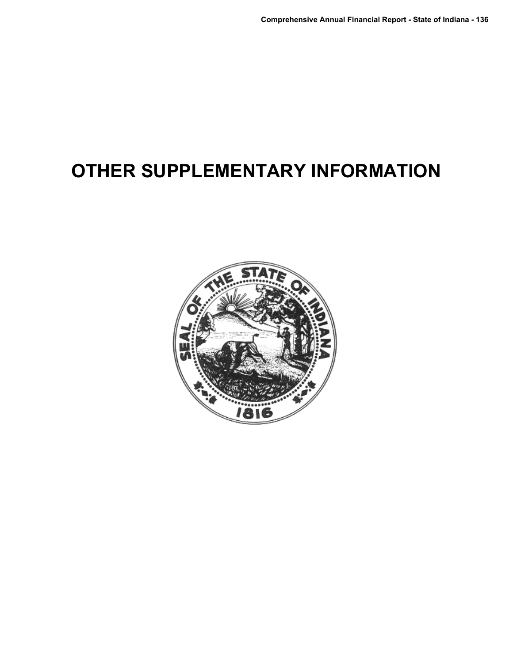# **OTHER SUPPLEMENTARY INFORMATION**

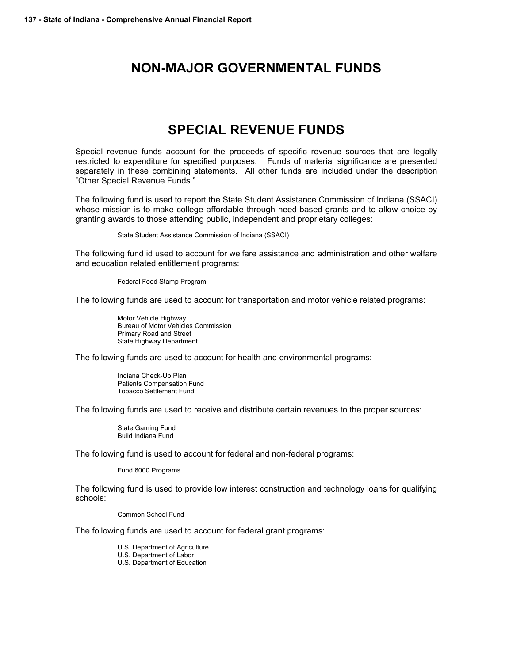# **NON-MAJOR GOVERNMENTAL FUNDS**

# **SPECIAL REVENUE FUNDS**

Special revenue funds account for the proceeds of specific revenue sources that are legally restricted to expenditure for specified purposes. Funds of material significance are presented separately in these combining statements. All other funds are included under the description "Other Special Revenue Funds."

The following fund is used to report the State Student Assistance Commission of Indiana (SSACI) whose mission is to make college affordable through need-based grants and to allow choice by granting awards to those attending public, independent and proprietary colleges:

State Student Assistance Commission of Indiana (SSACI)

The following fund id used to account for welfare assistance and administration and other welfare and education related entitlement programs:

Federal Food Stamp Program

The following funds are used to account for transportation and motor vehicle related programs:

Motor Vehicle Highway Bureau of Motor Vehicles Commission Primary Road and Street State Highway Department

The following funds are used to account for health and environmental programs:

Indiana Check-Up Plan Patients Compensation Fund Tobacco Settlement Fund

The following funds are used to receive and distribute certain revenues to the proper sources:

State Gaming Fund Build Indiana Fund

The following fund is used to account for federal and non-federal programs:

Fund 6000 Programs

The following fund is used to provide low interest construction and technology loans for qualifying schools:

Common School Fund

The following funds are used to account for federal grant programs:

- U.S. Department of Agriculture
- U.S. Department of Labor
- U.S. Department of Education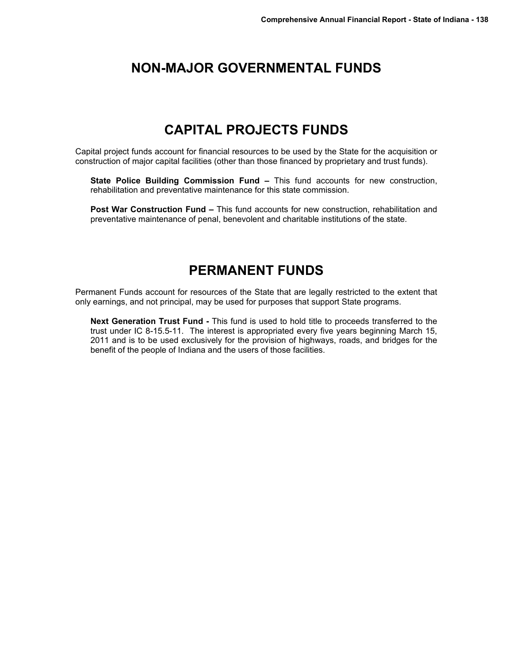### **NON-MAJOR GOVERNMENTAL FUNDS**

## **CAPITAL PROJECTS FUNDS**

Capital project funds account for financial resources to be used by the State for the acquisition or construction of major capital facilities (other than those financed by proprietary and trust funds).

**State Police Building Commission Fund –** This fund accounts for new construction, rehabilitation and preventative maintenance for this state commission.

**Post War Construction Fund –** This fund accounts for new construction, rehabilitation and preventative maintenance of penal, benevolent and charitable institutions of the state.

### **PERMANENT FUNDS**

Permanent Funds account for resources of the State that are legally restricted to the extent that only earnings, and not principal, may be used for purposes that support State programs.

**Next Generation Trust Fund -** This fund is used to hold title to proceeds transferred to the trust under IC 8-15.5-11. The interest is appropriated every five years beginning March 15, 2011 and is to be used exclusively for the provision of highways, roads, and bridges for the benefit of the people of Indiana and the users of those facilities.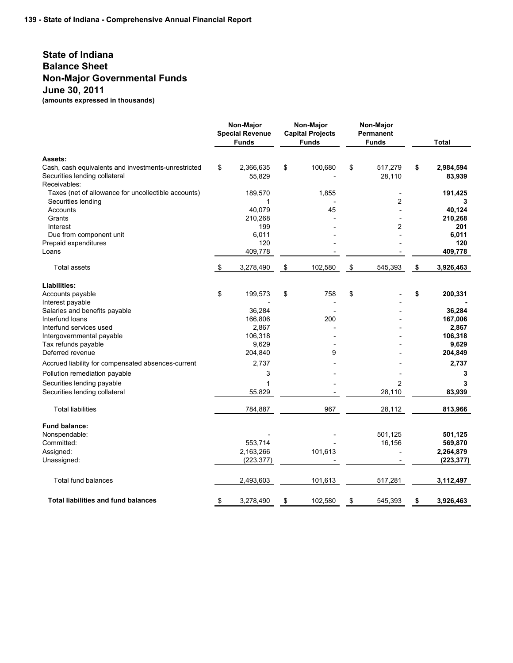#### **State of Indiana Balance Sheet Non-Major Governmental Funds June 30, 2011 (amounts expressed in thousands)**

|                                                     |     | Non-Major<br><b>Special Revenue</b><br><b>Funds</b> | Non-Major<br><b>Capital Projects</b><br><b>Funds</b> |         | Non-Major<br>Permanent<br><b>Funds</b> |                |    | <b>Total</b> |
|-----------------------------------------------------|-----|-----------------------------------------------------|------------------------------------------------------|---------|----------------------------------------|----------------|----|--------------|
| <b>Assets:</b>                                      |     |                                                     |                                                      |         |                                        |                |    |              |
| Cash, cash equivalents and investments-unrestricted | \$  | 2,366,635                                           | \$                                                   | 100,680 | \$                                     | 517,279        | \$ | 2,984,594    |
| Securities lending collateral                       |     | 55,829                                              |                                                      |         |                                        | 28,110         |    | 83,939       |
| Receivables:                                        |     |                                                     |                                                      |         |                                        |                |    |              |
| Taxes (net of allowance for uncollectible accounts) |     | 189,570                                             |                                                      | 1,855   |                                        |                |    | 191,425      |
| Securities lending                                  |     | 1                                                   |                                                      |         |                                        | 2              |    | 3            |
| Accounts                                            |     | 40,079                                              |                                                      | 45      |                                        |                |    | 40,124       |
| Grants                                              |     | 210,268                                             |                                                      |         |                                        |                |    | 210,268      |
| Interest                                            |     | 199                                                 |                                                      |         |                                        | 2              |    | 201          |
| Due from component unit                             |     | 6,011                                               |                                                      |         |                                        |                |    | 6,011        |
| Prepaid expenditures                                |     | 120                                                 |                                                      |         |                                        |                |    | 120          |
| Loans                                               |     | 409,778                                             |                                                      |         |                                        |                |    | 409,778      |
| <b>Total assets</b>                                 | -\$ | 3,278,490                                           | \$                                                   | 102,580 | \$                                     | 545,393        | \$ | 3,926,463    |
| Liabilities:                                        |     |                                                     |                                                      |         |                                        |                |    |              |
| Accounts payable                                    | \$  | 199,573                                             | \$                                                   | 758     | \$                                     |                | \$ | 200,331      |
| Interest payable                                    |     |                                                     |                                                      |         |                                        |                |    |              |
| Salaries and benefits payable                       |     | 36,284                                              |                                                      |         |                                        |                |    | 36,284       |
| Interfund loans                                     |     | 166,806                                             |                                                      | 200     |                                        |                |    | 167,006      |
| Interfund services used                             |     | 2,867                                               |                                                      |         |                                        |                |    | 2,867        |
| Intergovernmental payable                           |     | 106,318                                             |                                                      |         |                                        |                |    | 106,318      |
| Tax refunds payable                                 |     | 9,629                                               |                                                      |         |                                        |                |    | 9,629        |
| Deferred revenue                                    |     | 204,840                                             |                                                      | 9       |                                        |                |    | 204,849      |
| Accrued liability for compensated absences-current  |     | 2,737                                               |                                                      |         |                                        |                |    | 2,737        |
| Pollution remediation payable                       |     | 3                                                   |                                                      |         |                                        |                |    | 3            |
| Securities lending payable                          |     | $\mathbf{1}$                                        |                                                      |         |                                        | $\overline{c}$ |    | 3            |
| Securities lending collateral                       |     | 55,829                                              |                                                      |         |                                        | 28,110         |    | 83,939       |
| <b>Total liabilities</b>                            |     | 784,887                                             |                                                      | 967     |                                        | 28,112         |    | 813,966      |
| <b>Fund balance:</b>                                |     |                                                     |                                                      |         |                                        |                |    |              |
| Nonspendable:                                       |     |                                                     |                                                      |         |                                        | 501,125        |    | 501,125      |
| Committed:                                          |     | 553,714                                             |                                                      |         |                                        | 16,156         |    | 569,870      |
| Assigned:                                           |     | 2,163,266                                           |                                                      | 101,613 |                                        |                |    | 2,264,879    |
| Unassigned:                                         |     | (223, 377)                                          |                                                      |         |                                        |                |    | (223, 377)   |
| <b>Total fund balances</b>                          |     | 2,493,603                                           |                                                      | 101,613 |                                        | 517,281        |    | 3,112,497    |
| <b>Total liabilities and fund balances</b>          | \$  | 3,278,490                                           | \$                                                   | 102,580 | \$                                     | 545,393        | S  | 3,926,463    |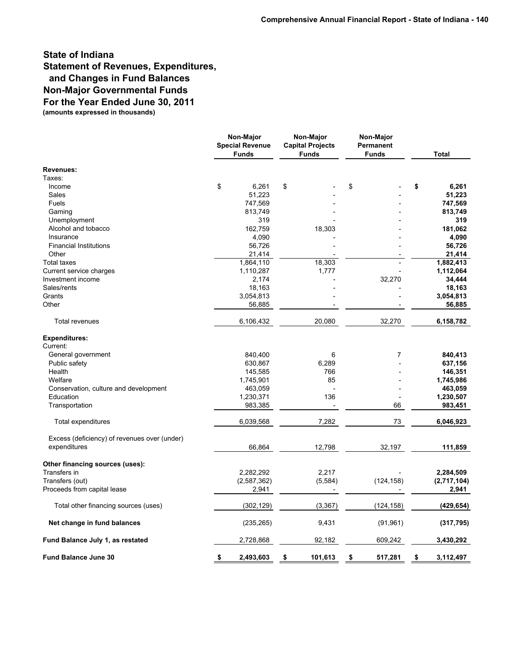#### **State of Indiana Statement of Revenues, Expenditures, and Changes in Fund Balances Non-Major Governmental Funds For the Year Ended June 30, 2011 (amounts expressed in thousands)**

**Non-Major Special Revenue Funds Non-Major Capital Projects Funds Non-Major Permanent Funds Total Revenues:** Taxes: Income \$ 6,261 \$ - \$ - **\$ 6,261** Sales 51,223 **51,223** 51,223 51,223 Fuels 747,569 - - **747,569** Gaming **813,749 - 813,749 - 813,749 - 813,749** - 813,749 - 813,749 - 813,749 Unemployment 319 - - **319** Alcohol and tobacco 162,759 18,303 - **181,062** Insurance 4,090 - - **4,090** Financial Institutions **56,726**<br>
Other **56,726**<br>
21,414 21,414 - 21,414 21,414 Other **21,414** - 21,414 - 21,414 - 21,414 - 21,414 - 21,414 - 21,414 - 21,414 - 21,414 - 21,414 - 21,414 - 21,414 - 21,414 - 21,414 - 21,414 - 21,414 - 21,414 - 21,414 - 21,414 - 21,414 - 21,414 - 21,414 - 21,414 - 21,414 Total taxes 1,864,110 18,303 - **1,882,413** Current service charges **1,112,064**<br>
Investment income **1,112,064**<br>
2,174 - 32,270 **34,444**<br>
2,174 - 32,270 **34,444** Investment income **34,444**<br>
Sales/rents **32,270** 34,444<br>
Sales/rents 18.163 Sales/rents 18,163 - - **18,163** Grants 3,054,813 - - **3,054,813** Other 56,885 - - **56,885** Total revenues 6,106,432 20,080 32,270 **6,158,782 Expenditures:** Current: General government 1990 and the state of the state of the state of the state of the state of the state of the state of the state of the state of the state of the state of the state of the state of the state of the state of Public safety 630,867 6,289 - **637,156** Health 145,585 766 - **146,351** Welfare 1,745,901 85 - **1,745,986** Conservation, culture and development 463,059 - - **463,059** Education 1,230,371 136 - **1,230,507** Transportation 983,385 - 66 **983,451** Total expenditures 6,039,568 7,282 73 **6,046,923** Excess (deficiency) of revenues over (under) expenditures 66,864 12,798 32,197 **111,859 Other financing sources (uses):** Transfers in 2,282,292 2,217 - **2,284,509** Transfers (out) (2,587,362) (5,584) (124,158) **(2,717,104)** Proceeds from capital lease 2,941 - 2,941 - 2,941 - 2,941 - 2,941 - 2,941 - 2,941 - 2,941 - 2,941 - 2,941 - 2,941 - 2,941 - 2,941 - 2,941 - 2,941 - 2,941 - 2,941 - 2,941 - 2,941 - 2,941 - 2,941 - 2,941 - 2,941 - 2,941 - 2, Total other financing sources (uses) (302,129) (3,367) (124,158) **(429,654) Net change in fund balances** (235,265) 9,431 (91,961) **(317,795) Fund Balance July 1, as restated** 2,728,868 92,182 609,242 **3,430,292 Fund Balance June 30 \$ 2,493,603 \$ 101,613 \$ 517,281 \$ 3,112,497**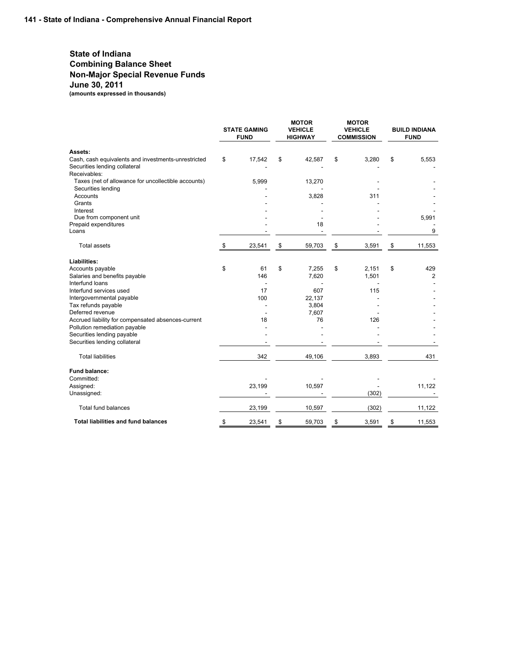#### **State of Indiana Combining Balance Sheet Non-Major Special Revenue Funds June 30, 2011 (amounts expressed in thousands)**

|                                                      |    | <b>STATE GAMING</b><br><b>FUND</b> |    | <b>MOTOR</b><br><b>VEHICLE</b><br><b>HIGHWAY</b> |    | <b>MOTOR</b><br><b>VEHICLE</b><br><b>COMMISSION</b> |    | <b>BUILD INDIANA</b><br><b>FUND</b> |  |
|------------------------------------------------------|----|------------------------------------|----|--------------------------------------------------|----|-----------------------------------------------------|----|-------------------------------------|--|
| Assets:                                              |    |                                    |    |                                                  |    |                                                     |    |                                     |  |
| Cash, cash equivalents and investments-unrestricted  | \$ | 17,542                             | \$ | 42,587                                           | \$ | 3,280                                               | \$ | 5,553                               |  |
| Securities lending collateral<br>Receivables:        |    |                                    |    |                                                  |    |                                                     |    |                                     |  |
| Taxes (net of allowance for uncollectible accounts)  |    | 5,999                              |    | 13,270                                           |    |                                                     |    |                                     |  |
| Securities lending                                   |    |                                    |    |                                                  |    |                                                     |    |                                     |  |
| Accounts                                             |    |                                    |    | 3,828                                            |    | 311                                                 |    |                                     |  |
| Grants                                               |    |                                    |    |                                                  |    |                                                     |    |                                     |  |
| Interest                                             |    |                                    |    |                                                  |    |                                                     |    |                                     |  |
| Due from component unit                              |    |                                    |    |                                                  |    |                                                     |    | 5,991                               |  |
| Prepaid expenditures<br>Loans                        |    |                                    |    | 18                                               |    |                                                     |    | 9                                   |  |
|                                                      |    |                                    |    |                                                  |    |                                                     |    |                                     |  |
| <b>Total assets</b>                                  | \$ | 23,541                             | \$ | 59,703                                           | \$ | 3,591                                               | \$ | 11,553                              |  |
| Liabilities:                                         |    |                                    |    |                                                  |    |                                                     |    |                                     |  |
| Accounts payable                                     | \$ | 61                                 | \$ | 7,255                                            | \$ | 2,151                                               | \$ | 429                                 |  |
| Salaries and benefits payable                        |    | 146                                |    | 7,620                                            |    | 1,501                                               |    | 2                                   |  |
| Interfund loans                                      |    |                                    |    |                                                  |    |                                                     |    |                                     |  |
| Interfund services used<br>Intergovernmental payable |    | 17<br>100                          |    | 607<br>22,137                                    |    | 115                                                 |    |                                     |  |
| Tax refunds payable                                  |    |                                    |    | 3,804                                            |    |                                                     |    |                                     |  |
| Deferred revenue                                     |    |                                    |    | 7,607                                            |    |                                                     |    |                                     |  |
| Accrued liability for compensated absences-current   |    | 18                                 |    | 76                                               |    | 126                                                 |    |                                     |  |
| Pollution remediation payable                        |    |                                    |    |                                                  |    |                                                     |    |                                     |  |
| Securities lending payable                           |    |                                    |    |                                                  |    |                                                     |    |                                     |  |
| Securities lending collateral                        |    |                                    |    |                                                  |    |                                                     |    |                                     |  |
| <b>Total liabilities</b>                             |    | 342                                |    | 49,106                                           |    | 3,893                                               |    | 431                                 |  |
| <b>Fund balance:</b>                                 |    |                                    |    |                                                  |    |                                                     |    |                                     |  |
| Committed:                                           |    |                                    |    |                                                  |    |                                                     |    |                                     |  |
| Assigned:                                            |    | 23,199                             |    | 10,597                                           |    |                                                     |    | 11,122                              |  |
| Unassigned:                                          |    |                                    |    |                                                  |    | (302)                                               |    |                                     |  |
| <b>Total fund balances</b>                           |    | 23,199                             |    | 10,597                                           |    | (302)                                               |    | 11,122                              |  |
| <b>Total liabilities and fund balances</b>           | \$ | 23,541                             | \$ | 59,703                                           | \$ | 3,591                                               | \$ | 11,553                              |  |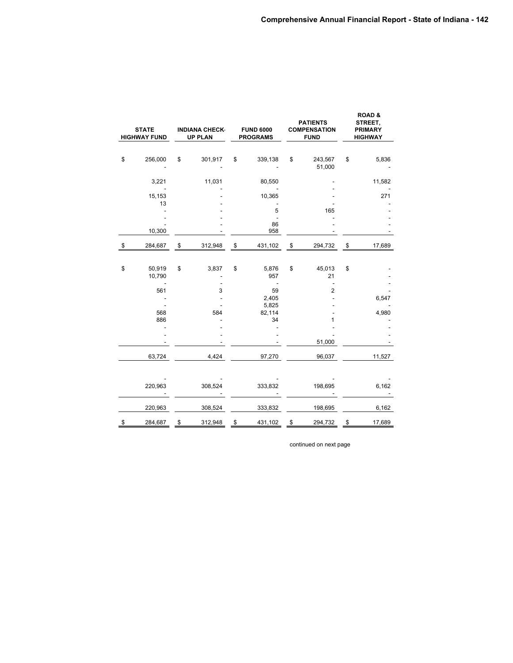| <b>STATE</b><br><b>HIGHWAY FUND</b> | <b>INDIANA CHECK-</b><br><b>UP PLAN</b> | <b>FUND 6000</b><br><b>PROGRAMS</b> |                             | <b>PATIENTS</b><br><b>COMPENSATION</b><br><b>FUND</b> | <b>ROAD&amp;</b><br>STREET,<br><b>PRIMARY</b><br><b>HIGHWAY</b> |
|-------------------------------------|-----------------------------------------|-------------------------------------|-----------------------------|-------------------------------------------------------|-----------------------------------------------------------------|
|                                     |                                         |                                     |                             |                                                       |                                                                 |
| \$<br>256,000                       | \$<br>301,917                           | \$                                  | 339,138                     | \$<br>243,567<br>51,000                               | \$<br>5,836                                                     |
| 3,221                               | 11,031                                  |                                     | 80,550                      |                                                       | 11,582                                                          |
| 15,153                              |                                         |                                     | 10,365                      |                                                       | 271                                                             |
| 13                                  |                                         |                                     |                             |                                                       |                                                                 |
|                                     |                                         |                                     | 5                           | 165                                                   |                                                                 |
| 10,300                              |                                         |                                     | $\overline{a}$<br>86<br>958 |                                                       |                                                                 |
| \$<br>284,687                       | \$<br>312,948                           | \$                                  | 431,102                     | \$<br>294,732                                         | \$<br>17,689                                                    |
|                                     |                                         |                                     |                             |                                                       |                                                                 |
| \$<br>50,919<br>10,790              | \$<br>3,837                             | \$                                  | 5,876<br>957                | \$<br>45,013<br>21                                    | \$                                                              |
| 561                                 | $\overline{a}$<br>3                     |                                     | $\overline{a}$<br>59        | 2                                                     |                                                                 |
|                                     | $\overline{a}$                          |                                     | 2,405                       |                                                       | 6,547                                                           |
|                                     |                                         |                                     | 5,825                       |                                                       |                                                                 |
| 568                                 | 584                                     |                                     | 82,114                      |                                                       | 4,980                                                           |
| 886<br>$\overline{a}$               |                                         |                                     | 34                          | 1                                                     |                                                                 |
|                                     |                                         |                                     |                             |                                                       |                                                                 |
|                                     |                                         |                                     |                             | 51,000                                                |                                                                 |
| 63,724                              | 4,424                                   |                                     | 97,270                      | 96,037                                                | 11,527                                                          |
|                                     |                                         |                                     |                             |                                                       |                                                                 |
| 220,963                             | 308,524                                 |                                     | 333,832                     | 198,695                                               | 6,162                                                           |
|                                     |                                         |                                     |                             |                                                       |                                                                 |
| 220,963                             | 308,524                                 |                                     | 333,832                     | 198,695                                               | 6,162                                                           |
| \$<br>284,687                       | \$<br>312,948                           | \$                                  | 431,102                     | \$<br>294,732                                         | \$<br>17,689                                                    |

continued on next page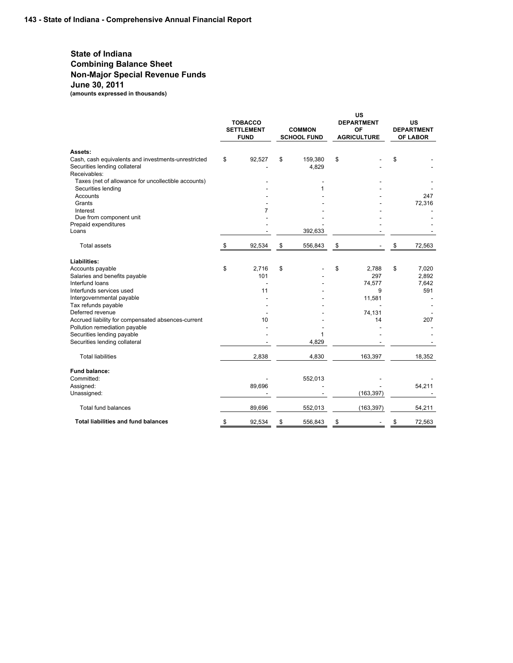#### **State of Indiana Combining Balance Sheet Non-Major Special Revenue Funds June 30, 2011 (amounts expressed in thousands)**

|                                                     | <b>TOBACCO</b><br><b>SETTLEMENT</b><br><b>FUND</b> |        | <b>COMMON</b><br><b>SCHOOL FUND</b> |         | US<br><b>DEPARTMENT</b><br>OF<br><b>AGRICULTURE</b> |            | US<br><b>DEPARTMENT</b><br><b>OF LABOR</b> |        |
|-----------------------------------------------------|----------------------------------------------------|--------|-------------------------------------|---------|-----------------------------------------------------|------------|--------------------------------------------|--------|
| Assets:                                             |                                                    |        |                                     |         |                                                     |            |                                            |        |
| Cash, cash equivalents and investments-unrestricted | \$                                                 | 92,527 | \$                                  | 159,380 | \$                                                  |            | \$                                         |        |
| Securities lending collateral                       |                                                    |        |                                     | 4,829   |                                                     |            |                                            |        |
| Receivables:                                        |                                                    |        |                                     |         |                                                     |            |                                            |        |
| Taxes (net of allowance for uncollectible accounts) |                                                    |        |                                     |         |                                                     |            |                                            |        |
| Securities lending                                  |                                                    |        |                                     | 1       |                                                     |            |                                            |        |
| Accounts                                            |                                                    |        |                                     |         |                                                     |            |                                            | 247    |
| Grants                                              |                                                    |        |                                     |         |                                                     |            |                                            | 72,316 |
| Interest                                            |                                                    | 7      |                                     |         |                                                     |            |                                            |        |
| Due from component unit                             |                                                    |        |                                     |         |                                                     |            |                                            |        |
| Prepaid expenditures                                |                                                    |        |                                     |         |                                                     |            |                                            |        |
| Loans                                               |                                                    |        |                                     | 392,633 |                                                     |            |                                            |        |
| <b>Total assets</b>                                 | \$                                                 | 92,534 | \$                                  | 556,843 | \$                                                  |            | \$                                         | 72,563 |
| Liabilities:                                        |                                                    |        |                                     |         |                                                     |            |                                            |        |
| Accounts payable                                    | \$                                                 | 2,716  | \$                                  |         | \$                                                  | 2,788      | \$                                         | 7,020  |
| Salaries and benefits payable                       |                                                    | 101    |                                     |         |                                                     | 297        |                                            | 2,892  |
| Interfund loans                                     |                                                    |        |                                     |         |                                                     | 74,577     |                                            | 7,642  |
| Interfunds services used                            |                                                    | 11     |                                     |         |                                                     | 9          |                                            | 591    |
| Intergovernmental payable                           |                                                    |        |                                     |         |                                                     | 11,581     |                                            |        |
| Tax refunds payable                                 |                                                    |        |                                     |         |                                                     |            |                                            |        |
| Deferred revenue                                    |                                                    |        |                                     |         |                                                     | 74,131     |                                            |        |
| Accrued liability for compensated absences-current  |                                                    | 10     |                                     |         |                                                     | 14         |                                            | 207    |
| Pollution remediation payable                       |                                                    |        |                                     |         |                                                     |            |                                            |        |
| Securities lending payable                          |                                                    |        |                                     | 1       |                                                     |            |                                            |        |
| Securities lending collateral                       |                                                    |        |                                     | 4,829   |                                                     |            |                                            |        |
| <b>Total liabilities</b>                            |                                                    | 2,838  |                                     | 4,830   |                                                     | 163,397    |                                            | 18,352 |
| Fund balance:                                       |                                                    |        |                                     |         |                                                     |            |                                            |        |
| Committed:                                          |                                                    |        |                                     | 552,013 |                                                     |            |                                            |        |
| Assigned:                                           |                                                    | 89,696 |                                     |         |                                                     |            |                                            | 54,211 |
| Unassigned:                                         |                                                    |        |                                     |         |                                                     | (163, 397) |                                            |        |
| Total fund balances                                 |                                                    | 89,696 |                                     | 552,013 |                                                     | (163, 397) |                                            | 54,211 |
| <b>Total liabilities and fund balances</b>          | \$                                                 | 92,534 | \$                                  | 556.843 | \$                                                  |            | \$                                         | 72,563 |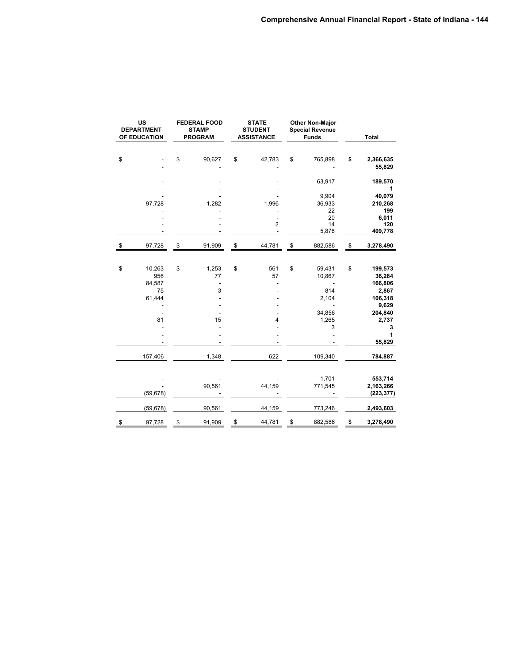| US<br><b>DEPARTMENT</b><br>OF EDUCATION | <b>FEDERAL FOOD</b><br><b>STAMP</b><br><b>PROGRAM</b> | <b>STATE</b><br><b>STUDENT</b><br><b>ASSISTANCE</b> | <b>Other Non-Major</b><br><b>Special Revenue</b><br><b>Funds</b> | <b>Total</b>                |
|-----------------------------------------|-------------------------------------------------------|-----------------------------------------------------|------------------------------------------------------------------|-----------------------------|
|                                         |                                                       |                                                     |                                                                  |                             |
| \$                                      | \$<br>90,627                                          | \$<br>42,783                                        | \$<br>765,898                                                    | \$<br>2,366,635<br>55,829   |
|                                         |                                                       |                                                     | 63,917                                                           | 189,570<br>1                |
| 97,728                                  | 1,282                                                 | 1,996                                               | 9,904<br>36,933<br>22                                            | 40,079<br>210,268<br>199    |
|                                         |                                                       | $\overline{\mathbf{c}}$<br>÷,                       | 20<br>14<br>5,878                                                | 6,011<br>120<br>409,778     |
| \$<br>97,728                            | \$<br>91,909                                          | \$<br>44,781                                        | \$<br>882,586                                                    | \$<br>3,278,490             |
|                                         |                                                       |                                                     |                                                                  |                             |
| \$<br>10,263<br>956                     | \$<br>1,253<br>77                                     | \$<br>561<br>57                                     | \$<br>59,431<br>10,867                                           | \$<br>199,573<br>36,284     |
| 84,587<br>75<br>61,444                  | 3                                                     |                                                     | 814<br>2,104                                                     | 166,806<br>2,867<br>106,318 |
| 81                                      | 15                                                    | 4                                                   | 34,856<br>1,265                                                  | 9,629<br>204,840<br>2,737   |
|                                         |                                                       |                                                     | 3                                                                | 3<br>1                      |
|                                         |                                                       |                                                     |                                                                  | 55,829                      |
| 157,406                                 | 1,348                                                 | 622                                                 | 109,340                                                          | 784,887                     |
|                                         |                                                       |                                                     | 1,701                                                            | 553,714                     |
|                                         | 90,561                                                | 44,159                                              | 771,545                                                          | 2,163,266                   |
| (59, 678)                               |                                                       |                                                     |                                                                  | (223, 377)                  |
| (59, 678)                               | 90,561                                                | 44,159                                              | 773,246                                                          | 2,493,603                   |
| \$<br>97,728                            | \$<br>91,909                                          | \$<br>44,781                                        | \$<br>882,586                                                    | \$<br>3,278,490             |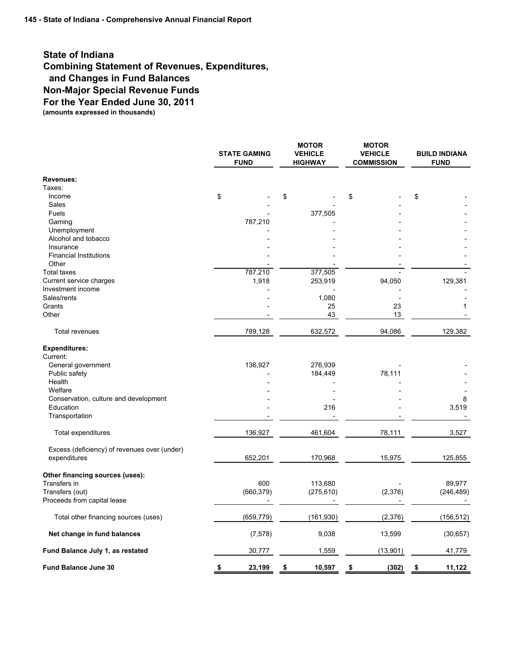#### **State of Indiana Combining Statement of Revenues, Expenditures, and Changes in Fund Balances Non-Major Special Revenue Funds For the Year Ended June 30, 2011 (amounts expressed in thousands)**

|                                                              | <b>STATE GAMING</b><br><b>FUND</b> | <b>MOTOR</b><br><b>VEHICLE</b><br><b>HIGHWAY</b> | <b>MOTOR</b><br><b>VEHICLE</b><br><b>COMMISSION</b> | <b>BUILD INDIANA</b><br><b>FUND</b> |
|--------------------------------------------------------------|------------------------------------|--------------------------------------------------|-----------------------------------------------------|-------------------------------------|
| <b>Revenues:</b>                                             |                                    |                                                  |                                                     |                                     |
| Taxes:                                                       |                                    |                                                  |                                                     |                                     |
| Income                                                       | \$                                 | \$                                               | \$                                                  | \$                                  |
| Sales                                                        |                                    |                                                  |                                                     |                                     |
| Fuels                                                        |                                    | 377,505                                          |                                                     |                                     |
| Gaming                                                       | 787,210                            |                                                  |                                                     |                                     |
| Unemployment                                                 |                                    |                                                  |                                                     |                                     |
| Alcohol and tobacco                                          |                                    |                                                  |                                                     |                                     |
| Insurance                                                    |                                    |                                                  |                                                     |                                     |
| <b>Financial Institutions</b>                                |                                    |                                                  |                                                     |                                     |
| Other                                                        |                                    |                                                  |                                                     |                                     |
| <b>Total taxes</b>                                           | 787,210                            | 377,505                                          |                                                     |                                     |
| Current service charges                                      | 1,918                              | 253,919                                          | 94,050                                              | 129,381                             |
| Investment income                                            |                                    |                                                  |                                                     |                                     |
| Sales/rents                                                  |                                    | 1,080                                            |                                                     |                                     |
| Grants                                                       |                                    | 25                                               | 23                                                  | 1                                   |
| Other                                                        |                                    | 43                                               | 13                                                  |                                     |
| <b>Total revenues</b>                                        | 789,128                            | 632,572                                          | 94,086                                              | 129,382                             |
| <b>Expenditures:</b>                                         |                                    |                                                  |                                                     |                                     |
| Current:                                                     |                                    |                                                  |                                                     |                                     |
| General government                                           | 136,927                            | 276,939                                          |                                                     |                                     |
| Public safety                                                |                                    | 184,449                                          | 78,111                                              |                                     |
| Health                                                       |                                    |                                                  |                                                     |                                     |
| Welfare                                                      |                                    |                                                  |                                                     |                                     |
| Conservation, culture and development                        |                                    |                                                  |                                                     | 8                                   |
| Education                                                    |                                    | 216                                              |                                                     | 3,519                               |
| Transportation                                               |                                    |                                                  |                                                     |                                     |
| Total expenditures                                           | 136,927                            | 461,604                                          | 78,111                                              | 3,527                               |
|                                                              |                                    |                                                  |                                                     |                                     |
| Excess (deficiency) of revenues over (under)<br>expenditures | 652,201                            | 170,968                                          | 15,975                                              | 125,855                             |
|                                                              |                                    |                                                  |                                                     |                                     |
| Other financing sources (uses):                              |                                    |                                                  |                                                     |                                     |
| Transfers in                                                 | 600                                | 113,680                                          |                                                     | 89,977                              |
| Transfers (out)                                              | (660, 379)                         | (275, 610)                                       | (2,376)                                             | (246, 489)                          |
| Proceeds from capital lease                                  |                                    |                                                  |                                                     |                                     |
| Total other financing sources (uses)                         | (659, 779)                         | (161, 930)                                       | (2,376)                                             | (156, 512)                          |
| Net change in fund balances                                  | (7, 578)                           | 9,038                                            | 13,599                                              | (30, 657)                           |
| Fund Balance July 1, as restated                             | 30,777                             | 1,559                                            | (13, 901)                                           | 41,779                              |
| <b>Fund Balance June 30</b>                                  | \$<br>23,199                       | \$<br>10,597                                     | \$<br>(302)                                         | 11,122<br>\$                        |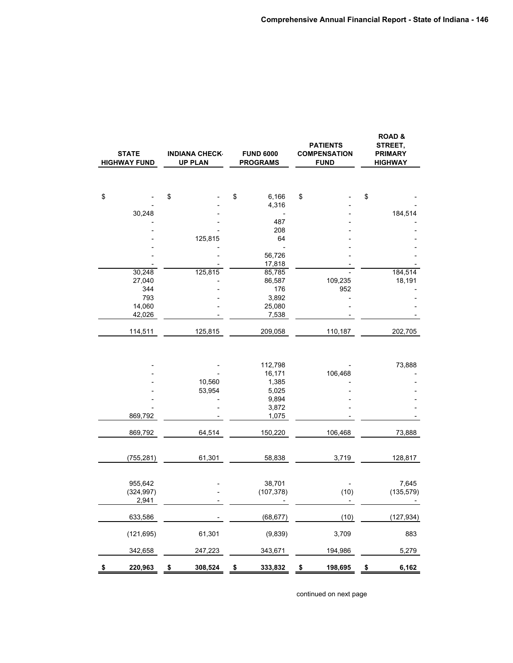| <b>STATE</b><br><b>HIGHWAY FUND</b> | <b>INDIANA CHECK</b><br><b>UP PLAN</b> | <b>FUND 6000</b><br><b>PROGRAMS</b> | <b>PATIENTS</b><br><b>COMPENSATION</b><br><b>FUND</b> | <b>ROAD&amp;</b><br>STREET,<br><b>PRIMARY</b><br><b>HIGHWAY</b> |
|-------------------------------------|----------------------------------------|-------------------------------------|-------------------------------------------------------|-----------------------------------------------------------------|
|                                     |                                        |                                     |                                                       |                                                                 |
| \$                                  | \$                                     | \$<br>6,166<br>4,316                | \$                                                    | \$                                                              |
| 30,248                              |                                        | $\qquad \qquad -$                   |                                                       | 184,514                                                         |
|                                     |                                        | 487<br>208                          |                                                       |                                                                 |
|                                     | 125,815                                | 64                                  |                                                       |                                                                 |
|                                     |                                        | $\overline{a}$                      |                                                       |                                                                 |
|                                     |                                        | 56,726<br>17,818                    |                                                       |                                                                 |
| 30,248                              | 125,815                                | 85,785                              |                                                       | 184,514                                                         |
| 27,040                              |                                        | 86,587                              | 109,235                                               | 18,191                                                          |
| 344                                 |                                        | 176                                 | 952                                                   |                                                                 |
| 793<br>14,060                       |                                        | 3,892<br>25,080                     |                                                       |                                                                 |
| 42,026                              |                                        | 7,538                               |                                                       |                                                                 |
| 114,511                             | 125,815                                | 209,058                             | 110,187                                               | 202,705                                                         |
|                                     |                                        |                                     |                                                       |                                                                 |
|                                     |                                        |                                     |                                                       |                                                                 |
|                                     |                                        | 112,798                             |                                                       | 73,888                                                          |
|                                     |                                        | 16,171                              | 106,468                                               |                                                                 |
|                                     | 10,560<br>53,954                       | 1,385<br>5,025                      |                                                       |                                                                 |
|                                     |                                        | 9,894                               |                                                       |                                                                 |
|                                     |                                        | 3,872                               |                                                       |                                                                 |
| 869,792                             |                                        | 1,075                               |                                                       |                                                                 |
| 869,792                             | 64,514                                 | 150,220                             | 106,468                                               | 73,888                                                          |
|                                     |                                        |                                     |                                                       |                                                                 |
| (755, 281)                          | 61,301                                 | 58,838                              | 3,719                                                 | 128,817                                                         |
|                                     |                                        |                                     |                                                       |                                                                 |
| 955,642                             |                                        | 38,701                              |                                                       | 7,645                                                           |
| (324, 997)                          |                                        | (107, 378)                          | (10)                                                  | (135, 579)                                                      |
| 2,941                               |                                        |                                     |                                                       |                                                                 |
| 633,586                             |                                        | (68, 677)                           | (10)                                                  | (127, 934)                                                      |
| (121, 695)                          | 61,301                                 | (9,839)                             | 3,709                                                 | 883                                                             |
| 342,658                             | 247,223                                | 343,671                             | 194,986                                               | 5,279                                                           |
| 220,963<br>\$                       | 308,524<br>\$                          | 333,832<br>\$                       | 198,695<br>\$                                         | 6,162<br>\$                                                     |

continued on next page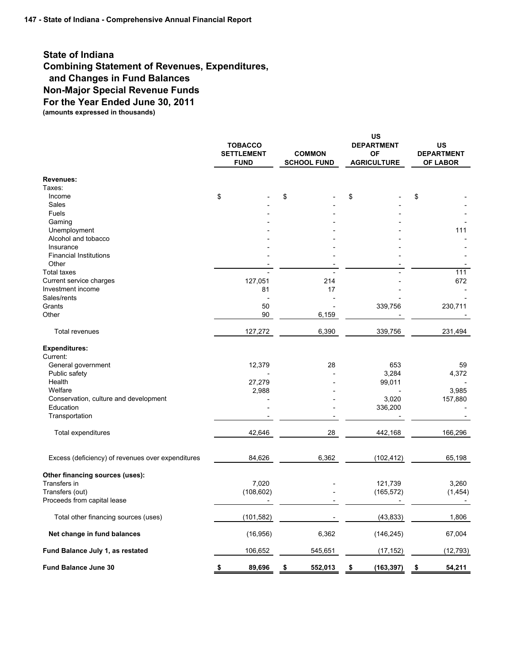#### **State of Indiana Combining Statement of Revenues, Expenditures, and Changes in Fund Balances Non-Major Special Revenue Funds For the Year Ended June 30, 2011 (amounts expressed in thousands)**

|                                                   | <b>TOBACCO</b><br><b>SETTLEMENT</b><br><b>FUND</b> | <b>COMMON</b><br><b>SCHOOL FUND</b> | <b>US</b><br><b>DEPARTMENT</b><br><b>OF</b><br><b>AGRICULTURE</b> | <b>US</b><br><b>DEPARTMENT</b><br><b>OF LABOR</b> |
|---------------------------------------------------|----------------------------------------------------|-------------------------------------|-------------------------------------------------------------------|---------------------------------------------------|
| <b>Revenues:</b>                                  |                                                    |                                     |                                                                   |                                                   |
| Taxes:                                            |                                                    |                                     |                                                                   |                                                   |
| Income                                            | \$                                                 | \$                                  | \$                                                                | \$                                                |
| Sales                                             |                                                    |                                     |                                                                   |                                                   |
| Fuels                                             |                                                    |                                     |                                                                   |                                                   |
| Gaming                                            |                                                    |                                     |                                                                   |                                                   |
| Unemployment                                      |                                                    |                                     |                                                                   | 111                                               |
| Alcohol and tobacco                               |                                                    |                                     |                                                                   |                                                   |
| Insurance                                         |                                                    |                                     |                                                                   |                                                   |
| <b>Financial Institutions</b>                     |                                                    |                                     |                                                                   |                                                   |
| Other                                             |                                                    |                                     |                                                                   |                                                   |
| <b>Total taxes</b>                                |                                                    |                                     |                                                                   | 111                                               |
| Current service charges                           | 127,051                                            | 214                                 |                                                                   | 672                                               |
| Investment income                                 | 81                                                 | 17                                  |                                                                   |                                                   |
| Sales/rents                                       |                                                    |                                     |                                                                   |                                                   |
| Grants                                            | 50                                                 |                                     | 339,756                                                           | 230,711                                           |
| Other                                             | 90                                                 | 6,159                               |                                                                   |                                                   |
| Total revenues                                    | 127,272                                            | 6,390                               | 339,756                                                           | 231,494                                           |
| <b>Expenditures:</b>                              |                                                    |                                     |                                                                   |                                                   |
| Current:                                          |                                                    |                                     |                                                                   |                                                   |
| General government                                | 12,379                                             | 28                                  | 653                                                               | 59                                                |
| Public safety                                     |                                                    |                                     | 3,284                                                             | 4,372                                             |
| Health                                            | 27,279                                             |                                     | 99,011                                                            |                                                   |
| Welfare                                           | 2,988                                              |                                     |                                                                   | 3,985                                             |
| Conservation, culture and development             |                                                    |                                     | 3,020                                                             | 157,880                                           |
| Education                                         |                                                    |                                     | 336,200                                                           |                                                   |
| Transportation                                    |                                                    |                                     |                                                                   |                                                   |
| Total expenditures                                | 42,646                                             | 28                                  | 442,168                                                           | 166,296                                           |
| Excess (deficiency) of revenues over expenditures | 84,626                                             | 6,362                               | (102, 412)                                                        | 65,198                                            |
|                                                   |                                                    |                                     |                                                                   |                                                   |
| Other financing sources (uses):<br>Transfers in   | 7,020                                              |                                     | 121,739                                                           | 3,260                                             |
| Transfers (out)                                   | (108, 602)                                         |                                     | (165, 572)                                                        | (1, 454)                                          |
| Proceeds from capital lease                       |                                                    |                                     | $\overline{\phantom{a}}$                                          |                                                   |
|                                                   |                                                    |                                     |                                                                   |                                                   |
| Total other financing sources (uses)              | (101, 582)                                         |                                     | (43, 833)                                                         | 1,806                                             |
| Net change in fund balances                       | (16, 956)                                          | 6,362                               | (146, 245)                                                        | 67,004                                            |
| Fund Balance July 1, as restated                  | 106,652                                            | 545,651                             | (17, 152)                                                         | (12, 793)                                         |
| Fund Balance June 30                              | 89,696                                             | 552,013                             | (163, 397)<br>\$                                                  | 54,211                                            |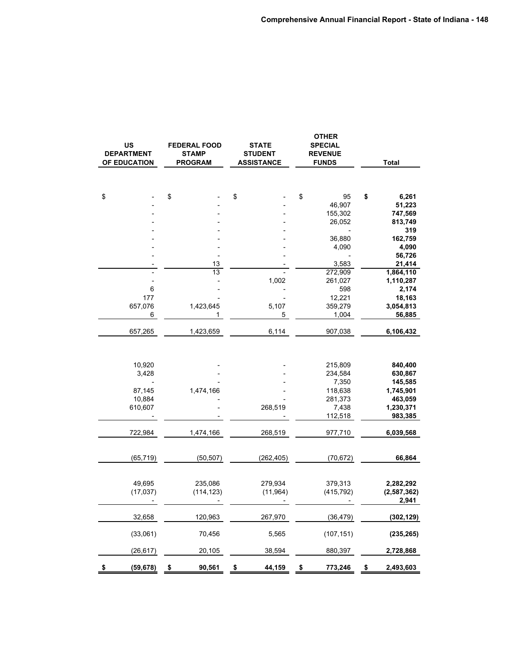| <b>US</b><br><b>DEPARTMENT</b><br>OF EDUCATION | <b>FEDERAL FOOD</b><br><b>STAMP</b><br><b>PROGRAM</b> | <b>STATE</b><br><b>STUDENT</b> | <b>Total</b>     |                      |
|------------------------------------------------|-------------------------------------------------------|--------------------------------|------------------|----------------------|
|                                                |                                                       | <b>ASSISTANCE</b>              | <b>FUNDS</b>     |                      |
|                                                |                                                       |                                |                  |                      |
|                                                |                                                       |                                |                  |                      |
| \$                                             | \$                                                    | \$                             | \$<br>95         | \$<br>6,261          |
|                                                |                                                       |                                | 46,907           | 51,223               |
|                                                |                                                       |                                | 155,302          | 747,569              |
|                                                |                                                       |                                | 26,052           | 813,749<br>319       |
|                                                |                                                       |                                | 36,880           | 162,759              |
|                                                |                                                       |                                | 4,090            | 4,090                |
|                                                |                                                       |                                |                  | 56,726               |
|                                                | 13                                                    |                                | 3,583            | 21,414               |
|                                                | 13                                                    |                                | 272,909          | 1,864,110            |
|                                                |                                                       | 1,002                          | 261,027          | 1,110,287            |
| 6                                              |                                                       |                                | 598              | 2,174                |
| 177                                            |                                                       |                                | 12,221           | 18,163               |
| 657,076                                        | 1,423,645                                             | 5,107                          | 359,279          | 3,054,813            |
| 6                                              | 1                                                     | 5                              | 1,004            | 56,885               |
|                                                |                                                       |                                |                  |                      |
| 657,265                                        | 1,423,659                                             | 6,114                          | 907,038          | 6,106,432            |
|                                                |                                                       |                                |                  |                      |
|                                                |                                                       |                                |                  |                      |
|                                                |                                                       |                                |                  |                      |
| 10,920                                         |                                                       |                                | 215,809          | 840,400              |
| 3,428                                          |                                                       |                                | 234,584          | 630,867              |
|                                                |                                                       |                                | 7,350            | 145,585              |
| 87,145                                         | 1,474,166                                             |                                | 118,638          | 1,745,901            |
| 10,884<br>610,607                              |                                                       | 268,519                        | 281,373<br>7,438 | 463,059              |
|                                                |                                                       |                                | 112,518          | 1,230,371<br>983,385 |
|                                                |                                                       |                                |                  |                      |
| 722,984                                        | 1,474,166                                             | 268,519                        | 977,710          | 6,039,568            |
|                                                |                                                       |                                |                  |                      |
|                                                |                                                       |                                |                  |                      |
| (65, 719)                                      | (50, 507)                                             | (262, 405)                     | (70, 672)        | 66,864               |
|                                                |                                                       |                                |                  |                      |
|                                                |                                                       |                                |                  |                      |
| 49,695                                         | 235,086                                               | 279,934                        | 379,313          | 2,282,292            |
| (17, 037)                                      | (114, 123)                                            | (11, 964)                      | (415, 792)       | (2,587,362)          |
|                                                |                                                       |                                |                  | 2,941                |
|                                                |                                                       |                                |                  |                      |
| 32,658                                         | 120,963                                               | 267,970                        | (36, 479)        | (302, 129)           |
|                                                |                                                       |                                |                  |                      |
| (33,061)                                       | 70,456                                                | 5,565                          | (107, 151)       | (235, 265)           |
|                                                |                                                       |                                |                  |                      |
| (26, 617)                                      | 20,105                                                | 38,594                         | 880,397          | 2,728,868            |
| (59, 678)<br>\$                                | 90,561<br>\$                                          | 44,159<br>\$                   | 773,246<br>\$    | 2,493,603<br>\$      |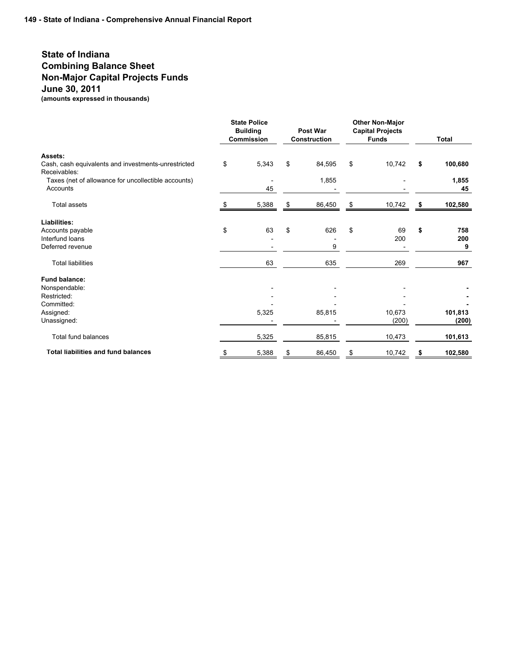#### **State of Indiana Combining Balance Sheet Non-Major Capital Projects Funds June 30, 2011 (amounts expressed in thousands)**

|                                                                     | <b>State Police</b><br><b>Building</b><br><b>Commission</b> |    | Post War<br><b>Construction</b> | <b>Other Non-Major</b><br><b>Capital Projects</b><br><b>Funds</b> | <b>Total</b>  |
|---------------------------------------------------------------------|-------------------------------------------------------------|----|---------------------------------|-------------------------------------------------------------------|---------------|
| Assets:                                                             |                                                             |    |                                 |                                                                   |               |
| Cash, cash equivalents and investments-unrestricted<br>Receivables: | \$<br>5,343                                                 | \$ | 84,595                          | \$<br>10,742                                                      | \$<br>100,680 |
| Taxes (net of allowance for uncollectible accounts)<br>Accounts     | 45                                                          |    | 1,855                           |                                                                   | 1,855<br>45   |
| <b>Total assets</b>                                                 | \$<br>5,388                                                 | S  | 86,450                          | \$<br>10,742                                                      | \$<br>102,580 |
| Liabilities:                                                        |                                                             |    |                                 |                                                                   |               |
| Accounts payable                                                    | \$<br>63                                                    | \$ | 626                             | \$<br>69                                                          | \$<br>758     |
| Interfund loans                                                     |                                                             |    |                                 | 200                                                               | 200           |
| Deferred revenue                                                    |                                                             |    | 9                               |                                                                   | 9             |
| <b>Total liabilities</b>                                            | 63                                                          |    | 635                             | 269                                                               | 967           |
| <b>Fund balance:</b>                                                |                                                             |    |                                 |                                                                   |               |
| Nonspendable:                                                       |                                                             |    |                                 |                                                                   |               |
| Restricted:                                                         |                                                             |    |                                 |                                                                   |               |
| Committed:                                                          |                                                             |    |                                 |                                                                   |               |
| Assigned:                                                           | 5,325                                                       |    | 85,815                          | 10,673                                                            | 101,813       |
| Unassigned:                                                         |                                                             |    |                                 | (200)                                                             | (200)         |
| Total fund balances                                                 | 5,325                                                       |    | 85,815                          | 10,473                                                            | 101,613       |
| <b>Total liabilities and fund balances</b>                          | \$<br>5,388                                                 | \$ | 86,450                          | \$<br>10,742                                                      | \$<br>102,580 |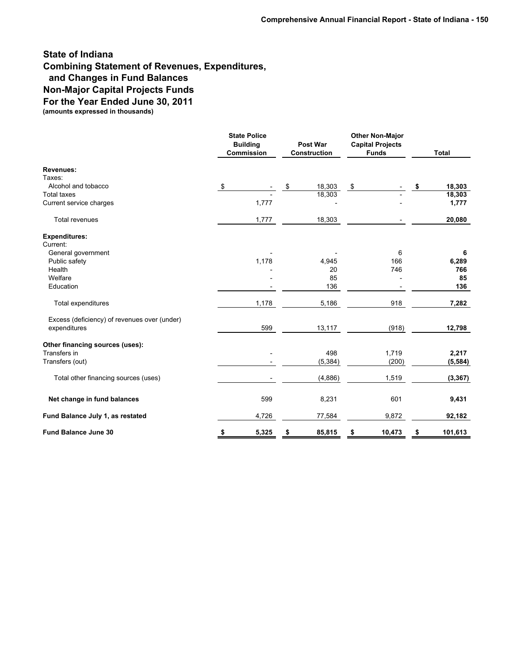### **State of Indiana Combining Statement of Revenues, Expenditures, and Changes in Fund Balances Non-Major Capital Projects Funds For the Year Ended June 30, 2011**

|                                              | <b>State Police</b><br><b>Building</b><br>Commission | Post War<br>Construction |          | <b>Other Non-Major</b><br><b>Capital Projects</b><br><b>Funds</b> |        | <b>Total</b>  |
|----------------------------------------------|------------------------------------------------------|--------------------------|----------|-------------------------------------------------------------------|--------|---------------|
| <b>Revenues:</b>                             |                                                      |                          |          |                                                                   |        |               |
| Taxes:                                       |                                                      |                          |          |                                                                   |        |               |
| Alcohol and tobacco                          | \$                                                   | \$                       | 18,303   | \$                                                                |        | \$<br>18,303  |
| <b>Total taxes</b>                           |                                                      |                          | 18,303   |                                                                   |        | 18,303        |
| Current service charges                      | 1,777                                                |                          |          |                                                                   |        | 1,777         |
| Total revenues                               | 1,777                                                |                          | 18,303   |                                                                   |        | 20,080        |
| <b>Expenditures:</b>                         |                                                      |                          |          |                                                                   |        |               |
| Current:                                     |                                                      |                          |          |                                                                   |        |               |
| General government                           |                                                      |                          |          |                                                                   | 6      | 6             |
| Public safety                                | 1,178                                                |                          | 4,945    |                                                                   | 166    | 6,289         |
| Health                                       |                                                      |                          | 20       |                                                                   | 746    | 766           |
| Welfare                                      |                                                      |                          | 85       |                                                                   |        | 85            |
| Education                                    |                                                      |                          | 136      |                                                                   |        | 136           |
| Total expenditures                           | 1,178                                                |                          | 5,186    |                                                                   | 918    | 7,282         |
| Excess (deficiency) of revenues over (under) |                                                      |                          |          |                                                                   |        |               |
| expenditures                                 | 599                                                  |                          | 13,117   |                                                                   | (918)  | 12,798        |
| Other financing sources (uses):              |                                                      |                          |          |                                                                   |        |               |
| Transfers in                                 |                                                      |                          | 498      |                                                                   | 1,719  | 2,217         |
| Transfers (out)                              |                                                      |                          | (5, 384) |                                                                   | (200)  | (5, 584)      |
| Total other financing sources (uses)         |                                                      |                          | (4,886)  |                                                                   | 1,519  | (3, 367)      |
| Net change in fund balances                  | 599                                                  |                          | 8,231    |                                                                   | 601    | 9,431         |
| Fund Balance July 1, as restated             | 4,726                                                |                          | 77,584   |                                                                   | 9,872  | 92,182        |
| <b>Fund Balance June 30</b>                  | \$<br>5,325                                          | \$                       | 85,815   | \$                                                                | 10,473 | \$<br>101,613 |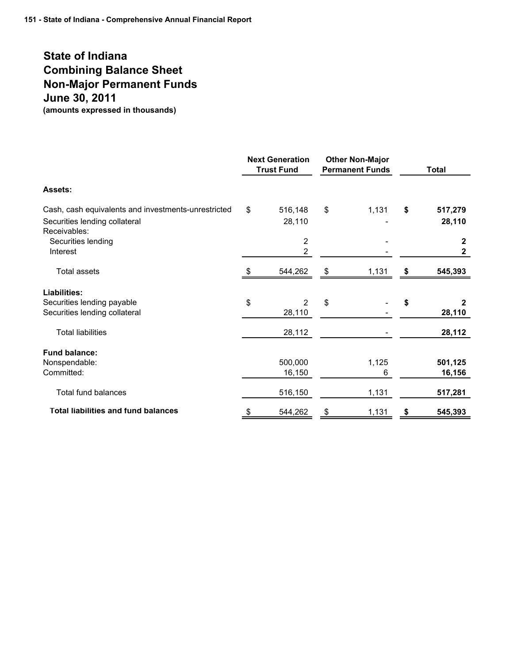### **State of Indiana Combining Balance Sheet Non-Major Permanent Funds June 30, 2011 (amounts expressed in thousands)**

|                                                                                                      |    | <b>Next Generation</b><br><b>Trust Fund</b> | <b>Other Non-Major</b><br><b>Permanent Funds</b> | Total |                        |  |
|------------------------------------------------------------------------------------------------------|----|---------------------------------------------|--------------------------------------------------|-------|------------------------|--|
| Assets:                                                                                              |    |                                             |                                                  |       |                        |  |
| Cash, cash equivalents and investments-unrestricted<br>Securities lending collateral<br>Receivables: | \$ | 516,148<br>28,110                           | \$<br>1,131                                      | \$    | 517,279<br>28,110      |  |
| Securities lending<br>Interest                                                                       |    | $\overline{2}$<br>$\overline{c}$            |                                                  |       | 2<br>$\mathbf 2$       |  |
| <b>Total assets</b>                                                                                  | \$ | 544,262                                     | \$<br>1,131                                      | \$    | 545,393                |  |
| Liabilities:<br>Securities lending payable<br>Securities lending collateral                          | \$ | $\overline{2}$<br>28,110                    | \$                                               | \$    | $\mathbf{2}$<br>28,110 |  |
| <b>Total liabilities</b>                                                                             |    | 28,112                                      |                                                  |       | 28,112                 |  |
| <b>Fund balance:</b><br>Nonspendable:<br>Committed:                                                  |    | 500,000<br>16,150                           | 1,125<br>6                                       |       | 501,125<br>16,156      |  |
| Total fund balances                                                                                  |    | 516,150                                     | 1,131                                            |       | 517,281                |  |
| <b>Total liabilities and fund balances</b>                                                           | S  | 544,262                                     | \$<br>1,131                                      | \$    | 545,393                |  |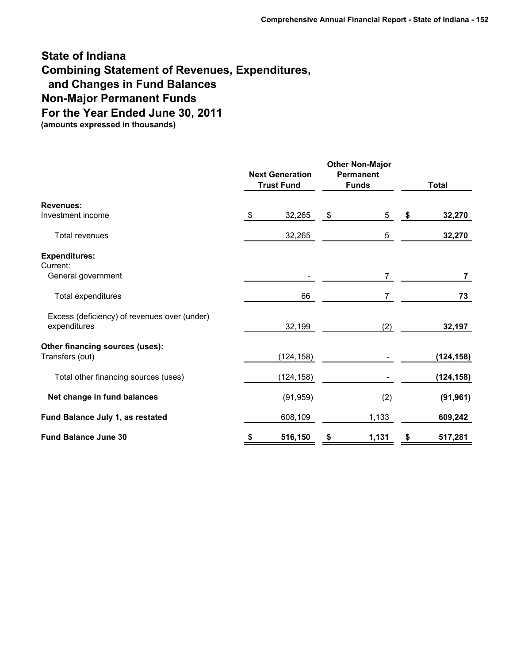## **State of Indiana Combining Statement of Revenues, Expenditures, and Changes in Fund Balances Non-Major Permanent Funds For the Year Ended June 30, 2011**

|                                                              |    | <b>Next Generation</b><br><b>Trust Fund</b> | <b>Other Non-Major</b><br><b>Permanent</b><br><b>Funds</b> | <b>Total</b> |                |  |
|--------------------------------------------------------------|----|---------------------------------------------|------------------------------------------------------------|--------------|----------------|--|
| <b>Revenues:</b>                                             |    |                                             |                                                            |              |                |  |
| Investment income                                            | \$ | 32,265                                      | \$<br>5                                                    | \$           | 32,270         |  |
| <b>Total revenues</b>                                        |    | 32,265                                      | 5                                                          |              | 32,270         |  |
| <b>Expenditures:</b>                                         |    |                                             |                                                            |              |                |  |
| Current:<br>General government                               |    |                                             | $\overline{7}$                                             |              | $\overline{7}$ |  |
| Total expenditures                                           |    | 66                                          | $\overline{7}$                                             |              | 73             |  |
| Excess (deficiency) of revenues over (under)<br>expenditures |    | 32,199                                      | (2)                                                        |              | 32,197         |  |
| Other financing sources (uses):<br>Transfers (out)           |    | (124, 158)                                  |                                                            |              | (124, 158)     |  |
| Total other financing sources (uses)                         |    | (124, 158)                                  |                                                            |              | (124, 158)     |  |
| Net change in fund balances                                  |    | (91, 959)                                   | (2)                                                        |              | (91, 961)      |  |
| Fund Balance July 1, as restated                             |    | 608,109                                     | 1,133                                                      |              | 609,242        |  |
| <b>Fund Balance June 30</b>                                  | S  | 516,150                                     | \$<br>1,131                                                | \$           | 517,281        |  |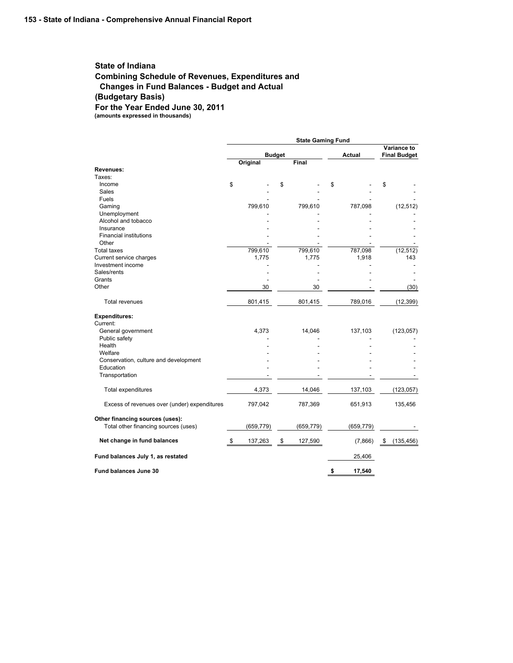#### **State of Indiana Combining Schedule of Revenues, Expenditures and Changes in Fund Balances - Budget and Actual (Budgetary Basis) For the Year Ended June 30, 2011 (amounts expressed in thousands)**

|                                              | <b>State Gaming Fund</b> |               |              |                     |  |  |  |  |  |  |  |
|----------------------------------------------|--------------------------|---------------|--------------|---------------------|--|--|--|--|--|--|--|
|                                              |                          |               |              | Variance to         |  |  |  |  |  |  |  |
|                                              |                          | <b>Budget</b> | Actual       | <b>Final Budget</b> |  |  |  |  |  |  |  |
| Revenues:                                    | Original                 | Final         |              |                     |  |  |  |  |  |  |  |
| Taxes:                                       |                          |               |              |                     |  |  |  |  |  |  |  |
| Income                                       | \$                       | \$            | \$           | \$                  |  |  |  |  |  |  |  |
| Sales                                        |                          |               |              |                     |  |  |  |  |  |  |  |
| <b>Fuels</b>                                 |                          |               |              |                     |  |  |  |  |  |  |  |
| Gaming                                       | 799,610                  | 799,610       | 787,098      | (12, 512)           |  |  |  |  |  |  |  |
| Unemployment                                 |                          |               |              |                     |  |  |  |  |  |  |  |
| Alcohol and tobacco                          |                          |               |              |                     |  |  |  |  |  |  |  |
| Insurance                                    |                          |               |              |                     |  |  |  |  |  |  |  |
| <b>Financial institutions</b>                |                          |               |              |                     |  |  |  |  |  |  |  |
| Other                                        |                          |               |              |                     |  |  |  |  |  |  |  |
| <b>Total taxes</b>                           | 799,610                  | 799,610       | 787,098      | (12, 512)           |  |  |  |  |  |  |  |
| Current service charges                      | 1,775                    | 1,775         | 1,918        | 143                 |  |  |  |  |  |  |  |
| Investment income                            |                          |               |              |                     |  |  |  |  |  |  |  |
| Sales/rents<br>Grants                        |                          |               |              |                     |  |  |  |  |  |  |  |
| Other                                        | 30                       | 30            |              | (30)                |  |  |  |  |  |  |  |
|                                              |                          |               |              |                     |  |  |  |  |  |  |  |
| Total revenues                               | 801,415                  | 801,415       | 789,016      | (12, 399)           |  |  |  |  |  |  |  |
| <b>Expenditures:</b>                         |                          |               |              |                     |  |  |  |  |  |  |  |
| Current:                                     |                          |               |              |                     |  |  |  |  |  |  |  |
| General government                           | 4,373                    | 14,046        | 137,103      | (123, 057)          |  |  |  |  |  |  |  |
| Public safety                                |                          |               |              |                     |  |  |  |  |  |  |  |
| Health                                       |                          |               |              |                     |  |  |  |  |  |  |  |
| Welfare                                      |                          |               |              |                     |  |  |  |  |  |  |  |
| Conservation, culture and development        |                          |               |              |                     |  |  |  |  |  |  |  |
| Education                                    |                          |               |              |                     |  |  |  |  |  |  |  |
| Transportation                               |                          |               |              |                     |  |  |  |  |  |  |  |
| Total expenditures                           | 4,373                    | 14,046        | 137,103      | (123, 057)          |  |  |  |  |  |  |  |
| Excess of revenues over (under) expenditures | 797,042                  | 787,369       | 651,913      | 135,456             |  |  |  |  |  |  |  |
| Other financing sources (uses):              |                          |               |              |                     |  |  |  |  |  |  |  |
| Total other financing sources (uses)         | (659,779)                | (659, 779)    | (659, 779)   |                     |  |  |  |  |  |  |  |
|                                              |                          |               |              |                     |  |  |  |  |  |  |  |
| Net change in fund balances                  | \$<br>137,263            | \$<br>127,590 | (7,866)      | (135, 456)<br>\$    |  |  |  |  |  |  |  |
| Fund balances July 1, as restated            |                          |               | 25,406       |                     |  |  |  |  |  |  |  |
| <b>Fund balances June 30</b>                 |                          |               | 17,540<br>\$ |                     |  |  |  |  |  |  |  |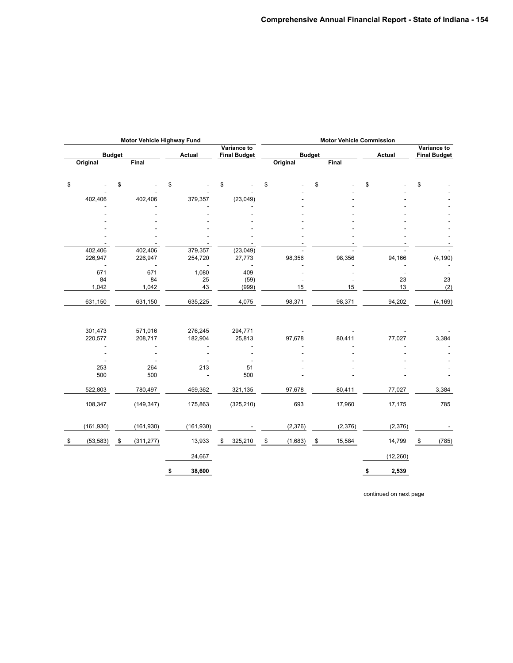| Motor Vehicle Highway Fund |                    |               |                    |    |                    |     |                     | <b>Motor Vehicle Commission</b> |          |               |         |    |               |    |                     |  |  |  |  |
|----------------------------|--------------------|---------------|--------------------|----|--------------------|-----|---------------------|---------------------------------|----------|---------------|---------|----|---------------|----|---------------------|--|--|--|--|
|                            |                    |               |                    |    |                    |     | Variance to         |                                 |          |               |         |    |               |    | Variance to         |  |  |  |  |
|                            |                    | <b>Budget</b> |                    |    | Actual             |     | <b>Final Budget</b> |                                 |          | <b>Budget</b> |         |    | <b>Actual</b> |    | <b>Final Budget</b> |  |  |  |  |
|                            | Original           |               | Final              |    |                    |     |                     |                                 | Original |               | Final   |    |               |    |                     |  |  |  |  |
| \$                         |                    | \$            |                    | \$ |                    | \$  |                     | \$                              |          | \$            |         | \$ |               | \$ |                     |  |  |  |  |
|                            | 402,406            |               | 402,406            |    | 379,357            |     |                     |                                 |          |               |         |    |               |    |                     |  |  |  |  |
|                            |                    |               |                    |    |                    |     | (23, 049)           |                                 |          |               |         |    |               |    |                     |  |  |  |  |
|                            |                    |               |                    |    |                    |     |                     |                                 |          |               |         |    |               |    |                     |  |  |  |  |
|                            |                    |               |                    |    |                    |     |                     |                                 |          |               |         |    |               |    |                     |  |  |  |  |
|                            |                    |               |                    |    |                    |     |                     |                                 |          |               |         |    |               |    |                     |  |  |  |  |
|                            |                    |               |                    |    |                    |     |                     |                                 |          |               |         |    |               |    |                     |  |  |  |  |
|                            | 402,406<br>226,947 |               | 402,406<br>226,947 |    | 379,357<br>254,720 |     | (23, 049)<br>27,773 |                                 | 98,356   |               | 98,356  |    | 94,166        |    | (4, 190)            |  |  |  |  |
|                            | 671                |               | 671                |    | 1,080              |     | 409                 |                                 |          |               |         |    |               |    |                     |  |  |  |  |
|                            | 84                 |               | 84                 |    | 25                 |     | (59)                |                                 |          |               |         |    | 23            |    | 23                  |  |  |  |  |
|                            | 1,042              |               | 1,042              |    | 43                 |     | (999)               |                                 | 15       |               | 15      |    | 13            |    | (2)                 |  |  |  |  |
|                            | 631,150            |               | 631,150            |    | 635,225            |     | 4,075               |                                 | 98,371   |               | 98,371  |    | 94,202        |    | (4, 169)            |  |  |  |  |
|                            |                    |               |                    |    |                    |     |                     |                                 |          |               |         |    |               |    |                     |  |  |  |  |
|                            | 301,473<br>220,577 |               | 571,016<br>208,717 |    | 276,245<br>182,904 |     | 294,771<br>25,813   |                                 | 97,678   |               | 80,411  |    | 77,027        |    | 3,384               |  |  |  |  |
|                            |                    |               |                    |    |                    |     |                     |                                 |          |               |         |    |               |    |                     |  |  |  |  |
|                            |                    |               |                    |    |                    |     |                     |                                 |          |               |         |    |               |    |                     |  |  |  |  |
|                            | 253                |               | 264                |    | 213                |     | 51                  |                                 |          |               |         |    |               |    |                     |  |  |  |  |
|                            | 500                |               | 500                |    |                    |     | 500                 |                                 |          |               |         |    |               |    |                     |  |  |  |  |
|                            | 522,803            |               | 780,497            |    | 459,362            |     | 321,135             |                                 | 97,678   |               | 80,411  |    | 77,027        |    | 3,384               |  |  |  |  |
|                            | 108,347            |               | (149, 347)         |    | 175,863            |     | (325, 210)          |                                 | 693      |               | 17,960  |    | 17,175        |    | 785                 |  |  |  |  |
|                            | (161, 930)         |               | (161, 930)         |    | (161, 930)         |     |                     |                                 | (2,376)  |               | (2,376) |    | (2,376)       |    |                     |  |  |  |  |
|                            | (53, 583)          | \$            | (311, 277)         |    | 13,933             | -\$ | 325,210             | \$                              | (1,683)  | \$            | 15,584  |    | 14,799        | \$ | (785)               |  |  |  |  |
|                            |                    |               |                    |    | 24,667             |     |                     |                                 |          |               |         |    | (12, 260)     |    |                     |  |  |  |  |
|                            |                    |               |                    | \$ | 38,600             |     |                     |                                 |          |               |         | \$ | 2,539         |    |                     |  |  |  |  |
|                            |                    |               |                    |    |                    |     |                     |                                 |          |               |         |    |               |    |                     |  |  |  |  |

continued on next page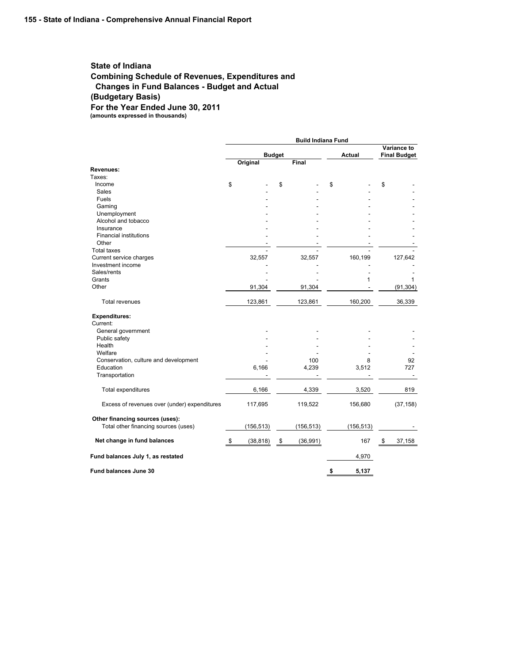#### **State of Indiana Combining Schedule of Revenues, Expenditures and Changes in Fund Balances - Budget and Actual (Budgetary Basis) For the Year Ended June 30, 2011 (amounts expressed in thousands)**

|                                              |                 | <b>Build Indiana Fund</b> |            |             |                          |  |  |  |  |  |  |  |
|----------------------------------------------|-----------------|---------------------------|------------|-------------|--------------------------|--|--|--|--|--|--|--|
|                                              |                 |                           |            |             | Variance to              |  |  |  |  |  |  |  |
|                                              |                 | <b>Budget</b>             |            | Actual      | <b>Final Budget</b>      |  |  |  |  |  |  |  |
| Revenues:                                    | Original        |                           | Final      |             |                          |  |  |  |  |  |  |  |
| Taxes:                                       |                 |                           |            |             |                          |  |  |  |  |  |  |  |
| Income                                       | \$              | \$                        |            | \$          | \$                       |  |  |  |  |  |  |  |
| Sales                                        |                 |                           |            |             |                          |  |  |  |  |  |  |  |
| <b>Fuels</b>                                 |                 |                           |            |             |                          |  |  |  |  |  |  |  |
| Gaming                                       |                 |                           |            |             |                          |  |  |  |  |  |  |  |
| Unemployment                                 |                 |                           |            |             |                          |  |  |  |  |  |  |  |
| Alcohol and tobacco                          |                 |                           |            |             |                          |  |  |  |  |  |  |  |
| Insurance                                    |                 |                           |            |             |                          |  |  |  |  |  |  |  |
| <b>Financial institutions</b>                |                 |                           |            |             |                          |  |  |  |  |  |  |  |
| Other                                        |                 |                           |            |             |                          |  |  |  |  |  |  |  |
| <b>Total taxes</b>                           |                 |                           |            |             |                          |  |  |  |  |  |  |  |
| Current service charges                      | 32,557          |                           | 32,557     | 160,199     | 127,642                  |  |  |  |  |  |  |  |
| Investment income                            |                 |                           |            |             |                          |  |  |  |  |  |  |  |
| Sales/rents                                  |                 |                           |            |             |                          |  |  |  |  |  |  |  |
| Grants                                       |                 |                           |            | 1           | 1                        |  |  |  |  |  |  |  |
| Other                                        | 91,304          |                           | 91,304     |             | (91, 304)                |  |  |  |  |  |  |  |
| Total revenues                               | 123,861         |                           | 123,861    | 160,200     | 36,339                   |  |  |  |  |  |  |  |
| <b>Expenditures:</b>                         |                 |                           |            |             |                          |  |  |  |  |  |  |  |
| Current:                                     |                 |                           |            |             |                          |  |  |  |  |  |  |  |
| General government                           |                 |                           |            |             |                          |  |  |  |  |  |  |  |
| Public safety                                |                 |                           |            |             |                          |  |  |  |  |  |  |  |
| Health                                       |                 |                           |            |             |                          |  |  |  |  |  |  |  |
| Welfare                                      |                 |                           |            |             |                          |  |  |  |  |  |  |  |
| Conservation, culture and development        |                 |                           | 100        | 8           | 92                       |  |  |  |  |  |  |  |
| Education                                    | 6,166           |                           | 4,239      | 3,512       | 727                      |  |  |  |  |  |  |  |
| Transportation                               |                 |                           |            |             | $\overline{\phantom{a}}$ |  |  |  |  |  |  |  |
| Total expenditures                           | 6,166           |                           | 4,339      | 3,520       | 819                      |  |  |  |  |  |  |  |
| Excess of revenues over (under) expenditures | 117,695         |                           | 119,522    | 156,680     | (37, 158)                |  |  |  |  |  |  |  |
| Other financing sources (uses):              |                 |                           |            |             |                          |  |  |  |  |  |  |  |
| Total other financing sources (uses)         | (156, 513)      |                           | (156, 513) | (156, 513)  |                          |  |  |  |  |  |  |  |
| Net change in fund balances                  | \$<br>(38, 818) | \$                        | (36, 991)  | 167         | \$<br>37,158             |  |  |  |  |  |  |  |
| Fund balances July 1, as restated            |                 |                           |            | 4,970       |                          |  |  |  |  |  |  |  |
| <b>Fund balances June 30</b>                 |                 |                           |            | \$<br>5,137 |                          |  |  |  |  |  |  |  |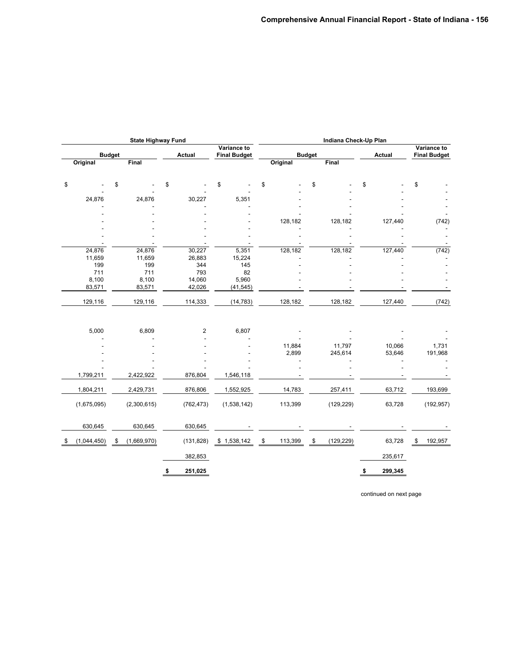| <b>State Highway Fund</b> |             |               |             |    |               |                     |               |               |            |               |                     |
|---------------------------|-------------|---------------|-------------|----|---------------|---------------------|---------------|---------------|------------|---------------|---------------------|
|                           |             |               |             |    | Variance to   |                     |               |               |            | Variance to   |                     |
|                           |             | <b>Budget</b> |             |    | <b>Actual</b> | <b>Final Budget</b> |               | <b>Budget</b> |            | <b>Actual</b> | <b>Final Budget</b> |
|                           | Original    |               | Final       |    |               |                     | Original      |               | Final      |               |                     |
| \$                        |             | \$            |             | \$ |               | \$                  | \$            | \$            |            | \$            | \$                  |
|                           | 24,876      |               |             |    |               |                     |               |               |            |               |                     |
|                           |             |               | 24,876      |    | 30,227        | 5,351               |               |               |            |               |                     |
|                           |             |               |             |    |               |                     |               |               |            |               |                     |
|                           |             |               |             |    |               |                     | 128,182       |               | 128,182    | 127,440       | (742)               |
|                           |             |               |             |    |               |                     |               |               |            |               |                     |
|                           |             |               |             |    |               |                     |               |               |            |               |                     |
|                           | 24,876      |               | 24,876      |    | 30,227        | 5,351               | 128,182       |               | 128,182    | 127,440       | (742)               |
|                           | 11,659      |               | 11,659      |    | 26,883        | 15,224              |               |               |            |               |                     |
|                           | 199<br>711  |               | 199<br>711  |    | 344<br>793    | 145<br>82           |               |               |            |               |                     |
|                           | 8,100       |               | 8,100       |    | 14,060        | 5,960               |               |               |            |               |                     |
|                           | 83,571      |               | 83,571      |    | 42,026        | (41, 545)           |               |               |            |               |                     |
|                           | 129,116     |               | 129,116     |    | 114,333       | (14, 783)           | 128,182       |               | 128,182    | 127,440       | (742)               |
|                           |             |               |             |    |               |                     |               |               |            |               |                     |
|                           | 5,000       |               | 6,809       |    | 2             | 6,807               |               |               |            |               |                     |
|                           |             |               |             |    |               |                     | 11,884        |               | 11,797     | 10,066        | 1,731               |
|                           |             |               |             |    |               |                     | 2,899         |               | 245,614    | 53,646        | 191,968             |
|                           |             |               |             |    |               |                     |               |               |            |               |                     |
|                           | 1,799,211   |               | 2,422,922   |    | 876,804       | 1,546,118           |               |               |            |               |                     |
|                           | 1,804,211   |               | 2,429,731   |    | 876,806       | 1,552,925           | 14,783        |               | 257,411    | 63,712        | 193,699             |
|                           | (1,675,095) |               | (2,300,615) |    | (762, 473)    | (1,538,142)         | 113,399       |               | (129, 229) | 63,728        | (192, 957)          |
|                           | 630,645     |               | 630,645     |    | 630,645       |                     |               |               |            |               |                     |
| S                         | (1,044,450) | \$            | (1,669,970) |    | (131, 828)    | \$1,538,142         | \$<br>113,399 | \$            | (129, 229) | 63,728        | \$<br>192,957       |
|                           |             |               |             |    | 382,853       |                     |               |               |            | 235,617       |                     |
|                           |             |               |             | \$ | 251,025       |                     |               |               |            | \$<br>299,345 |                     |
|                           |             |               |             |    |               |                     |               |               |            |               |                     |

continued on next page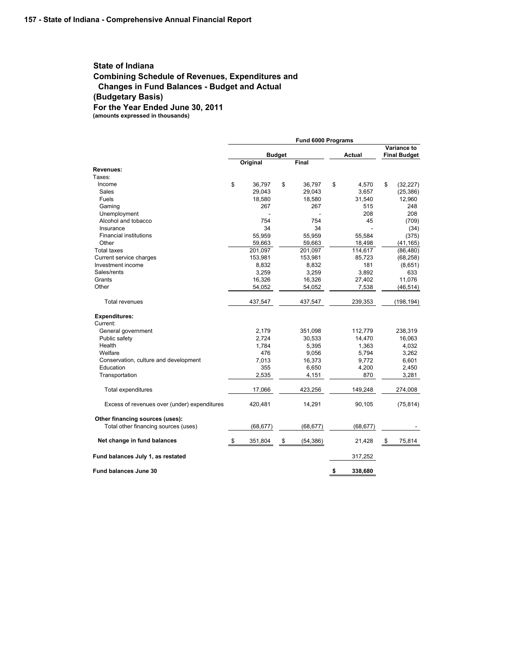#### **State of Indiana Combining Schedule of Revenues, Expenditures and Changes in Fund Balances - Budget and Actual (Budgetary Basis) For the Year Ended June 30, 2011 (amounts expressed in thousands)**

|                                              |               |               |           | Fund 6000 Programs |          |                    |                     |  |  |
|----------------------------------------------|---------------|---------------|-----------|--------------------|----------|--------------------|---------------------|--|--|
|                                              |               |               |           |                    |          | <b>Variance to</b> |                     |  |  |
|                                              |               | <b>Budget</b> |           |                    | Actual   |                    | <b>Final Budget</b> |  |  |
|                                              | Original      |               | Final     |                    |          |                    |                     |  |  |
| <b>Revenues:</b>                             |               |               |           |                    |          |                    |                     |  |  |
| Taxes:<br>Income                             | \$<br>36,797  | \$            | 36,797    | \$                 |          | \$                 |                     |  |  |
|                                              |               |               |           |                    | 4,570    |                    | (32, 227)           |  |  |
| Sales                                        | 29,043        |               | 29,043    |                    | 3,657    |                    | (25, 386)           |  |  |
| Fuels                                        | 18,580        |               | 18,580    |                    | 31,540   |                    | 12,960              |  |  |
| Gaming                                       | 267           |               | 267       |                    | 515      |                    | 248                 |  |  |
| Unemployment                                 | ÷.            |               |           |                    | 208      |                    | 208                 |  |  |
| Alcohol and tobacco                          | 754           |               | 754       |                    | 45       |                    | (709)               |  |  |
| Insurance                                    | 34            |               | 34        |                    |          |                    | (34)                |  |  |
| <b>Financial institutions</b>                | 55,959        |               | 55,959    |                    | 55,584   |                    | (375)               |  |  |
| Other                                        | 59,663        |               | 59,663    |                    | 18,498   |                    | (41, 165)           |  |  |
| <b>Total taxes</b>                           | 201,097       |               | 201,097   |                    | 114,617  |                    | (86, 480)           |  |  |
| Current service charges                      | 153,981       |               | 153,981   |                    | 85,723   |                    | (68, 258)           |  |  |
| Investment income                            | 8,832         |               | 8,832     |                    | 181      |                    | (8,651)             |  |  |
| Sales/rents                                  | 3,259         |               | 3,259     |                    | 3,892    |                    | 633                 |  |  |
| Grants                                       | 16,326        |               | 16,326    |                    | 27,402   |                    | 11,076              |  |  |
| Other                                        | 54,052        |               | 54,052    |                    | 7,538    |                    | (46, 514)           |  |  |
| <b>Total revenues</b>                        | 437,547       |               | 437,547   |                    | 239,353  |                    | (198, 194)          |  |  |
| <b>Expenditures:</b>                         |               |               |           |                    |          |                    |                     |  |  |
| Current:                                     |               |               |           |                    |          |                    |                     |  |  |
| General government                           | 2,179         |               | 351,098   |                    | 112,779  |                    | 238,319             |  |  |
| Public safety                                | 2,724         |               | 30,533    |                    | 14,470   |                    | 16,063              |  |  |
| Health                                       | 1,784         |               | 5,395     |                    | 1,363    |                    | 4,032               |  |  |
| Welfare                                      | 476           |               | 9,056     |                    | 5,794    |                    | 3,262               |  |  |
| Conservation, culture and development        | 7,013         |               | 16,373    |                    | 9,772    |                    | 6,601               |  |  |
| Education                                    | 355           |               | 6,650     |                    | 4,200    |                    | 2,450               |  |  |
| Transportation                               | 2,535         |               | 4,151     |                    | 870      |                    | 3,281               |  |  |
| Total expenditures                           | 17,066        |               | 423,256   |                    | 149,248  |                    | 274,008             |  |  |
| Excess of revenues over (under) expenditures | 420,481       |               | 14,291    |                    | 90,105   |                    | (75, 814)           |  |  |
| Other financing sources (uses):              |               |               |           |                    |          |                    |                     |  |  |
| Total other financing sources (uses)         | (68, 677)     |               | (68, 677) |                    | (68,677) |                    |                     |  |  |
| Net change in fund balances                  | \$<br>351,804 | \$            | (54, 386) |                    | 21.428   | \$                 | 75,814              |  |  |
| Fund balances July 1, as restated            |               |               |           |                    | 317,252  |                    |                     |  |  |
| Fund balances June 30                        |               |               |           | \$                 | 338,680  |                    |                     |  |  |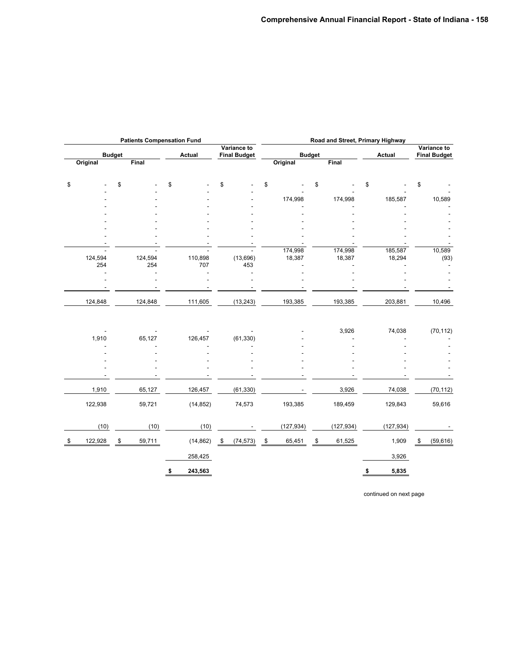| <b>Patients Compensation Fund</b> |          |               |         |    |           |             |                     | Road and Street, Primary Highway |            |               |            |    |               |             |                     |  |  |  |  |
|-----------------------------------|----------|---------------|---------|----|-----------|-------------|---------------------|----------------------------------|------------|---------------|------------|----|---------------|-------------|---------------------|--|--|--|--|
|                                   |          |               |         |    |           | Variance to |                     |                                  |            |               |            |    |               | Variance to |                     |  |  |  |  |
|                                   |          | <b>Budget</b> |         |    | Actual    |             | <b>Final Budget</b> |                                  |            | <b>Budget</b> |            |    | <b>Actual</b> |             | <b>Final Budget</b> |  |  |  |  |
|                                   | Original |               | Final   |    |           |             |                     |                                  | Original   |               | Final      |    |               |             |                     |  |  |  |  |
| \$                                |          | \$            |         | \$ |           | \$          |                     | \$                               |            | \$            |            | \$ |               | \$          |                     |  |  |  |  |
|                                   |          |               |         |    |           |             |                     |                                  |            |               |            |    |               |             |                     |  |  |  |  |
|                                   |          |               |         |    |           |             |                     |                                  | 174,998    |               | 174,998    |    | 185,587       |             | 10,589              |  |  |  |  |
|                                   |          |               |         |    |           |             |                     |                                  |            |               |            |    |               |             |                     |  |  |  |  |
|                                   |          |               |         |    |           |             |                     |                                  |            |               |            |    |               |             |                     |  |  |  |  |
|                                   |          |               |         |    |           |             |                     |                                  |            |               |            |    |               |             |                     |  |  |  |  |
|                                   |          |               |         |    |           |             |                     |                                  |            |               |            |    |               |             |                     |  |  |  |  |
|                                   |          |               |         |    |           |             |                     |                                  | 174,998    |               | 174,998    |    | 185,587       |             | 10,589              |  |  |  |  |
|                                   | 124,594  |               | 124,594 |    | 110,898   |             | (13,696)            |                                  | 18,387     |               | 18,387     |    | 18,294        |             | (93)                |  |  |  |  |
|                                   | 254      |               | 254     |    | 707       |             | 453                 |                                  |            |               |            |    |               |             |                     |  |  |  |  |
|                                   |          |               |         |    |           |             |                     |                                  |            |               |            |    |               |             |                     |  |  |  |  |
|                                   |          |               |         |    |           |             |                     |                                  |            |               |            |    |               |             |                     |  |  |  |  |
|                                   |          |               |         |    |           |             |                     |                                  |            |               |            |    |               |             |                     |  |  |  |  |
|                                   | 124,848  |               | 124,848 |    | 111,605   |             | (13, 243)           |                                  | 193,385    |               | 193,385    |    | 203,881       |             | 10,496              |  |  |  |  |
|                                   |          |               |         |    |           |             |                     |                                  |            |               |            |    |               |             |                     |  |  |  |  |
|                                   |          |               |         |    |           |             |                     |                                  |            |               | 3,926      |    | 74,038        |             | (70, 112)           |  |  |  |  |
|                                   | 1,910    |               | 65,127  |    | 126,457   |             | (61, 330)           |                                  |            |               |            |    |               |             |                     |  |  |  |  |
|                                   |          |               |         |    |           |             |                     |                                  |            |               |            |    |               |             |                     |  |  |  |  |
|                                   |          |               |         |    |           |             |                     |                                  |            |               |            |    |               |             |                     |  |  |  |  |
|                                   |          |               |         |    |           |             |                     |                                  |            |               |            |    |               |             |                     |  |  |  |  |
|                                   |          |               |         |    |           |             |                     |                                  |            |               |            |    |               |             |                     |  |  |  |  |
|                                   | 1,910    |               | 65,127  |    | 126,457   |             | (61, 330)           |                                  |            |               | 3,926      |    | 74,038        |             | (70, 112)           |  |  |  |  |
|                                   | 122,938  |               | 59,721  |    | (14, 852) |             | 74,573              |                                  | 193,385    |               | 189,459    |    | 129,843       |             | 59,616              |  |  |  |  |
|                                   |          |               |         |    |           |             |                     |                                  |            |               |            |    |               |             |                     |  |  |  |  |
|                                   | (10)     |               | (10)    |    | (10)      |             |                     |                                  | (127, 934) |               | (127, 934) |    | (127, 934)    |             |                     |  |  |  |  |
| \$                                | 122,928  | \$            | 59,711  |    | (14, 862) | - \$        | (74, 573)           | \$                               | 65,451     | \$            | 61,525     |    | 1,909         | \$          | (59, 616)           |  |  |  |  |
|                                   |          |               |         |    | 258,425   |             |                     |                                  |            |               |            |    | 3,926         |             |                     |  |  |  |  |
|                                   |          |               |         |    |           |             |                     |                                  |            |               |            |    |               |             |                     |  |  |  |  |
|                                   |          |               |         | \$ | 243,563   |             |                     |                                  |            |               |            | \$ | 5,835         |             |                     |  |  |  |  |

continued on next page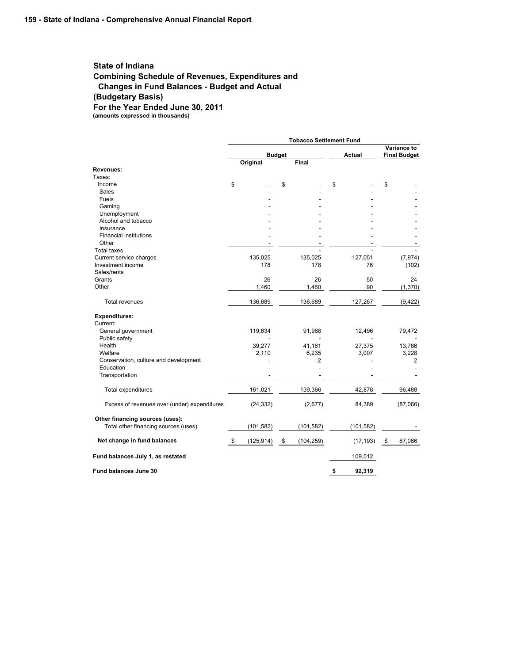#### **State of Indiana Combining Schedule of Revenues, Expenditures and Changes in Fund Balances - Budget and Actual (Budgetary Basis) For the Year Ended June 30, 2011 (amounts expressed in thousands)**

|                                                    |                  | <b>Tobacco Settlement Fund</b> |              |                     |  |  |  |  |  |  |  |  |
|----------------------------------------------------|------------------|--------------------------------|--------------|---------------------|--|--|--|--|--|--|--|--|
|                                                    |                  |                                |              | Variance to         |  |  |  |  |  |  |  |  |
|                                                    |                  | Budget                         | Actual       | <b>Final Budget</b> |  |  |  |  |  |  |  |  |
|                                                    | Original         | Final                          |              |                     |  |  |  |  |  |  |  |  |
| Revenues:                                          |                  |                                |              |                     |  |  |  |  |  |  |  |  |
| Taxes:                                             |                  |                                |              |                     |  |  |  |  |  |  |  |  |
| Income                                             | \$               | \$                             | \$           | \$                  |  |  |  |  |  |  |  |  |
| Sales                                              |                  |                                |              |                     |  |  |  |  |  |  |  |  |
| <b>Fuels</b>                                       |                  |                                |              |                     |  |  |  |  |  |  |  |  |
| Gaming<br>Unemployment                             |                  |                                |              |                     |  |  |  |  |  |  |  |  |
| Alcohol and tobacco                                |                  |                                |              |                     |  |  |  |  |  |  |  |  |
| Insurance                                          |                  |                                |              |                     |  |  |  |  |  |  |  |  |
| <b>Financial institutions</b>                      |                  |                                |              |                     |  |  |  |  |  |  |  |  |
| Other                                              |                  |                                |              |                     |  |  |  |  |  |  |  |  |
| <b>Total taxes</b>                                 |                  |                                |              |                     |  |  |  |  |  |  |  |  |
| Current service charges                            | 135,025          | 135,025                        | 127,051      | (7, 974)            |  |  |  |  |  |  |  |  |
| Investment income                                  | 178              | 178                            | 76           | (102)               |  |  |  |  |  |  |  |  |
| Sales/rents                                        |                  |                                |              |                     |  |  |  |  |  |  |  |  |
| Grants                                             | 26               | 26                             | 50           | 24                  |  |  |  |  |  |  |  |  |
| Other                                              | 1,460            | 1,460                          | 90           | (1, 370)            |  |  |  |  |  |  |  |  |
| <b>Total revenues</b>                              | 136,689          | 136,689                        | 127,267      | (9, 422)            |  |  |  |  |  |  |  |  |
|                                                    |                  |                                |              |                     |  |  |  |  |  |  |  |  |
| <b>Expenditures:</b>                               |                  |                                |              |                     |  |  |  |  |  |  |  |  |
| Current:                                           |                  |                                |              |                     |  |  |  |  |  |  |  |  |
| General government                                 | 119,634          | 91,968                         | 12,496       | 79,472              |  |  |  |  |  |  |  |  |
| Public safety                                      |                  |                                |              |                     |  |  |  |  |  |  |  |  |
| Health                                             | 39,277           | 41,161                         | 27,375       | 13,786              |  |  |  |  |  |  |  |  |
| Welfare                                            | 2,110            | 6,235                          | 3,007        | 3,228               |  |  |  |  |  |  |  |  |
| Conservation, culture and development<br>Education |                  | 2                              |              | 2                   |  |  |  |  |  |  |  |  |
| Transportation                                     |                  |                                |              |                     |  |  |  |  |  |  |  |  |
|                                                    |                  |                                |              |                     |  |  |  |  |  |  |  |  |
| Total expenditures                                 | 161,021          | 139,366                        | 42,878       | 96,488              |  |  |  |  |  |  |  |  |
| Excess of revenues over (under) expenditures       | (24, 332)        | (2,677)                        | 84,389       | (87,066)            |  |  |  |  |  |  |  |  |
| Other financing sources (uses):                    |                  |                                |              |                     |  |  |  |  |  |  |  |  |
| Total other financing sources (uses)               | (101, 582)       | (101, 582)                     | (101, 582)   |                     |  |  |  |  |  |  |  |  |
| Net change in fund balances                        | \$<br>(125, 914) | (104, 259)<br>\$               | (17, 193)    | 87,066<br>\$        |  |  |  |  |  |  |  |  |
| Fund balances July 1, as restated                  |                  |                                | 109,512      |                     |  |  |  |  |  |  |  |  |
| <b>Fund balances June 30</b>                       |                  |                                | 92,319<br>\$ |                     |  |  |  |  |  |  |  |  |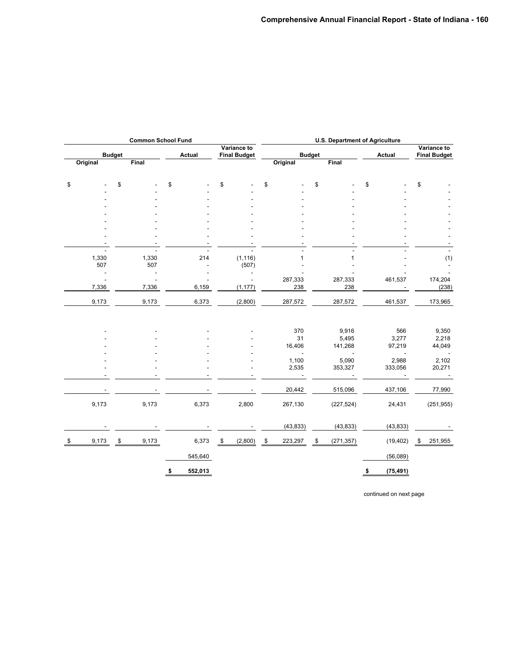|                      |           | U.S. Department of Agriculture |               |                          |    |                     | <b>Common School Fund</b> |    |              |               |              |    |
|----------------------|-----------|--------------------------------|---------------|--------------------------|----|---------------------|---------------------------|----|--------------|---------------|--------------|----|
| Variance to          |           |                                |               |                          |    | Variance to         |                           |    |              |               |              |    |
| <b>Final Budget</b>  | Actual    |                                | <b>Budget</b> |                          |    | <b>Final Budget</b> | Actual                    |    |              | <b>Budget</b> |              |    |
|                      |           | Final                          |               | Original                 |    |                     |                           |    | Final        |               | Original     |    |
| \$                   |           | \$                             | \$            |                          | \$ |                     | \$                        | \$ |              | \$            |              | \$ |
|                      |           |                                |               |                          |    |                     |                           |    |              |               |              |    |
|                      |           |                                |               |                          |    |                     |                           |    |              |               |              |    |
|                      |           |                                |               |                          |    |                     |                           |    |              |               |              |    |
|                      |           |                                |               |                          |    |                     |                           |    |              |               |              |    |
|                      |           |                                |               |                          |    |                     |                           |    |              |               |              |    |
|                      |           |                                |               |                          |    |                     |                           |    |              |               |              |    |
|                      |           |                                |               |                          |    |                     |                           |    |              |               |              |    |
| (1)                  |           |                                |               | 1                        |    | (1, 116)<br>(507)   | 214                       |    | 1,330<br>507 |               | 1,330<br>507 |    |
|                      |           |                                |               |                          |    |                     |                           |    |              |               |              |    |
| 174,204<br>(238)     | 461,537   | 287,333<br>238                 |               | 287,333<br>238           |    | (1, 177)            | 6,159                     |    | 7,336        |               | 7,336        |    |
|                      |           |                                |               |                          |    |                     |                           |    |              |               |              |    |
| 173,965              | 461,537   | 287,572                        |               | 287,572                  |    | (2,800)             | 6,373                     |    | 9,173        |               | 9,173        |    |
|                      |           |                                |               |                          |    |                     |                           |    |              |               |              |    |
| 9,350                | 566       | 9,916                          |               | 370                      |    |                     |                           |    |              |               |              |    |
| 2,218                | 3,277     | 5,495                          |               | 31                       |    |                     |                           |    |              |               |              |    |
| 44,049               | 97,219    | 141,268                        |               | 16,406                   |    |                     |                           |    |              |               |              |    |
| 2,102                | 2,988     | 5,090                          |               | 1,100                    |    |                     |                           |    |              |               |              |    |
| 20,271               | 333,056   | 353,327                        |               | 2,535                    |    |                     |                           |    |              |               |              |    |
| $\sim 100$ m $^{-1}$ |           |                                |               | $\overline{\phantom{a}}$ |    |                     |                           |    |              |               |              |    |
| 77,990               | 437,106   | 515,096                        |               | 20,442                   |    |                     |                           |    |              |               |              |    |
| (251, 955)           | 24,431    | (227, 524)                     |               | 267,130                  |    | 2,800               | 6,373                     |    | 9,173        |               | 9,173        |    |
|                      |           |                                |               |                          |    |                     |                           |    |              |               |              |    |
|                      | (43, 833) | (43, 833)                      |               | (43, 833)                |    |                     |                           |    |              |               |              |    |
| 251,955<br>\$        | (19, 402) | (271, 357)                     | \$            | 223,297                  | \$ | (2,800)             | \$<br>6,373               |    | 9,173        | $\sqrt{3}$    | 9,173        | \$ |
|                      | (56,089)  |                                |               |                          |    |                     | 545,640                   |    |              |               |              |    |
|                      | (75, 491) | \$                             |               |                          |    |                     | 552,013                   | \$ |              |               |              |    |
|                      |           |                                |               |                          |    |                     |                           |    |              |               |              |    |

continued on next page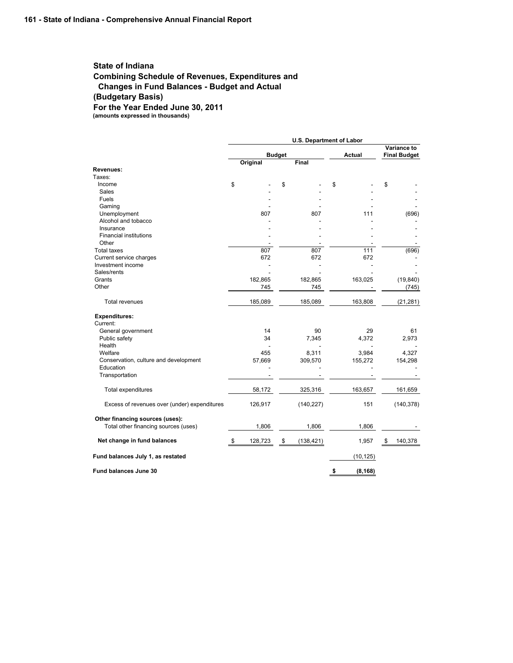#### **State of Indiana Combining Schedule of Revenues, Expenditures and Changes in Fund Balances - Budget and Actual (Budgetary Basis) For the Year Ended June 30, 2011 (amounts expressed in thousands)**

|                                              | U.S. Department of Labor |          |        |            |    |                |                     |  |  |  |  |
|----------------------------------------------|--------------------------|----------|--------|------------|----|----------------|---------------------|--|--|--|--|
|                                              |                          |          |        |            |    |                | Variance to         |  |  |  |  |
|                                              |                          |          | Budget |            |    | Actual         | <b>Final Budget</b> |  |  |  |  |
| Revenues:                                    |                          | Original |        | Final      |    |                |                     |  |  |  |  |
| Taxes:                                       |                          |          |        |            |    |                |                     |  |  |  |  |
| Income                                       | \$                       |          | \$     |            | \$ |                | \$                  |  |  |  |  |
| Sales                                        |                          |          |        |            |    |                |                     |  |  |  |  |
| <b>Fuels</b>                                 |                          |          |        |            |    |                |                     |  |  |  |  |
| Gaming                                       |                          |          |        |            |    |                |                     |  |  |  |  |
| Unemployment                                 |                          | 807      |        | 807        |    | 111            | (696)               |  |  |  |  |
| Alcohol and tobacco                          |                          |          |        |            |    |                |                     |  |  |  |  |
| Insurance                                    |                          |          |        |            |    |                |                     |  |  |  |  |
| <b>Financial institutions</b>                |                          |          |        |            |    |                |                     |  |  |  |  |
| Other                                        |                          |          |        |            |    |                |                     |  |  |  |  |
| <b>Total taxes</b>                           |                          | 807      |        | 807        |    | 111            | (696)               |  |  |  |  |
| Current service charges                      |                          | 672      |        | 672        |    | 672            |                     |  |  |  |  |
| Investment income                            |                          |          |        |            |    |                |                     |  |  |  |  |
| Sales/rents                                  |                          |          |        |            |    |                |                     |  |  |  |  |
| Grants                                       |                          | 182,865  |        | 182,865    |    | 163,025        | (19, 840)           |  |  |  |  |
| Other                                        |                          | 745      |        | 745        |    |                | (745)               |  |  |  |  |
| Total revenues                               |                          | 185,089  |        | 185,089    |    | 163,808        | (21, 281)           |  |  |  |  |
| <b>Expenditures:</b>                         |                          |          |        |            |    |                |                     |  |  |  |  |
| Current:                                     |                          |          |        |            |    |                |                     |  |  |  |  |
| General government                           |                          | 14       |        | 90         |    | 29             | 61                  |  |  |  |  |
| Public safety                                |                          | 34       |        | 7,345      |    | 4,372          | 2,973               |  |  |  |  |
| Health                                       |                          |          |        |            |    | $\overline{a}$ |                     |  |  |  |  |
| Welfare                                      |                          | 455      |        | 8,311      |    | 3,984          | 4,327               |  |  |  |  |
| Conservation, culture and development        |                          | 57,669   |        | 309,570    |    | 155,272        | 154,298             |  |  |  |  |
| Education                                    |                          |          |        |            |    |                |                     |  |  |  |  |
| Transportation                               |                          |          |        |            |    |                |                     |  |  |  |  |
| Total expenditures                           |                          | 58,172   |        | 325,316    |    | 163,657        | 161,659             |  |  |  |  |
| Excess of revenues over (under) expenditures |                          | 126,917  |        | (140, 227) |    | 151            | (140, 378)          |  |  |  |  |
| Other financing sources (uses):              |                          |          |        |            |    |                |                     |  |  |  |  |
| Total other financing sources (uses)         |                          | 1,806    |        | 1,806      |    | 1,806          |                     |  |  |  |  |
| Net change in fund balances                  | \$                       | 128,723  | \$     | (138, 421) |    | 1,957          | \$<br>140,378       |  |  |  |  |
| Fund balances July 1, as restated            |                          |          |        |            |    | (10, 125)      |                     |  |  |  |  |
| <b>Fund balances June 30</b>                 |                          |          |        |            | \$ | (8, 168)       |                     |  |  |  |  |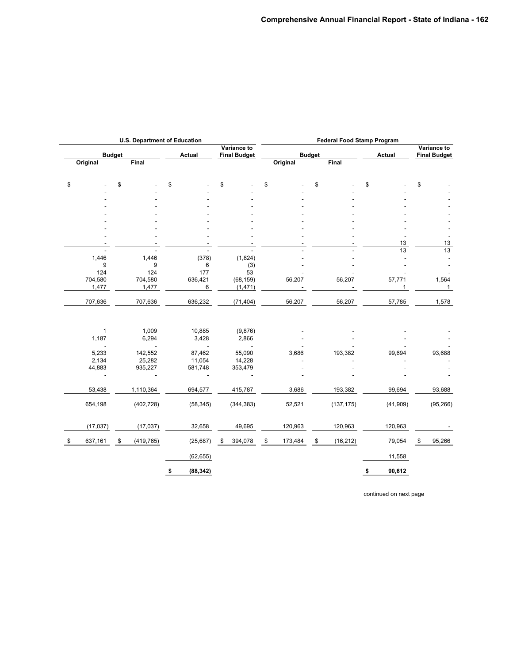|                  | <b>U.S. Department of Education</b> |            | <b>Federal Food Stamp Program</b> |             |                       |    |          |               |            |    |             |             |                       |
|------------------|-------------------------------------|------------|-----------------------------------|-------------|-----------------------|----|----------|---------------|------------|----|-------------|-------------|-----------------------|
|                  |                                     |            |                                   | Variance to |                       |    |          |               |            |    |             | Variance to |                       |
|                  | <b>Budget</b>                       |            | Actual                            |             | <b>Final Budget</b>   |    |          | <b>Budget</b> |            |    | Actual      |             | <b>Final Budget</b>   |
| Original         |                                     | Final      |                                   |             |                       |    | Original |               | Final      |    |             |             |                       |
| \$               | \$                                  |            | \$                                | \$          |                       | \$ |          | \$            |            | \$ |             | \$          |                       |
|                  |                                     |            |                                   |             |                       |    |          |               |            |    |             |             |                       |
|                  |                                     |            |                                   |             |                       |    |          |               |            |    |             |             |                       |
|                  |                                     |            |                                   |             |                       |    |          |               |            |    |             |             |                       |
|                  |                                     |            |                                   |             |                       |    |          |               |            |    |             |             |                       |
|                  |                                     |            |                                   |             |                       |    |          |               |            |    |             |             |                       |
|                  |                                     |            |                                   |             |                       |    |          |               |            |    |             |             |                       |
|                  |                                     |            |                                   |             |                       |    |          |               |            |    | 13<br>13    |             | 13<br>13              |
| 1,446            |                                     | 1,446      | (378)                             |             | (1,824)               |    |          |               |            |    |             |             |                       |
| 9                |                                     | 9          | 6                                 |             | (3)                   |    |          |               |            |    |             |             |                       |
| 124              |                                     | 124        | 177                               |             | 53                    |    |          |               |            |    |             |             |                       |
| 704,580<br>1,477 |                                     | 704,580    | 636,421                           |             | (68, 159)<br>(1, 471) |    | 56,207   |               | 56,207     |    | 57,771<br>1 |             | 1,564<br>$\mathbf{1}$ |
|                  |                                     | 1,477      | 6                                 |             |                       |    |          |               |            |    |             |             |                       |
| 707,636          |                                     | 707,636    | 636,232                           |             | (71, 404)             |    | 56,207   |               | 56,207     |    | 57,785      |             | 1,578                 |
|                  |                                     |            |                                   |             |                       |    |          |               |            |    |             |             |                       |
| $\mathbf{1}$     |                                     | 1,009      | 10,885                            |             | (9,876)               |    |          |               |            |    |             |             |                       |
| 1,187            |                                     | 6,294      | 3,428<br>$\overline{a}$           |             | 2,866                 |    |          |               |            |    |             |             |                       |
| 5,233            |                                     | 142,552    | 87,462                            |             | 55,090                |    | 3,686    |               | 193,382    |    | 99,694      |             | 93,688                |
| 2,134            |                                     | 25,282     | 11,054                            |             | 14,228                |    |          |               |            |    |             |             |                       |
| 44,883           |                                     | 935,227    | 581,748                           |             | 353,479               |    |          |               |            |    |             |             |                       |
|                  |                                     |            |                                   |             |                       |    |          |               |            |    |             |             |                       |
| 53,438           |                                     | 1,110,364  | 694,577                           |             | 415,787               |    | 3,686    |               | 193,382    |    | 99,694      |             | 93,688                |
| 654,198          |                                     | (402, 728) | (58, 345)                         |             | (344, 383)            |    | 52,521   |               | (137, 175) |    | (41,909)    |             | (95, 266)             |
| (17, 037)        |                                     | (17,037)   | 32,658                            |             | 49,695                |    | 120,963  |               | 120,963    |    | 120,963     |             |                       |
| \$<br>637,161    | \$                                  | (419, 765) | (25, 687)                         | \$          | 394,078               | \$ | 173,484  | \$            | (16, 212)  |    | 79,054      | \$          | 95,266                |
|                  |                                     |            | (62, 655)                         |             |                       |    |          |               |            |    | 11,558      |             |                       |
|                  |                                     |            | \$<br>(88, 342)                   |             |                       |    |          |               |            | \$ | 90,612      |             |                       |

continued on next page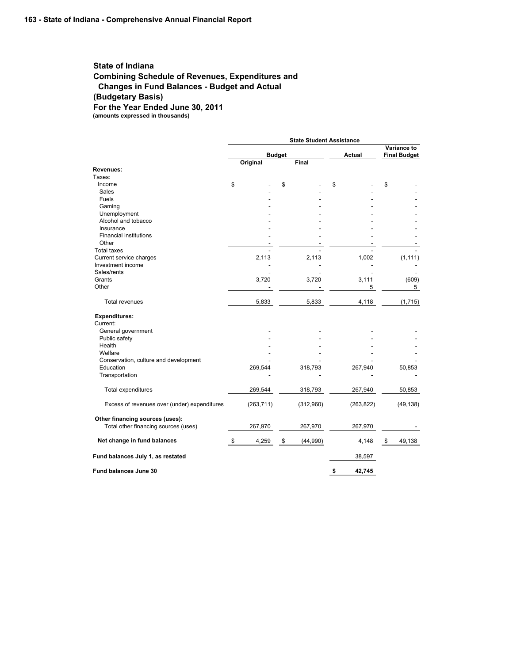#### **State of Indiana Combining Schedule of Revenues, Expenditures and Changes in Fund Balances - Budget and Actual (Budgetary Basis) For the Year Ended June 30, 2011 (amounts expressed in thousands)**

|                                              |          |            |               | <b>State Student Assistance</b> |              |             |                     |  |
|----------------------------------------------|----------|------------|---------------|---------------------------------|--------------|-------------|---------------------|--|
|                                              |          |            |               |                                 |              | Variance to |                     |  |
|                                              |          |            | <b>Budget</b> |                                 | Actual       |             | <b>Final Budget</b> |  |
|                                              | Original |            |               | <b>Final</b>                    |              |             |                     |  |
| Revenues:                                    |          |            |               |                                 |              |             |                     |  |
| Taxes:                                       |          |            |               |                                 |              |             |                     |  |
| Income                                       | \$       |            | \$            |                                 | \$           | \$          |                     |  |
| Sales                                        |          |            |               |                                 |              |             |                     |  |
| <b>Fuels</b>                                 |          |            |               |                                 |              |             |                     |  |
| Gaming                                       |          |            |               |                                 |              |             |                     |  |
| Unemployment                                 |          |            |               |                                 |              |             |                     |  |
| Alcohol and tobacco                          |          |            |               |                                 |              |             |                     |  |
| Insurance                                    |          |            |               |                                 |              |             |                     |  |
| <b>Financial institutions</b>                |          |            |               |                                 |              |             |                     |  |
| Other                                        |          |            |               |                                 |              |             |                     |  |
| <b>Total taxes</b>                           |          |            |               |                                 |              |             |                     |  |
| Current service charges                      |          | 2,113      |               | 2,113                           | 1,002        |             | (1, 111)            |  |
| Investment income                            |          |            |               |                                 |              |             |                     |  |
| Sales/rents                                  |          |            |               |                                 |              |             |                     |  |
| Grants                                       |          | 3,720      |               | 3,720                           | 3,111        |             | (609)               |  |
| Other                                        |          |            |               |                                 | 5            |             | 5                   |  |
| <b>Total revenues</b>                        |          | 5,833      |               | 5,833                           | 4,118        |             | (1,715)             |  |
| <b>Expenditures:</b>                         |          |            |               |                                 |              |             |                     |  |
| Current:                                     |          |            |               |                                 |              |             |                     |  |
| General government                           |          |            |               |                                 |              |             |                     |  |
| Public safety                                |          |            |               |                                 |              |             |                     |  |
| Health                                       |          |            |               |                                 |              |             |                     |  |
| Welfare                                      |          |            |               |                                 |              |             |                     |  |
| Conservation, culture and development        |          |            |               |                                 |              |             |                     |  |
| Education                                    |          | 269,544    |               | 318,793                         | 267,940      |             | 50,853              |  |
| Transportation                               |          |            |               |                                 |              |             |                     |  |
| Total expenditures                           |          | 269,544    |               | 318,793                         | 267,940      |             | 50,853              |  |
| Excess of revenues over (under) expenditures |          | (263, 711) |               | (312,960)                       | (263, 822)   |             | (49, 138)           |  |
| Other financing sources (uses):              |          |            |               |                                 |              |             |                     |  |
| Total other financing sources (uses)         |          | 267,970    |               | 267,970                         | 267,970      |             |                     |  |
| Net change in fund balances                  | \$       | 4,259      | \$            | (44, 990)                       | 4,148        | \$          | 49,138              |  |
| Fund balances July 1, as restated            |          |            |               |                                 | 38,597       |             |                     |  |
|                                              |          |            |               |                                 |              |             |                     |  |
| Fund balances June 30                        |          |            |               |                                 | \$<br>42,745 |             |                     |  |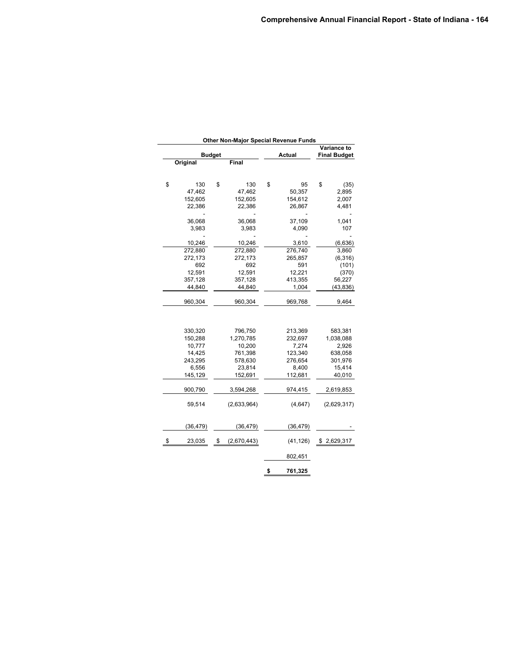|                   |                     | Other Non-Major Special Revenue Funds |                     |
|-------------------|---------------------|---------------------------------------|---------------------|
|                   |                     |                                       | Variance to         |
| <b>Budget</b>     |                     | <b>Actual</b>                         | <b>Final Budget</b> |
| Original          | Final               |                                       |                     |
| \$<br>130         | \$<br>130           | \$<br>95                              | \$<br>(35)          |
| 47,462            | 47,462              | 50,357                                | 2,895               |
| 152,605           | 152,605             | 154,612                               | 2,007               |
| 22,386            | 22,386              | 26,867                                | 4,481               |
| 36,068            | 36,068              | 37,109                                | 1,041               |
| 3,983             | 3,983               | 4,090                                 | 107                 |
| 10,246            | 10,246              |                                       |                     |
| 272,880           | 272,880             | 3,610<br>276,740                      | (6,636)<br>3,860    |
| 272,173           | 272,173             | 265,857                               | (6, 316)            |
| 692               | 692                 | 591                                   | (101)               |
| 12,591            | 12,591              | 12,221                                | (370)               |
| 357,128           | 357,128             | 413,355                               | 56,227              |
| 44,840            | 44,840              | 1,004                                 | (43, 836)           |
| 960,304           | 960,304             | 969,768                               | 9,464               |
|                   |                     |                                       |                     |
| 330,320           | 796,750             | 213,369                               | 583,381             |
| 150,288<br>10,777 | 1,270,785<br>10,200 | 232,697<br>7,274                      | 1,038,088<br>2,926  |
| 14,425            | 761,398             | 123,340                               | 638,058             |
| 243,295           | 578,630             | 276,654                               | 301,976             |
| 6,556             | 23,814              | 8,400                                 | 15,414              |
| 145,129           | 152,691             | 112,681                               | 40,010              |
| 900,790           | 3,594,268           | 974,415                               | 2,619,853           |
| 59,514            | (2,633,964)         | (4,647)                               | (2,629,317)         |
| (36, 479)         | (36, 479)           | (36, 479)                             |                     |
| \$<br>23,035      | \$<br>(2,670,443)   | (41, 126)                             | \$<br>2,629,317     |
|                   |                     | 802,451                               |                     |
|                   |                     | \$<br>761,325                         |                     |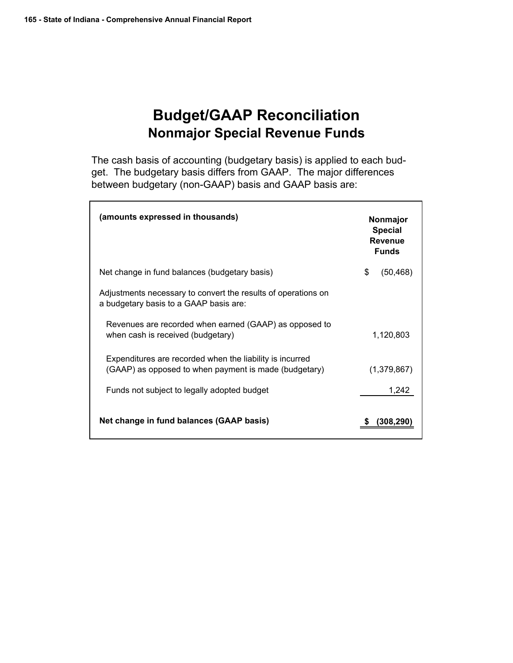# **Budget/GAAP Reconciliation Nonmajor Special Revenue Funds**

The cash basis of accounting (budgetary basis) is applied to each budget. The budgetary basis differs from GAAP. The major differences between budgetary (non-GAAP) basis and GAAP basis are:

| (amounts expressed in thousands)                                                                                  | Nonmajor<br><b>Special</b><br><b>Revenue</b><br><b>Funds</b> |
|-------------------------------------------------------------------------------------------------------------------|--------------------------------------------------------------|
| Net change in fund balances (budgetary basis)                                                                     | \$<br>(50,468)                                               |
| Adjustments necessary to convert the results of operations on<br>a budgetary basis to a GAAP basis are:           |                                                              |
| Revenues are recorded when earned (GAAP) as opposed to<br>when cash is received (budgetary)                       | 1,120,803                                                    |
| Expenditures are recorded when the liability is incurred<br>(GAAP) as opposed to when payment is made (budgetary) | (1,379,867)                                                  |
| Funds not subject to legally adopted budget                                                                       | 1,242                                                        |
| Net change in fund balances (GAAP basis)                                                                          | 308,290                                                      |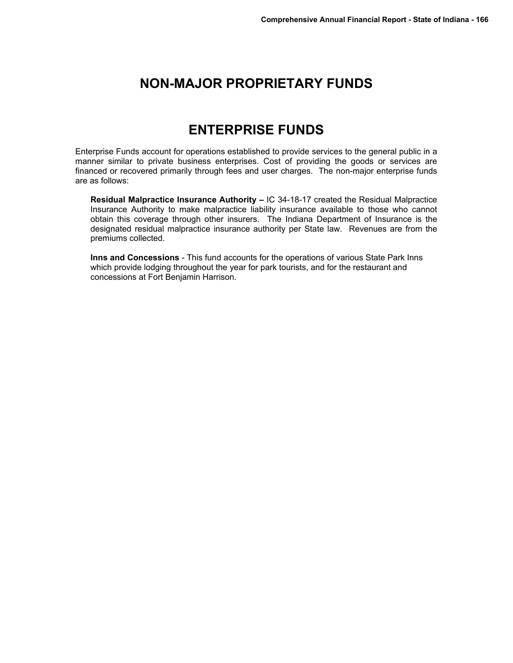## **NON-MAJOR PROPRIETARY FUNDS**

# **ENTERPRISE FUNDS**

Enterprise Funds account for operations established to provide services to the general public in a manner similar to private business enterprises. Cost of providing the goods or services are financed or recovered primarily through fees and user charges. The non-major enterprise funds are as follows:

**Residual Malpractice Insurance Authority –** IC 34-18-17 created the Residual Malpractice Insurance Authority to make malpractice liability insurance available to those who cannot obtain this coverage through other insurers. The Indiana Department of Insurance is the designated residual malpractice insurance authority per State law. Revenues are from the premiums collected.

**Inns and Concessions** - This fund accounts for the operations of various State Park Inns which provide lodging throughout the year for park tourists, and for the restaurant and concessions at Fort Benjamin Harrison.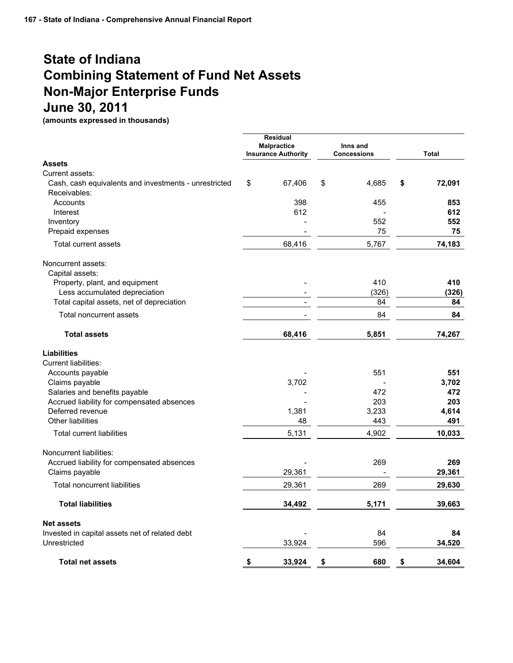# **State of Indiana Combining Statement of Fund Net Assets Non-Major Enterprise Funds June 30, 2011**

|                                                       | <b>Residual</b><br><b>Malpractice</b><br><b>Insurance Authority</b> | Inns and<br><b>Concessions</b> | <b>Total</b> |
|-------------------------------------------------------|---------------------------------------------------------------------|--------------------------------|--------------|
| <b>Assets</b>                                         |                                                                     |                                |              |
| Current assets:                                       |                                                                     |                                |              |
| Cash, cash equivalents and investments - unrestricted | \$<br>67,406                                                        | \$<br>4,685                    | \$<br>72,091 |
| Receivables:                                          |                                                                     |                                |              |
| Accounts                                              | 398                                                                 | 455                            | 853          |
| Interest                                              | 612                                                                 |                                | 612          |
| Inventory                                             |                                                                     | 552                            | 552          |
| Prepaid expenses                                      |                                                                     | 75                             | 75           |
| Total current assets                                  | 68,416                                                              | 5,767                          | 74,183       |
| Noncurrent assets:                                    |                                                                     |                                |              |
| Capital assets:                                       |                                                                     |                                |              |
| Property, plant, and equipment                        |                                                                     | 410                            | 410          |
| Less accumulated depreciation                         |                                                                     | (326)                          | (326)        |
| Total capital assets, net of depreciation             |                                                                     | 84                             | 84           |
| <b>Total noncurrent assets</b>                        |                                                                     | 84                             | 84           |
| <b>Total assets</b>                                   | 68,416                                                              | 5,851                          | 74,267       |
| <b>Liabilities</b>                                    |                                                                     |                                |              |
| Current liabilities:                                  |                                                                     |                                |              |
| Accounts payable                                      |                                                                     | 551                            | 551          |
| Claims payable                                        | 3,702                                                               |                                | 3,702        |
| Salaries and benefits payable                         |                                                                     | 472                            | 472          |
| Accrued liability for compensated absences            |                                                                     | 203                            | 203          |
| Deferred revenue                                      | 1,381                                                               | 3,233                          | 4,614        |
| Other liabilities                                     | 48                                                                  | 443                            | 491          |
| <b>Total current liabilities</b>                      | 5,131                                                               | 4,902                          | 10,033       |
| Noncurrent liabilities:                               |                                                                     |                                |              |
| Accrued liability for compensated absences            |                                                                     | 269                            | 269          |
| Claims payable                                        | 29,361                                                              |                                | 29,361       |
| <b>Total noncurrent liabilities</b>                   | 29,361                                                              | 269                            | 29,630       |
| <b>Total liabilities</b>                              | 34,492                                                              | 5,171                          | 39,663       |
| <b>Net assets</b>                                     |                                                                     |                                |              |
| Invested in capital assets net of related debt        |                                                                     | 84                             | 84           |
| Unrestricted                                          | 33,924                                                              | 596                            | 34,520       |
| <b>Total net assets</b>                               | \$<br>33,924                                                        | \$<br>680                      | \$<br>34,604 |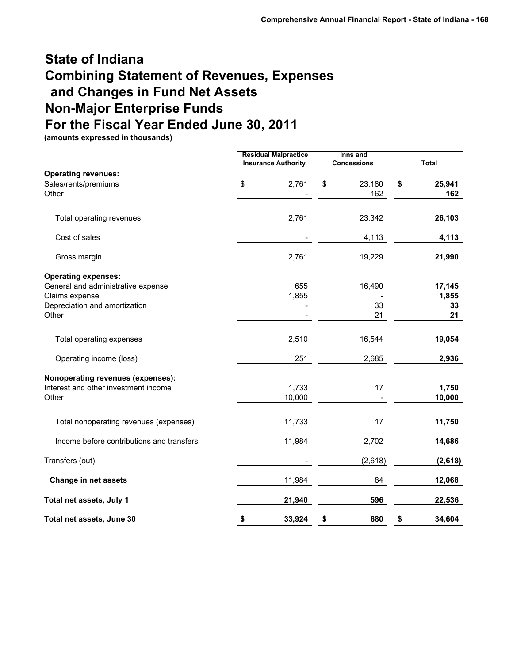# **State of Indiana Combining Statement of Revenues, Expenses and Changes in Fund Net Assets Non-Major Enterprise Funds For the Fiscal Year Ended June 30, 2011**

|                                           | <b>Residual Malpractice</b><br><b>Insurance Authority</b> | Inns and<br><b>Concessions</b> | <b>Total</b>        |
|-------------------------------------------|-----------------------------------------------------------|--------------------------------|---------------------|
| <b>Operating revenues:</b>                |                                                           |                                |                     |
| Sales/rents/premiums<br>Other             | \$<br>2,761                                               | \$<br>23,180<br>162            | \$<br>25,941<br>162 |
|                                           |                                                           |                                |                     |
| Total operating revenues                  | 2,761                                                     | 23,342                         | 26,103              |
| Cost of sales                             |                                                           | 4,113                          | 4,113               |
| Gross margin                              | 2,761                                                     | 19,229                         | 21,990              |
| <b>Operating expenses:</b>                |                                                           |                                |                     |
| General and administrative expense        | 655                                                       | 16,490                         | 17,145              |
| Claims expense                            | 1,855                                                     |                                | 1,855               |
| Depreciation and amortization             |                                                           | 33                             | 33                  |
| Other                                     |                                                           | 21                             | 21                  |
| Total operating expenses                  | 2,510                                                     | 16,544                         | 19,054              |
| Operating income (loss)                   | 251                                                       | 2,685                          | 2,936               |
| Nonoperating revenues (expenses):         |                                                           |                                |                     |
| Interest and other investment income      | 1,733                                                     | 17                             | 1,750               |
| Other                                     | 10,000                                                    |                                | 10,000              |
| Total nonoperating revenues (expenses)    | 11,733                                                    | 17                             | 11,750              |
| Income before contributions and transfers | 11,984                                                    | 2,702                          | 14,686              |
| Transfers (out)                           |                                                           | (2,618)                        | (2,618)             |
| Change in net assets                      | 11,984                                                    | 84                             | 12,068              |
| Total net assets, July 1                  | 21,940                                                    | 596                            | 22,536              |
| Total net assets, June 30                 | \$<br>33,924                                              | \$<br>680                      | \$<br>34,604        |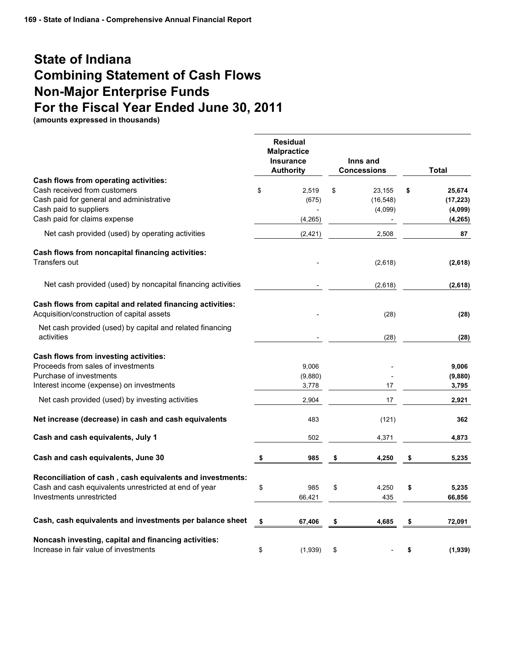# **State of Indiana Combining Statement of Cash Flows Non-Major Enterprise Funds For the Fiscal Year Ended June 30, 2011**

|                                                                                                         | <b>Residual</b><br><b>Malpractice</b><br><b>Insurance</b><br><b>Authority</b> | Inns and<br><b>Concessions</b> | <b>Total</b>              |
|---------------------------------------------------------------------------------------------------------|-------------------------------------------------------------------------------|--------------------------------|---------------------------|
| Cash flows from operating activities:                                                                   |                                                                               |                                |                           |
| Cash received from customers<br>Cash paid for general and administrative                                | \$<br>2,519<br>(675)                                                          | \$<br>23,155<br>(16, 548)      | \$<br>25,674<br>(17, 223) |
| Cash paid to suppliers                                                                                  |                                                                               | (4,099)                        | (4,099)                   |
| Cash paid for claims expense                                                                            | (4, 265)                                                                      |                                | (4, 265)                  |
| Net cash provided (used) by operating activities                                                        | (2, 421)                                                                      | 2,508                          | 87                        |
| Cash flows from noncapital financing activities:                                                        |                                                                               |                                |                           |
| Transfers out                                                                                           |                                                                               | (2,618)                        | (2,618)                   |
| Net cash provided (used) by noncapital financing activities                                             |                                                                               | (2,618)                        | (2,618)                   |
| Cash flows from capital and related financing activities:<br>Acquisition/construction of capital assets |                                                                               | (28)                           | (28)                      |
| Net cash provided (used) by capital and related financing<br>activities                                 |                                                                               | (28)                           | (28)                      |
| Cash flows from investing activities:                                                                   |                                                                               |                                |                           |
| Proceeds from sales of investments                                                                      | 9,006                                                                         |                                | 9,006                     |
| Purchase of investments                                                                                 | (9,880)                                                                       |                                | (9,880)                   |
| Interest income (expense) on investments                                                                | 3,778                                                                         | 17                             | 3,795                     |
| Net cash provided (used) by investing activities                                                        | 2,904                                                                         | 17                             | 2,921                     |
| Net increase (decrease) in cash and cash equivalents                                                    | 483                                                                           | (121)                          | 362                       |
| Cash and cash equivalents, July 1                                                                       | 502                                                                           | 4,371                          | 4,873                     |
| Cash and cash equivalents, June 30                                                                      | \$<br>985                                                                     | \$<br>4,250                    | \$<br>5,235               |
| Reconciliation of cash, cash equivalents and investments:                                               |                                                                               |                                |                           |
| Cash and cash equivalents unrestricted at end of year                                                   | \$<br>985                                                                     | \$<br>4,250                    | \$<br>5,235               |
| Investments unrestricted                                                                                | 66,421                                                                        | 435                            | 66,856                    |
| Cash, cash equivalents and investments per balance sheet                                                | \$<br>67,406                                                                  | \$<br>4,685                    | \$<br>72,091              |
| Noncash investing, capital and financing activities:                                                    |                                                                               |                                |                           |
| Increase in fair value of investments                                                                   | \$<br>(1,939)                                                                 | \$                             | \$<br>(1,939)             |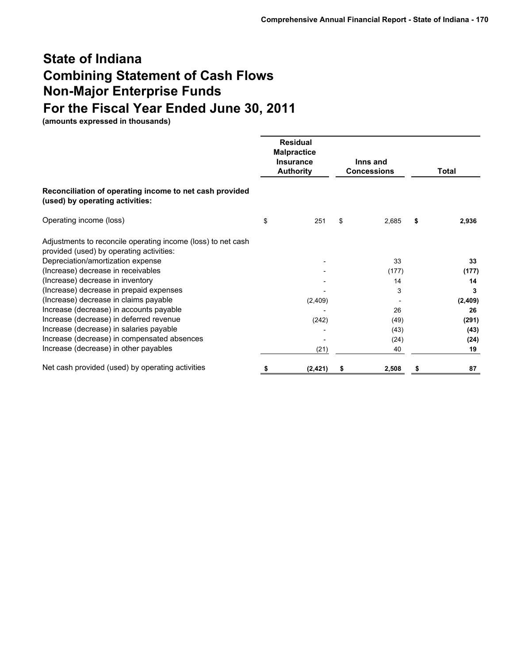# **State of Indiana Combining Statement of Cash Flows Non-Major Enterprise Funds For the Fiscal Year Ended June 30, 2011**

|                                                                                            | <b>Residual</b><br><b>Malpractice</b><br><b>Insurance</b><br><b>Authority</b> | Inns and<br><b>Concessions</b> | Total       |
|--------------------------------------------------------------------------------------------|-------------------------------------------------------------------------------|--------------------------------|-------------|
| Reconciliation of operating income to net cash provided<br>(used) by operating activities: |                                                                               |                                |             |
| Operating income (loss)                                                                    | \$<br>251                                                                     | \$<br>2,685                    | \$<br>2,936 |
| Adjustments to reconcile operating income (loss) to net cash                               |                                                                               |                                |             |
| provided (used) by operating activities:                                                   |                                                                               |                                |             |
| Depreciation/amortization expense                                                          |                                                                               | 33                             | 33          |
| (Increase) decrease in receivables                                                         |                                                                               | (177)                          | (177)       |
| (Increase) decrease in inventory                                                           |                                                                               | 14                             | 14          |
| (Increase) decrease in prepaid expenses                                                    |                                                                               | 3                              | 3           |
| (Increase) decrease in claims payable                                                      | (2,409)                                                                       |                                | (2, 409)    |
| Increase (decrease) in accounts payable                                                    |                                                                               | 26                             | 26          |
| Increase (decrease) in deferred revenue                                                    | (242)                                                                         | (49)                           | (291)       |
| Increase (decrease) in salaries payable                                                    |                                                                               | (43)                           | (43)        |
| Increase (decrease) in compensated absences                                                |                                                                               | (24)                           | (24)        |
| Increase (decrease) in other payables                                                      | (21)                                                                          | 40                             | 19          |
| Net cash provided (used) by operating activities                                           | (2, 421)                                                                      | 2,508                          | 87          |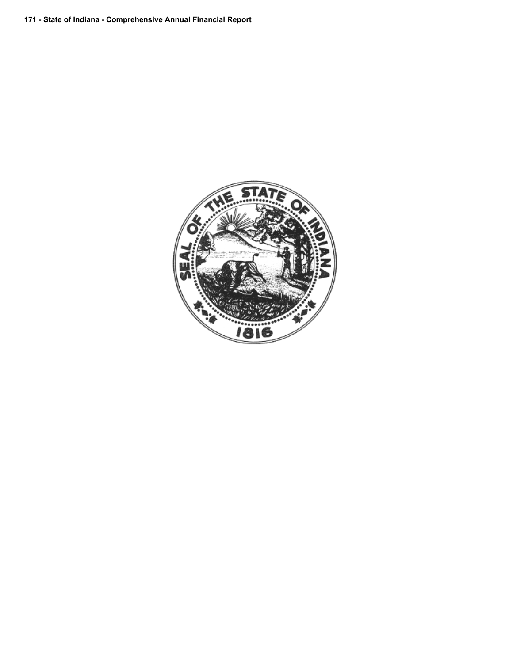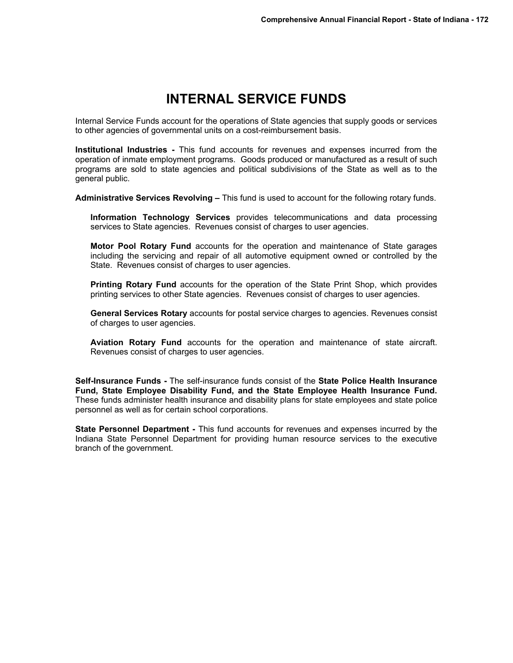## **INTERNAL SERVICE FUNDS**

Internal Service Funds account for the operations of State agencies that supply goods or services to other agencies of governmental units on a cost-reimbursement basis.

**Institutional Industries -** This fund accounts for revenues and expenses incurred from the operation of inmate employment programs. Goods produced or manufactured as a result of such programs are sold to state agencies and political subdivisions of the State as well as to the general public.

**Administrative Services Revolving –** This fund is used to account for the following rotary funds.

**Information Technology Services** provides telecommunications and data processing services to State agencies. Revenues consist of charges to user agencies.

**Motor Pool Rotary Fund** accounts for the operation and maintenance of State garages including the servicing and repair of all automotive equipment owned or controlled by the State. Revenues consist of charges to user agencies.

**Printing Rotary Fund** accounts for the operation of the State Print Shop, which provides printing services to other State agencies. Revenues consist of charges to user agencies.

**General Services Rotary** accounts for postal service charges to agencies. Revenues consist of charges to user agencies.

**Aviation Rotary Fund** accounts for the operation and maintenance of state aircraft. Revenues consist of charges to user agencies.

**Self-Insurance Funds -** The self-insurance funds consist of the **State Police Health Insurance Fund, State Employee Disability Fund, and the State Employee Health Insurance Fund.**  These funds administer health insurance and disability plans for state employees and state police personnel as well as for certain school corporations.

**State Personnel Department -** This fund accounts for revenues and expenses incurred by the Indiana State Personnel Department for providing human resource services to the executive branch of the government.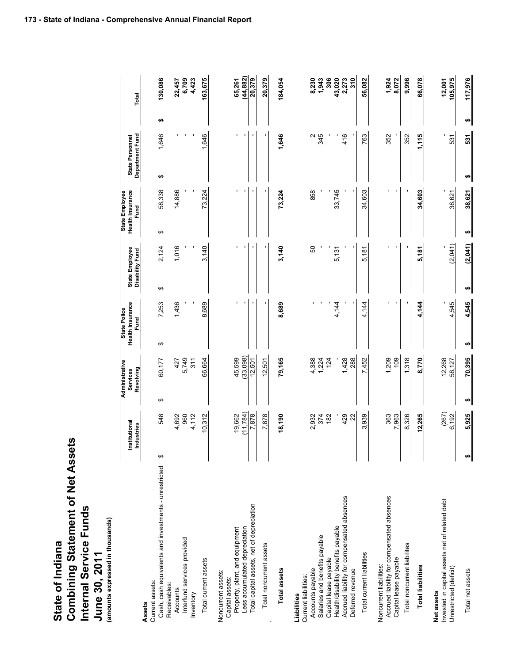|                                                                       | Institutional<br>Industries |   | Administrative<br>Revolving<br>Services |   | Health Insurance<br><b>State Police</b><br>Fund<br>E |   | State Employee<br>Disability Fund |   | Health Insurance<br><b>State Employee</b><br>Fund | Department Fund<br>State Personnel |        | Total           |
|-----------------------------------------------------------------------|-----------------------------|---|-----------------------------------------|---|------------------------------------------------------|---|-----------------------------------|---|---------------------------------------------------|------------------------------------|--------|-----------------|
| Current assets:<br>Assets                                             |                             |   |                                         |   |                                                      |   |                                   |   |                                                   |                                    |        |                 |
| Cash, cash equivalents and investments - unrestricted<br>Receivables: | 548<br>↮                    | ↮ | 60,177                                  | ↮ | 7,253                                                | ↮ | 2,124                             | ↮ | 58,338                                            | 1,646<br>↮                         | ↮      | 130,086         |
| Accounts                                                              | 4,692                       |   | 427                                     |   | 1,436                                                |   | 1,016                             |   | 14,886                                            |                                    |        |                 |
| Interfund services provided                                           | 960                         |   | 5,749                                   |   |                                                      |   |                                   |   |                                                   |                                    |        | 22,457<br>6,709 |
| Inventory                                                             | 4,112                       |   | 311                                     |   |                                                      |   |                                   |   |                                                   |                                    |        | 4,423           |
| Total current assets                                                  | 10,312                      |   | 66,664                                  |   | 8,689                                                |   | 3,140                             |   | 73,224                                            | 1,646                              |        | 163,675         |
| Noncurrent assets:                                                    |                             |   |                                         |   |                                                      |   |                                   |   |                                                   |                                    |        |                 |
| Property, plant, and equipment<br>Capital assets:                     | 19,662                      |   | 45,599                                  |   |                                                      |   |                                   |   |                                                   |                                    |        | 65,261          |
| Less accumulated depreciation                                         | (11, 784)                   |   | 33,098)                                 |   |                                                      |   | ٠                                 |   | ı                                                 |                                    | ı      | 44,882)         |
| Total capital assets, net of depreciation                             | 7,878                       |   | 12,501                                  |   |                                                      |   | $\blacksquare$                    |   | J,                                                |                                    |        | 20,379          |
| Total noncurrent assets                                               | 7,878                       |   | 12,501                                  |   |                                                      |   |                                   |   |                                                   |                                    |        | 20,379          |
| Total assets                                                          | 18,190                      |   | 79,165                                  |   | 8,689                                                |   | 3,140                             |   | 73,224                                            | 1,646                              |        | 184,054         |
| Liabilities                                                           |                             |   |                                         |   |                                                      |   |                                   |   |                                                   |                                    |        |                 |
| Current liabilities:                                                  |                             |   |                                         |   |                                                      |   |                                   |   |                                                   |                                    |        |                 |
| Accounts payable                                                      | 2,932                       |   | 4,388                                   |   |                                                      |   | 50                                |   | 858                                               |                                    | $\sim$ | 8,230           |
| Salaries and benefits payable                                         | 374                         |   | 1,224                                   |   |                                                      |   |                                   |   |                                                   | 345                                |        | 1,943           |
| Capital lease payable                                                 | 182                         |   | 124                                     |   |                                                      |   |                                   |   |                                                   |                                    |        | 306             |
| Health/disability benefits payable                                    |                             |   |                                         |   | 4,144                                                |   | 5,131                             |   | 33,745                                            |                                    |        | 43,020          |
| Accrued liability for compensated absences                            | 429                         |   | 1,428                                   |   |                                                      |   |                                   |   |                                                   | 416                                |        | 2,273           |
| Deferred revenue                                                      | 22                          |   | 288                                     |   |                                                      |   |                                   |   |                                                   |                                    |        | 310             |
| Total current liabilities                                             | 3,939                       |   | 7,452                                   |   | 4,144                                                |   | 5,181                             |   | 34,603                                            | 763                                |        | 56,082          |
| Noncurrent liabilities:                                               |                             |   |                                         |   |                                                      |   |                                   |   |                                                   |                                    |        |                 |
| Accrued liability for compensated absences<br>Capital lease payable   | 363<br>7,963                |   | 1,209<br>109                            |   | $\mathbf{I}$                                         |   | $\mathbf{I}$                      |   |                                                   | 352                                |        | 1,924<br>8,072  |
| Total noncurrent liabilites                                           | 8,326                       |   | 1,318                                   |   |                                                      |   |                                   |   |                                                   | 352                                |        | 9,996           |
|                                                                       |                             |   |                                         |   |                                                      |   |                                   |   |                                                   |                                    |        |                 |
| <b>Total liabilities</b>                                              | 12,265                      |   | 8,770                                   |   | 4,144                                                |   | 5,181                             |   | 34,603                                            | 1,115                              |        | 66,078          |
| nvested in capital assets net of related debt<br>Net assets           | (267)                       |   | 12,268                                  |   |                                                      |   |                                   |   |                                                   |                                    |        | 12,001          |
| Unrestricted (deficit)                                                | 6,192                       |   | 58,127                                  |   | 4,545                                                |   | (2,041)                           |   | 38,621                                            | 531                                |        | 105,975         |
| Total net assets                                                      | 5,925<br>↮                  | ↮ | 70,395                                  | ↮ | 4,545                                                | ↮ | (2,041)                           | ↮ | 38,621                                            | 531<br>↮                           | ↮      | 117,976         |

**State of Indiana<br>Combining Statement of Net Assets<br>Internal Service Funds<br>June 30, 2011 Combining Statement of Net Assets Internal Service Funds (amounts expressed in thousands) State of Indiana June 30, 2011**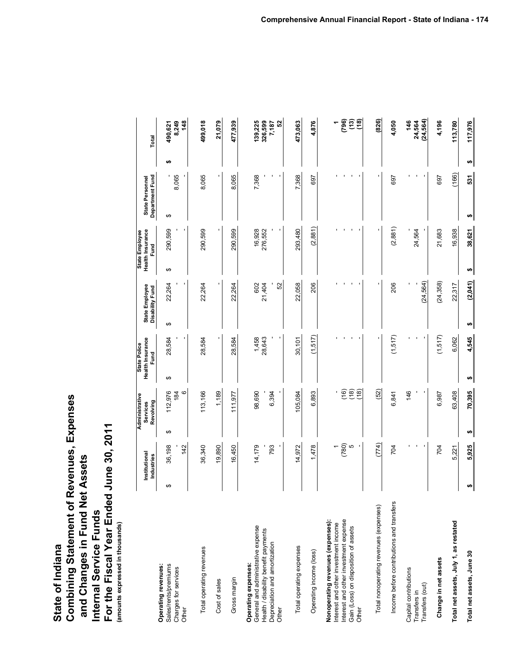Combining Statement of Revenues, Expenses **Combining Statement of Revenues, Expenses** For the Fiscal Year Ended June 30, 2011 **For the Fiscal Year Ended June 30, 2011** and Changes in Fund Net Assets **and Changes in Fund Net Assets** Internal Service Funds **Internal Service Funds** (amounts expressed in thousands) **(amounts expressed in thousands)** State of Indiana **State of Indiana**

|                                                                                                                                                                     |   | Institutional<br>Industries |   | Administrative<br>Revolving<br>Services | Health Insurance<br>State Police<br>Tung<br>E |                 |   | State Employee<br>Disability Fund |   | Health Insurance<br>State Employee<br>ng<br>Euro | Department Fund<br>State Personnel |                   |           | Total                            |
|---------------------------------------------------------------------------------------------------------------------------------------------------------------------|---|-----------------------------|---|-----------------------------------------|-----------------------------------------------|-----------------|---|-----------------------------------|---|--------------------------------------------------|------------------------------------|-------------------|-----------|----------------------------------|
| Sales/rents/premiums<br>Operating revenues:<br>Charges for services<br>Other                                                                                        | ↮ | 36,198<br>142               | ↮ | 112,976<br>184<br>ဖ                     | ↮                                             | 28,584          | ↮ | 22,264                            | ↮ | 290,599                                          | ↮                                  | 8,065             | <b>SA</b> | 8,249<br>148<br>490,621          |
| Total operating revenues                                                                                                                                            |   | 36,340                      |   | 113,166                                 |                                               | 28,584          |   | 22,264                            |   | 290,599                                          |                                    | 8,065             |           | 499,018                          |
| Cost of sales                                                                                                                                                       |   | 19,890                      |   | 1,189                                   |                                               |                 |   |                                   |   |                                                  |                                    |                   |           | 21,079                           |
| Gross margin                                                                                                                                                        |   | 16,450                      |   | 111,977                                 |                                               | 28,584          |   | 22,264                            |   | 290,599                                          |                                    | 8,065             |           | 477,939                          |
| General and administrative expense<br>Health / disability benefit payments<br>Depreciation and amortization<br>Operating expenses:<br>Other                         |   | ı<br>14,179<br>793          |   | 98,690<br>6,394                         |                                               | 1,458<br>28,643 |   | 602<br>21,404<br>52               |   | 16,928<br>276,552                                |                                    | 7,368             |           | 139,225<br>326,599<br>7,187<br>ន |
| Total operating expenses                                                                                                                                            |   | 14,972                      |   | 105,084                                 |                                               | 30,101          |   | 22,058                            |   | 293,480                                          |                                    | 7,368             |           | 473,063                          |
| Operating income (loss)                                                                                                                                             |   | 1,478                       |   | 6,893                                   |                                               | (1,517)         |   | 206                               |   | (2,881)                                          |                                    | 697               |           | 4,876                            |
| Interest and other investment expense<br>Nonoperating revenues (expenses):<br>Interest and other investment income<br>Gain (Loss) on disposition of assets<br>Other |   | (780)<br>Б                  |   | (18)<br>(18)<br>(16)                    |                                               | J.              |   |                                   |   | 1<br>٠<br>J.                                     |                                    | ٠<br>$\mathbf{I}$ |           | $\overline{29}$<br>(796)         |
| Total nonoperating revenues (expenses)                                                                                                                              |   | (774)                       |   | (52)                                    |                                               |                 |   |                                   |   |                                                  |                                    |                   |           | (826)                            |
| Income before contributions and transfers                                                                                                                           |   | 704                         |   | 6,841                                   |                                               | (1,517)         |   | 206                               |   | (2, 881)                                         |                                    | 697               |           | 4,050                            |
| Capital contributions<br>Transfers (out)<br>Transfers in                                                                                                            |   | ı                           |   | 146                                     |                                               |                 |   | (24, 564)                         |   | 24,564                                           |                                    |                   |           | (24, 564)<br>146<br>24,564       |
| Change in net assets                                                                                                                                                |   | 704                         |   | 6,987                                   |                                               | (1,517)         |   | (24, 358)                         |   | 21,683                                           |                                    | 697               |           | 4,196                            |
| Total net assets, July 1, as restated                                                                                                                               |   | 5,221                       |   | 63,408                                  |                                               | 6,062           |   | 22,317                            |   | 16,938                                           |                                    | (166)             |           | 113,780                          |
| Total net assets, June 30                                                                                                                                           | ↮ | 5,925                       | ↮ | 70,395                                  | ↮                                             | 4,545           | ↮ | (2,041)                           | ↮ | 38,621                                           | ↮                                  | 531               | ↮         | 117,976                          |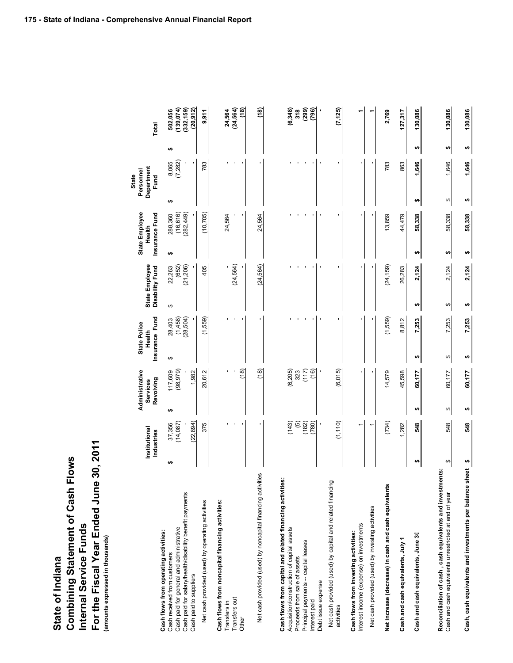For the Fiscal Year Ended June 30, 2011<br>(amounts expressed in thousands) **For the Fiscal Year Ended June 30, 2011** Combining Statement of Cash Flows **Combining Statement of Cash Flows** Internal Service Funds **Internal Service Funds (amounts expressed in thousands)** State of Indiana **State of Indiana**

|                                                                                                                                                                                                                        |   | Institutional                              |   | Administrative<br>Services       |   | State Police<br>Health         | State Employee                    |   | <b>State Employee</b><br>Health  | Department<br>Personnel | State            |   |                                                  |
|------------------------------------------------------------------------------------------------------------------------------------------------------------------------------------------------------------------------|---|--------------------------------------------|---|----------------------------------|---|--------------------------------|-----------------------------------|---|----------------------------------|-------------------------|------------------|---|--------------------------------------------------|
|                                                                                                                                                                                                                        |   | Industries                                 |   | Revolving                        |   | Insurance Fund                 | Disability Fund                   |   | Insurance Fund                   | Fund                    |                  |   | Total                                            |
| Cash paid for salary/health/disability benefit payments<br>Cash paid for general and administrative<br>Cash flows from operating activities:<br>Cash received from customers<br>Cash paid to suppliers                 | ↮ | (22, 894)<br>(14, 087)<br>37,356           | ↮ | (98, 979)<br>117,609<br>1,982    | ↮ | (1,458)<br>(28, 504)<br>28,403 | (21, 206)<br>(652)<br>22,263<br>↮ | ↮ | 282,449)<br>(16, 616)<br>288,360 | ↮                       | (7,282)<br>8,065 | ↮ | (139, 074)<br>(332, 159)<br>(20, 912)<br>502,056 |
| Net cash provided (used) by operating activities                                                                                                                                                                       |   | 375                                        |   | 20,612                           |   | (1,559)                        | 405                               |   | (10, 705)                        |                         | 783              |   | 9.911                                            |
| Cash flows from noncapital financing activities:<br>Transfers out<br>Transfers in<br>Other                                                                                                                             |   |                                            |   | (18)                             |   |                                | (24, 564)                         |   | 24,564                           |                         |                  |   | (24, 564)<br>(18)<br>24,564                      |
| Net cash provided (used) by noncapital financing activities                                                                                                                                                            |   |                                            |   | (18)                             |   |                                | (24, 564)                         |   | 24,564                           |                         |                  |   | (18)                                             |
| Cash flows from capital and related financing activities:<br>Acquisition/construction of capital assets<br>Principal payments -- capital leases<br>Proceeds from sale of assets<br>Debt issue expense<br>Interest paid |   | (182)<br>(780)<br>(143)<br>$\widetilde{e}$ |   | (117)<br>(16)<br>(6, 205)<br>323 |   |                                |                                   |   |                                  |                         |                  |   | (6, 348)<br>(299)<br>(796)<br>318                |
| Net cash provided (used) by capital and related financing<br>activities                                                                                                                                                |   | (1, 110)                                   |   | (6,015)                          |   |                                |                                   |   |                                  |                         |                  |   | (7, 125)                                         |
| Net cash provided (used) by investing activities<br>Interest income (expense) on investments<br>Cash flows from investing activities:                                                                                  |   |                                            |   |                                  |   |                                |                                   |   |                                  |                         |                  |   |                                                  |
| Net increase (decrease) in cash and cash equivalents                                                                                                                                                                   |   | (734)                                      |   | 14,579                           |   | (1,559)                        | (24, 159)                         |   | 13,859                           |                         | 783              |   | 2,769                                            |
| Cash and cash equivalents, June 30<br>Cash and cash equivalents, July 1                                                                                                                                                | ↮ | 1,282<br>548                               | ↮ | 45,598<br>60,177                 | ↮ | 8,812<br>7,253                 | 26,283<br>2,124<br>↮              | ↮ | 44,479<br>58,338                 | ↮                       | 1,646<br>863     | ₩ | 130,086<br>127,317                               |
| Reconciliation of cash, cash equivalents and investments:<br>Cash and cash equivalents unrestricted at end of year                                                                                                     | ↮ | 548                                        | ↮ | 60,177                           | ↮ | 7,253                          | 2,124<br>↮                        | ↮ | 58,338                           | ↮                       | 1,646            | ₩ | 130,086                                          |
| Cash, cash equivalents and investments per balance sheet                                                                                                                                                               | H | 548                                        | ↮ | 60,177                           | ₩ | 7,253                          | 2,124<br>↮                        | ↮ | 58,338                           | ↮                       | 1,646            | ↮ | 130,086                                          |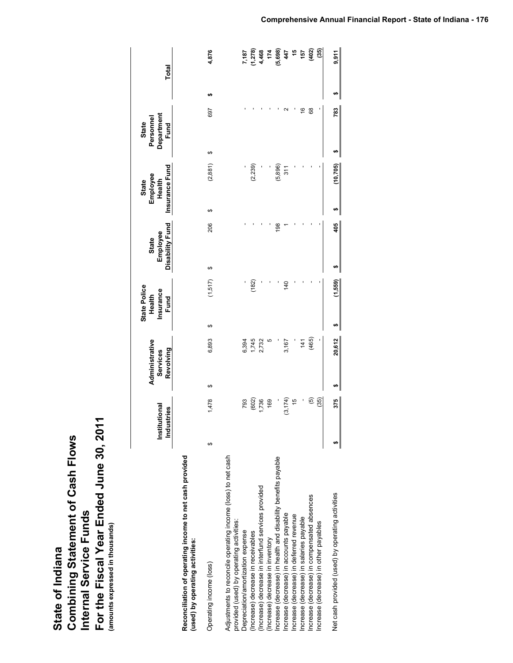For the Fiscal Year Ended June 30, 2011<br>(amounts expressed in thousands) **For the Fiscal Year Ended June 30, 2011 Combining Statement of Cash Flows**<br>Internal Service Funds **Combining Statement of Cash Flows Internal Service Funds (amounts expressed in thousands)** State of Indiana **State of Indiana**

|                                                                                                          |    | Institutional<br>Industries |    | Administrative<br>Revolving<br>Services |   | State Police<br>Insurance<br>Health<br>Fund | Disability Fund<br>Employee<br><b>State</b> |   | Insurance Fund<br>Employee<br>Health<br><b>State</b> | Department<br>Personnel<br><b>State</b><br>Fund |               | Total |                    |
|----------------------------------------------------------------------------------------------------------|----|-----------------------------|----|-----------------------------------------|---|---------------------------------------------|---------------------------------------------|---|------------------------------------------------------|-------------------------------------------------|---------------|-------|--------------------|
|                                                                                                          |    |                             |    |                                         |   |                                             |                                             |   |                                                      |                                                 |               |       |                    |
| Reconciliation of operating income to net cash provided<br>(used) by operating activities:               |    |                             |    |                                         |   |                                             |                                             |   |                                                      |                                                 |               |       |                    |
| Operating income (loss)                                                                                  | မာ | 1,478                       | မာ | 6,893                                   | ↮ | (1,517)                                     | 206<br>↮                                    | ↮ | (2, 881)                                             | ↮                                               | 697           | tA    | 4,876              |
| Adjustments to reconcile operating income (loss) to net cash<br>provided (used) by operating activities: |    |                             |    |                                         |   |                                             |                                             |   |                                                      |                                                 |               |       |                    |
| Depreciation/amortization expense                                                                        |    | 793                         |    | 6,394                                   |   |                                             |                                             |   |                                                      |                                                 |               |       | 7,187              |
| (Increase) decrease in receivables                                                                       |    | (602)                       |    | 1,745                                   |   | (182)                                       |                                             |   | (2, 239)                                             |                                                 |               |       |                    |
| (Increase) decrease in interfund services provided                                                       |    | 1,736                       |    | 2,732                                   |   |                                             |                                             |   |                                                      |                                                 |               |       | $(1,278)$<br>4,468 |
| Increase) decrease in inventory                                                                          |    | 169                         |    | ഥ                                       |   |                                             |                                             |   |                                                      |                                                 |               |       | 174                |
| ncrease (decrease) in health and disability benefits payable                                             |    |                             |    |                                         |   |                                             | 198                                         |   | (5,896)                                              |                                                 |               |       | (5,698)            |
| Increase (decrease) in accounts payable                                                                  |    | (3, 174)                    |    | 3,167                                   |   | $\frac{40}{5}$                              |                                             |   | 311                                                  |                                                 |               |       | 447                |
| Increase (decrease) in deferred revenue                                                                  |    | 15                          |    |                                         |   |                                             |                                             |   |                                                      |                                                 |               |       | $\frac{1}{2}$      |
| Increase (decrease) in salaries payable                                                                  |    |                             |    | 141                                     |   |                                             |                                             |   |                                                      |                                                 | $\frac{6}{5}$ |       | 157                |
| Increase (decrease) in compensated absences                                                              |    | ම                           |    | (465)                                   |   |                                             |                                             |   |                                                      |                                                 | 68            |       | (402)              |
| Increase (decrease) in other payables                                                                    |    | (35)                        |    |                                         |   |                                             |                                             |   |                                                      |                                                 |               |       | (35)               |
| Net cash provided (used) by operating activities                                                         |    | 375                         |    | 20,612                                  |   | (1,559)                                     | 405<br>th,                                  |   | (10,705)                                             | tA                                              | 783           | tA    | 9,911              |
|                                                                                                          |    |                             |    |                                         |   |                                             |                                             |   |                                                      |                                                 |               |       |                    |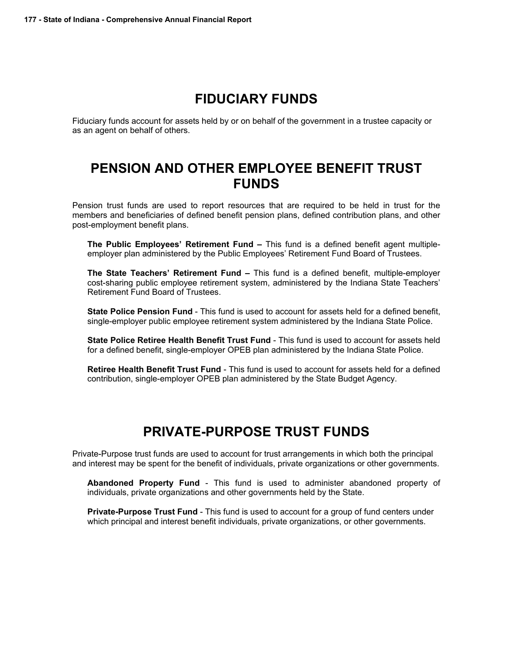# **FIDUCIARY FUNDS**

Fiduciary funds account for assets held by or on behalf of the government in a trustee capacity or as an agent on behalf of others.

### **PENSION AND OTHER EMPLOYEE BENEFIT TRUST FUNDS**

Pension trust funds are used to report resources that are required to be held in trust for the members and beneficiaries of defined benefit pension plans, defined contribution plans, and other post-employment benefit plans.

**The Public Employees' Retirement Fund –** This fund is a defined benefit agent multipleemployer plan administered by the Public Employees' Retirement Fund Board of Trustees.

**The State Teachers' Retirement Fund –** This fund is a defined benefit, multiple-employer cost-sharing public employee retirement system, administered by the Indiana State Teachers' Retirement Fund Board of Trustees.

**State Police Pension Fund** - This fund is used to account for assets held for a defined benefit, single-employer public employee retirement system administered by the Indiana State Police.

**State Police Retiree Health Benefit Trust Fund** - This fund is used to account for assets held for a defined benefit, single-employer OPEB plan administered by the Indiana State Police.

**Retiree Health Benefit Trust Fund** - This fund is used to account for assets held for a defined contribution, single-employer OPEB plan administered by the State Budget Agency.

# **PRIVATE-PURPOSE TRUST FUNDS**

Private-Purpose trust funds are used to account for trust arrangements in which both the principal and interest may be spent for the benefit of individuals, private organizations or other governments.

**Abandoned Property Fund** - This fund is used to administer abandoned property of individuals, private organizations and other governments held by the State.

**Private-Purpose Trust Fund** - This fund is used to account for a group of fund centers under which principal and interest benefit individuals, private organizations, or other governments.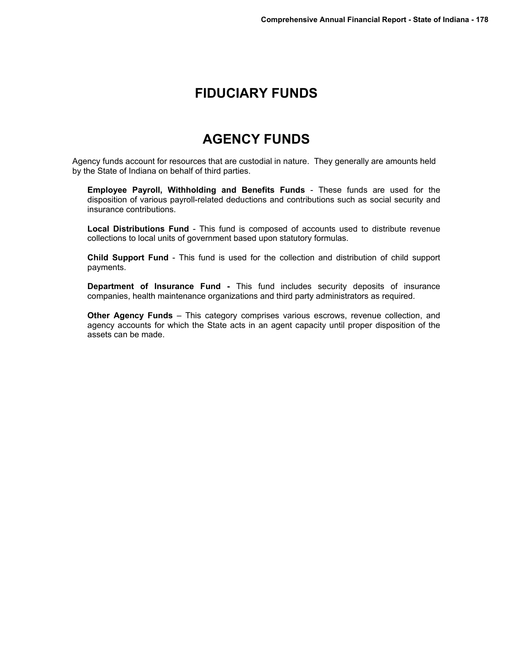### **FIDUCIARY FUNDS**

## **AGENCY FUNDS**

Agency funds account for resources that are custodial in nature. They generally are amounts held by the State of Indiana on behalf of third parties.

**Employee Payroll, Withholding and Benefits Funds** - These funds are used for the disposition of various payroll-related deductions and contributions such as social security and insurance contributions.

**Local Distributions Fund** - This fund is composed of accounts used to distribute revenue collections to local units of government based upon statutory formulas.

**Child Support Fund** - This fund is used for the collection and distribution of child support payments.

**Department of Insurance Fund -** This fund includes security deposits of insurance companies, health maintenance organizations and third party administrators as required.

**Other Agency Funds** – This category comprises various escrows, revenue collection, and agency accounts for which the State acts in an agent capacity until proper disposition of the assets can be made.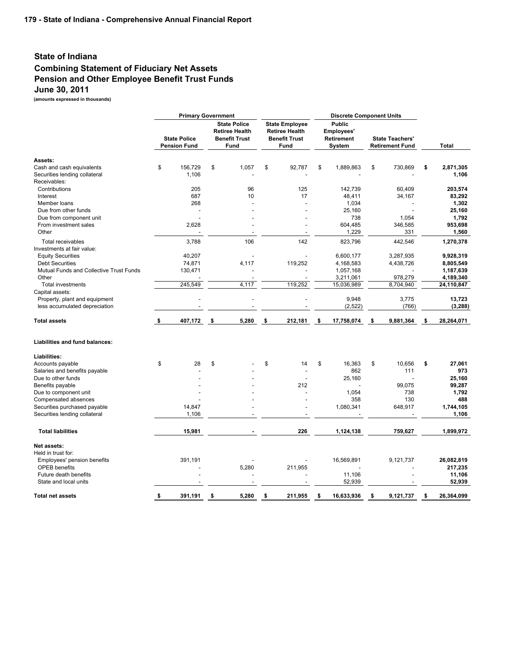#### **State of Indiana Combining Statement of Fiduciary Net Assets Pension and Other Employee Benefit Trust Funds June 30, 2011**

|                                         | <b>Primary Government</b>                  |                                                                              |                                                                                | <b>Discrete Component Units</b>                            |     |                                                  |                  |
|-----------------------------------------|--------------------------------------------|------------------------------------------------------------------------------|--------------------------------------------------------------------------------|------------------------------------------------------------|-----|--------------------------------------------------|------------------|
|                                         | <b>State Police</b><br><b>Pension Fund</b> | <b>State Police</b><br><b>Retiree Health</b><br><b>Benefit Trust</b><br>Fund | <b>State Employee</b><br><b>Retiree Health</b><br><b>Benefit Trust</b><br>Fund | <b>Public</b><br><b>Employees'</b><br>Retirement<br>System |     | <b>State Teachers'</b><br><b>Retirement Fund</b> | <b>Total</b>     |
| Assets:                                 |                                            |                                                                              |                                                                                |                                                            |     |                                                  |                  |
| Cash and cash equivalents               | \$<br>156,729                              | \$<br>1,057                                                                  | \$<br>92,787                                                                   | \$<br>1,889,863                                            | \$  | 730,869                                          | \$<br>2,871,305  |
| Securities lending collateral           | 1,106                                      |                                                                              |                                                                                |                                                            |     |                                                  | 1,106            |
| Receivables:                            |                                            |                                                                              |                                                                                |                                                            |     |                                                  |                  |
| Contributions                           | 205                                        | 96                                                                           | 125                                                                            | 142.739                                                    |     | 60.409                                           | 203,574          |
| Interest                                | 687                                        | 10                                                                           | 17                                                                             | 48,411                                                     |     | 34,167                                           | 83,292           |
| Member loans                            | 268                                        |                                                                              |                                                                                | 1,034                                                      |     |                                                  | 1,302            |
| Due from other funds                    |                                            |                                                                              |                                                                                | 25,160                                                     |     |                                                  | 25,160           |
| Due from component unit                 |                                            |                                                                              |                                                                                | 738                                                        |     | 1,054                                            | 1,792            |
| From investment sales                   | 2,628                                      |                                                                              |                                                                                | 604,485                                                    |     | 346,585                                          | 953,698          |
| Other                                   |                                            |                                                                              |                                                                                | 1,229                                                      |     | 331                                              | 1,560            |
| Total receivables                       | 3,788                                      | 106                                                                          | 142                                                                            | 823,796                                                    |     | 442,546                                          | 1,270,378        |
| Investments at fair value:              |                                            |                                                                              |                                                                                |                                                            |     |                                                  |                  |
| <b>Equity Securities</b>                | 40,207                                     |                                                                              |                                                                                | 6,600,177                                                  |     | 3,287,935                                        | 9,928,319        |
| <b>Debt Securities</b>                  | 74,871                                     | 4,117                                                                        | 119,252                                                                        | 4,168,583                                                  |     | 4,438,726                                        | 8,805,549        |
| Mutual Funds and Collective Trust Funds | 130,471                                    |                                                                              |                                                                                | 1,057,168                                                  |     |                                                  | 1,187,639        |
| Other                                   |                                            |                                                                              |                                                                                | 3,211,061                                                  |     | 978,279                                          | 4,189,340        |
| <b>Total investments</b>                | 245,549                                    | 4,117                                                                        | 119,252                                                                        | 15,036,989                                                 |     | 8,704,940                                        | 24,110,847       |
| Capital assets:                         |                                            |                                                                              |                                                                                |                                                            |     |                                                  |                  |
| Property, plant and equipment           |                                            |                                                                              |                                                                                | 9,948                                                      |     | 3,775                                            | 13,723           |
| less accumulated depreciation           |                                            |                                                                              |                                                                                | (2, 522)                                                   |     | (766)                                            | (3, 288)         |
|                                         |                                            |                                                                              |                                                                                |                                                            |     |                                                  |                  |
| <b>Total assets</b>                     | \$<br>407,172                              | \$<br>5,280                                                                  | \$<br>212,181                                                                  | \$<br>17,758,074                                           | -\$ | 9,881,364                                        | \$<br>28,264,071 |
| <b>Liabilities and fund balances:</b>   |                                            |                                                                              |                                                                                |                                                            |     |                                                  |                  |
| Liabilities:                            |                                            |                                                                              |                                                                                |                                                            |     |                                                  |                  |
| Accounts payable                        | \$<br>28                                   | \$                                                                           | \$<br>14                                                                       | \$<br>16,363                                               | \$  | 10,656                                           | \$<br>27,061     |
| Salaries and benefits payable           |                                            |                                                                              |                                                                                | 862                                                        |     | 111                                              | 973              |
| Due to other funds                      |                                            |                                                                              |                                                                                | 25,160                                                     |     |                                                  | 25,160           |
| Benefits payable                        |                                            |                                                                              | 212                                                                            |                                                            |     | 99,075                                           | 99,287           |
| Due to component unit                   |                                            |                                                                              | ÷                                                                              | 1,054                                                      |     | 738                                              | 1,792            |
| Compensated absences                    |                                            |                                                                              |                                                                                | 358                                                        |     | 130                                              | 488              |
| Securities purchased payable            | 14,847                                     |                                                                              |                                                                                | 1,080,341                                                  |     | 648,917                                          | 1,744,105        |
| Securities lending collateral           | 1,106                                      |                                                                              |                                                                                |                                                            |     |                                                  | 1.106            |
| <b>Total liabilities</b>                | 15,981                                     |                                                                              | 226                                                                            | 1,124,138                                                  |     | 759,627                                          | 1,899,972        |
| Net assets:                             |                                            |                                                                              |                                                                                |                                                            |     |                                                  |                  |
| Held in trust for:                      |                                            |                                                                              |                                                                                |                                                            |     |                                                  |                  |
| Employees' pension benefits             | 391,191                                    |                                                                              |                                                                                | 16,569,891                                                 |     | 9,121,737                                        | 26,082,819       |
| <b>OPEB</b> benefits                    |                                            | 5,280                                                                        | 211,955                                                                        |                                                            |     |                                                  | 217,235          |
| Future death benefits                   |                                            |                                                                              |                                                                                | 11,106                                                     |     |                                                  | 11,106           |
| State and local units                   |                                            |                                                                              |                                                                                | 52,939                                                     |     |                                                  | 52,939           |
| <b>Total net assets</b>                 | \$<br>391,191                              | \$<br>5,280                                                                  | \$<br>211,955                                                                  | \$<br>16,633,936                                           | \$  | 9,121,737                                        | \$<br>26,364,099 |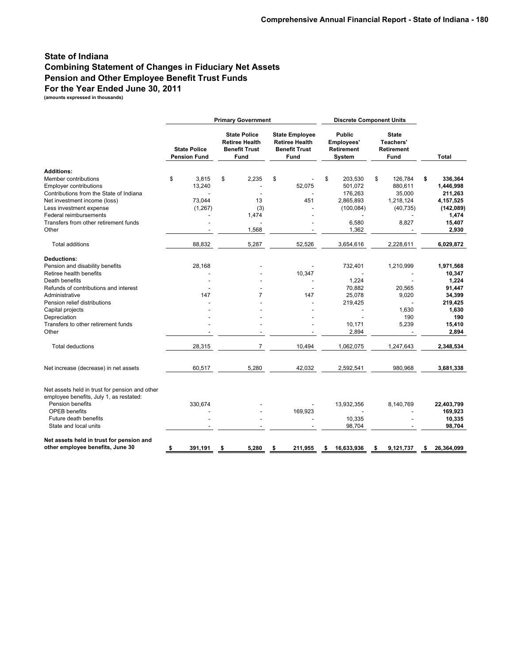#### **State of Indiana Combining Statement of Changes in Fiduciary Net Assets Pension and Other Employee Benefit Trust Funds For the Year Ended June 30, 2011**

|                                                                                           |                                            | <b>Primary Government</b>                                                           |                                                                                | <b>Discrete Component Units</b>                                   |                                                        |                  |
|-------------------------------------------------------------------------------------------|--------------------------------------------|-------------------------------------------------------------------------------------|--------------------------------------------------------------------------------|-------------------------------------------------------------------|--------------------------------------------------------|------------------|
|                                                                                           | <b>State Police</b><br><b>Pension Fund</b> | <b>State Police</b><br><b>Retiree Health</b><br><b>Benefit Trust</b><br><b>Fund</b> | <b>State Employee</b><br><b>Retiree Health</b><br><b>Benefit Trust</b><br>Fund | <b>Public</b><br><b>Employees'</b><br><b>Retirement</b><br>System | <b>State</b><br>Teachers'<br><b>Retirement</b><br>Fund | <b>Total</b>     |
| <b>Additions:</b>                                                                         |                                            |                                                                                     |                                                                                |                                                                   |                                                        |                  |
| Member contributions                                                                      | \$<br>3.815                                | \$<br>2,235                                                                         | \$                                                                             | \$<br>203.530                                                     | \$<br>126,784                                          | \$<br>336,364    |
| <b>Employer contributions</b>                                                             | 13,240                                     |                                                                                     | 52,075                                                                         | 501,072                                                           | 880,611                                                | 1,446,998        |
| Contributions from the State of Indiana                                                   |                                            | ÷                                                                                   |                                                                                | 176,263                                                           | 35.000                                                 | 211,263          |
| Net investment income (loss)                                                              | 73,044                                     | 13                                                                                  | 451                                                                            | 2,865,893                                                         | 1,218,124                                              | 4,157,525        |
| Less investment expense                                                                   | (1, 267)                                   | (3)                                                                                 |                                                                                | (100, 084)                                                        | (40, 735)                                              | (142, 089)       |
| Federal reimbursements                                                                    |                                            | 1,474                                                                               |                                                                                |                                                                   |                                                        | 1,474            |
| Transfers from other retirement funds                                                     |                                            |                                                                                     |                                                                                | 6,580                                                             | 8,827                                                  | 15,407           |
| Other                                                                                     |                                            | 1,568                                                                               |                                                                                | 1,362                                                             |                                                        | 2,930            |
| <b>Total additions</b>                                                                    | 88,832                                     | 5,287                                                                               | 52,526                                                                         | 3,654,616                                                         | 2,228,611                                              | 6,029,872        |
| <b>Deductions:</b>                                                                        |                                            |                                                                                     |                                                                                |                                                                   |                                                        |                  |
| Pension and disability benefits                                                           | 28.168                                     |                                                                                     |                                                                                | 732,401                                                           | 1,210,999                                              | 1,971,568        |
| Retiree health benefits                                                                   |                                            |                                                                                     | 10,347                                                                         |                                                                   |                                                        | 10,347           |
| Death benefits                                                                            |                                            |                                                                                     |                                                                                | 1,224                                                             |                                                        | 1,224            |
| Refunds of contributions and interest                                                     |                                            |                                                                                     |                                                                                | 70,882                                                            | 20,565                                                 | 91,447           |
| Administrative                                                                            | 147                                        | 7                                                                                   | 147                                                                            | 25,078                                                            | 9,020                                                  | 34,399           |
| Pension relief distributions                                                              |                                            |                                                                                     |                                                                                | 219,425                                                           |                                                        | 219,425          |
| Capital projects                                                                          |                                            |                                                                                     |                                                                                |                                                                   | 1,630                                                  | 1,630            |
| Depreciation                                                                              |                                            |                                                                                     |                                                                                |                                                                   | 190                                                    | 190              |
| Transfers to other retirement funds                                                       |                                            |                                                                                     |                                                                                | 10,171                                                            | 5,239                                                  | 15,410           |
| Other                                                                                     |                                            |                                                                                     |                                                                                | 2,894                                                             |                                                        | 2,894            |
| <b>Total deductions</b>                                                                   | 28,315                                     | $\overline{7}$                                                                      | 10,494                                                                         | 1,062,075                                                         | 1,247,643                                              | 2,348,534        |
| Net increase (decrease) in net assets                                                     | 60,517                                     | 5,280                                                                               | 42,032                                                                         | 2,592,541                                                         | 980,968                                                | 3,681,338        |
| Net assets held in trust for pension and other<br>employee benefits, July 1, as restated: |                                            |                                                                                     |                                                                                |                                                                   |                                                        |                  |
| Pension benefits                                                                          | 330,674                                    |                                                                                     |                                                                                | 13,932,356                                                        | 8,140,769                                              | 22,403,799       |
| <b>OPEB</b> benefits                                                                      |                                            |                                                                                     | 169,923                                                                        |                                                                   |                                                        | 169,923          |
| Future death benefits                                                                     |                                            |                                                                                     |                                                                                | 10,335                                                            |                                                        | 10,335           |
| State and local units                                                                     |                                            |                                                                                     |                                                                                | 98,704                                                            |                                                        | 98,704           |
| Net assets held in trust for pension and                                                  |                                            |                                                                                     |                                                                                |                                                                   |                                                        |                  |
| other employee benefits, June 30                                                          | \$<br>391,191                              | \$<br>5,280                                                                         | \$<br>211,955                                                                  | \$<br>16,633,936                                                  | \$<br>9,121,737                                        | \$<br>26,364,099 |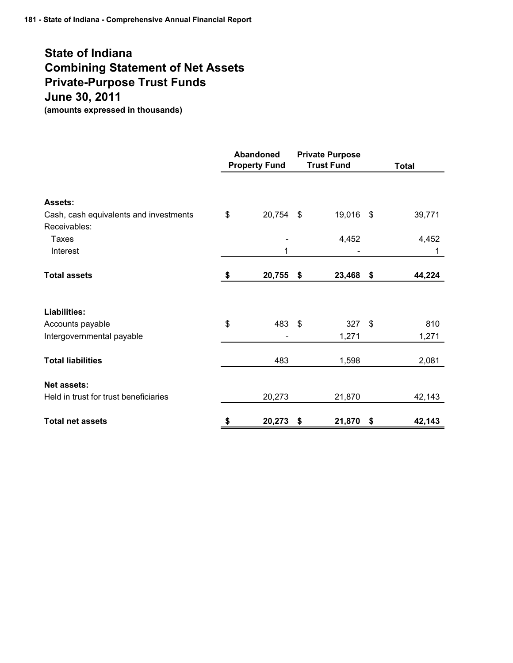# **State of Indiana Combining Statement of Net Assets Private-Purpose Trust Funds June 30, 2011**

|                                        | Abandoned            |      | <b>Private Purpose</b> |      |              |
|----------------------------------------|----------------------|------|------------------------|------|--------------|
|                                        | <b>Property Fund</b> |      | <b>Trust Fund</b>      |      | <b>Total</b> |
|                                        |                      |      |                        |      |              |
| <b>Assets:</b>                         |                      |      |                        |      |              |
| Cash, cash equivalents and investments | \$<br>20,754 \$      |      | 19,016                 | - \$ | 39,771       |
| Receivables:                           |                      |      |                        |      |              |
| <b>Taxes</b>                           |                      |      | 4,452                  |      | 4,452        |
| Interest                               | 1                    |      |                        |      | 1            |
| <b>Total assets</b>                    | \$<br>20,755         | \$   | 23,468                 | \$   | 44,224       |
|                                        |                      |      |                        |      |              |
| <b>Liabilities:</b>                    |                      |      |                        |      |              |
| Accounts payable                       | \$<br>483            | - \$ | 327                    | -\$  | 810          |
| Intergovernmental payable              |                      |      | 1,271                  |      | 1,271        |
| <b>Total liabilities</b>               | 483                  |      | 1,598                  |      | 2,081        |
|                                        |                      |      |                        |      |              |
| <b>Net assets:</b>                     |                      |      |                        |      |              |
| Held in trust for trust beneficiaries  | 20,273               |      | 21,870                 |      | 42,143       |
| <b>Total net assets</b>                | \$<br>20,273         | \$   | 21,870                 | \$   | 42,143       |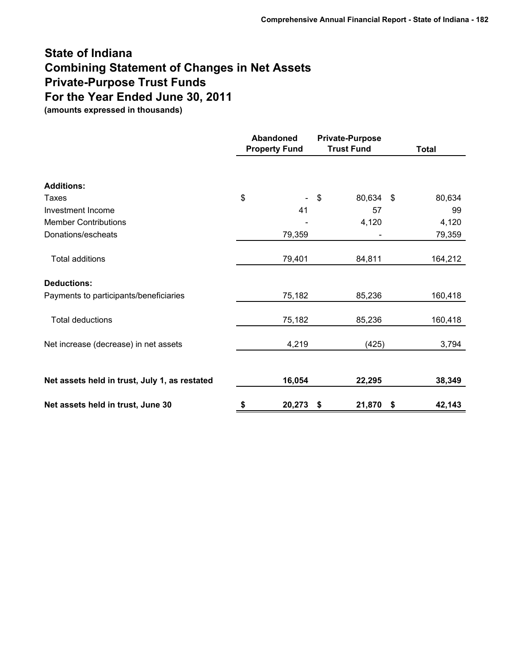### **State of Indiana Combining Statement of Changes in Net Assets Private-Purpose Trust Funds For the Year Ended June 30, 2011 (amounts expressed in thousands)**

|                                               | Abandoned<br><b>Property Fund</b> | <b>Private-Purpose</b><br><b>Trust Fund</b> | <b>Total</b> |
|-----------------------------------------------|-----------------------------------|---------------------------------------------|--------------|
| <b>Additions:</b>                             |                                   |                                             |              |
| Taxes                                         | \$                                | \$<br>80,634 \$                             | 80,634       |
| Investment Income                             | 41                                | 57                                          | 99           |
| <b>Member Contributions</b>                   |                                   | 4,120                                       | 4,120        |
| Donations/escheats                            | 79,359                            |                                             | 79,359       |
| <b>Total additions</b>                        | 79,401                            | 84,811                                      | 164,212      |
| <b>Deductions:</b>                            |                                   |                                             |              |
| Payments to participants/beneficiaries        | 75,182                            | 85,236                                      | 160,418      |
| <b>Total deductions</b>                       | 75,182                            | 85,236                                      | 160,418      |
| Net increase (decrease) in net assets         | 4,219                             | (425)                                       | 3,794        |
| Net assets held in trust, July 1, as restated | 16,054                            | 22,295                                      | 38,349       |
| Net assets held in trust, June 30             | \$<br>20,273                      | \$<br>21,870                                | \$<br>42,143 |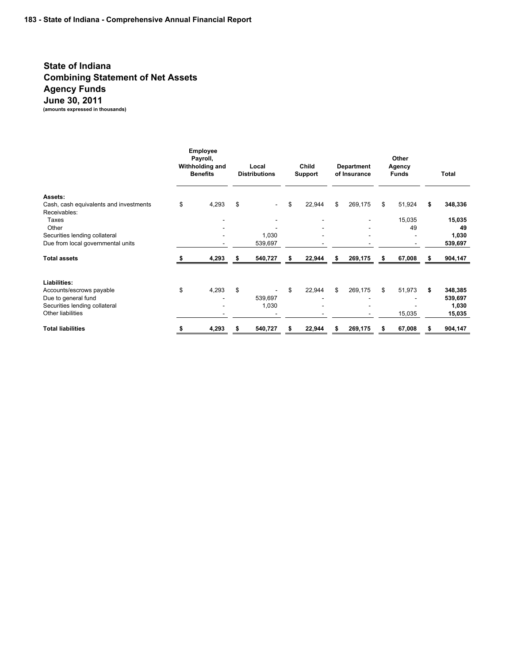#### **State of Indiana Combining Statement of Net Assets Agency Funds June 30, 2011 (amounts expressed in thousands)**

|                                                                    | <b>Employee</b><br>Payroll,<br>Withholding and<br><b>Benefits</b> |    | Local<br><b>Distributions</b> |    | <b>Child</b><br><b>Support</b> | Department<br>of Insurance |    | Other<br>Agency<br><b>Funds</b> |    | Total            |
|--------------------------------------------------------------------|-------------------------------------------------------------------|----|-------------------------------|----|--------------------------------|----------------------------|----|---------------------------------|----|------------------|
| Assets:                                                            |                                                                   |    |                               |    |                                |                            |    |                                 |    |                  |
| Cash, cash equivalents and investments                             | \$<br>4,293                                                       | \$ |                               | \$ | 22,944                         | \$<br>269,175              | \$ | 51,924                          | \$ | 348,336          |
| Receivables:                                                       |                                                                   |    |                               |    |                                |                            |    |                                 |    |                  |
| Taxes                                                              |                                                                   |    |                               |    |                                | ۰                          |    | 15,035                          |    | 15,035           |
| Other                                                              |                                                                   |    |                               |    |                                |                            |    | 49                              |    | 49               |
| Securities lending collateral<br>Due from local governmental units |                                                                   |    | 1,030<br>539,697              |    |                                |                            |    |                                 |    | 1,030<br>539,697 |
| <b>Total assets</b>                                                | 4,293                                                             | 5  | 540,727                       |    | 22,944                         | \$<br>269,175              | S  | 67,008                          |    | 904,147          |
| Liabilities:                                                       |                                                                   |    |                               |    |                                |                            |    |                                 |    |                  |
| Accounts/escrows payable                                           | \$<br>4,293                                                       | \$ |                               | \$ | 22,944                         | \$<br>269,175              | \$ | 51,973                          | \$ | 348,385          |
| Due to general fund                                                |                                                                   |    | 539,697                       |    |                                |                            |    |                                 |    | 539,697          |
| Securities lending collateral                                      |                                                                   |    | 1,030                         |    |                                |                            |    |                                 |    | 1,030            |
| Other liabilities                                                  |                                                                   |    |                               |    |                                |                            |    | 15,035                          |    | 15,035           |
| <b>Total liabilities</b>                                           | \$<br>4,293                                                       | S  | 540,727                       | S  | 22,944                         | \$<br>269,175              | S  | 67,008                          | s  | 904,147          |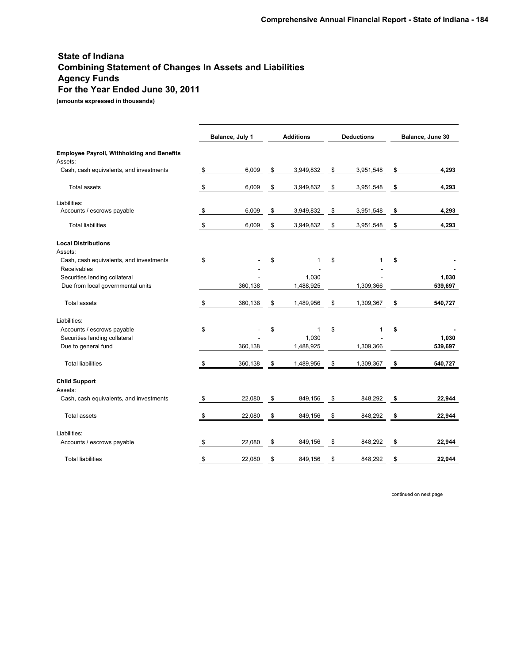#### **State of Indiana Combining Statement of Changes In Assets and Liabilities Agency Funds For the Year Ended June 30, 2011**

**(amounts expressed in thousands)**

|                                                        | Balance, July 1 | <b>Additions</b> | <b>Deductions</b> | Balance, June 30 |
|--------------------------------------------------------|-----------------|------------------|-------------------|------------------|
| <b>Employee Payroll, Withholding and Benefits</b>      |                 |                  |                   |                  |
| Assets:                                                |                 |                  |                   |                  |
| Cash, cash equivalents, and investments                | \$<br>6,009     | \$<br>3,949,832  | \$<br>3,951,548   | \$<br>4,293      |
| <b>Total assets</b>                                    | \$<br>6,009     | \$<br>3,949,832  | \$<br>3,951,548   | \$<br>4,293      |
| Liabilities:                                           |                 |                  |                   |                  |
| Accounts / escrows payable                             | \$<br>6,009     | \$<br>3,949,832  | \$<br>3,951,548   | \$<br>4,293      |
| <b>Total liabilities</b>                               | \$<br>6,009     | \$<br>3,949,832  | \$<br>3,951,548   | \$<br>4,293      |
| <b>Local Distributions</b>                             |                 |                  |                   |                  |
| Assets:                                                |                 |                  |                   |                  |
| Cash, cash equivalents, and investments<br>Receivables | \$              | \$<br>1          | \$                | \$               |
| Securities lending collateral                          |                 | 1,030            |                   | 1,030            |
| Due from local governmental units                      | 360,138         | 1,488,925        | 1,309,366         | 539,697          |
| <b>Total assets</b>                                    | \$<br>360,138   | \$<br>1,489,956  | \$<br>1,309,367   | \$<br>540,727    |
| Liabilities:                                           |                 |                  |                   |                  |
| Accounts / escrows payable                             | \$              | \$<br>1          | \$<br>1           | \$               |
| Securities lending collateral                          |                 | 1,030            |                   | 1,030            |
| Due to general fund                                    | 360,138         | 1,488,925        | 1,309,366         | 539,697          |
| <b>Total liabilities</b>                               | \$<br>360,138   | \$<br>1,489,956  | \$<br>1,309,367   | \$<br>540,727    |
| <b>Child Support</b><br>Assets:                        |                 |                  |                   |                  |
| Cash, cash equivalents, and investments                | \$<br>22,080    | \$<br>849,156    | \$<br>848,292     | \$<br>22,944     |
| <b>Total assets</b>                                    | \$<br>22,080    | \$<br>849,156    | \$<br>848,292     | \$<br>22,944     |
| Liabilities:                                           |                 |                  |                   |                  |
| Accounts / escrows payable                             | \$<br>22,080    | \$<br>849,156    | \$<br>848,292     | \$<br>22,944     |
| <b>Total liabilities</b>                               | \$<br>22,080    | \$<br>849,156    | \$<br>848,292     | \$<br>22,944     |

continued on next page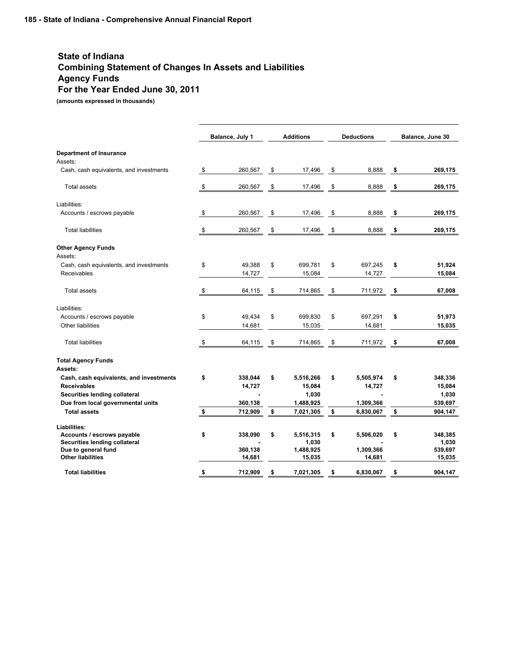### **State of Indiana Combining Statement of Changes In Assets and Liabilities Agency Funds For the Year Ended June 30, 2011**

|                                         | Balance, July 1 | <b>Additions</b> | <b>Deductions</b> | Balance, June 30 |
|-----------------------------------------|-----------------|------------------|-------------------|------------------|
| <b>Department of Insurance</b>          |                 |                  |                   |                  |
| Assets:                                 |                 |                  |                   |                  |
| Cash, cash equivalents, and investments | \$<br>260,567   | \$<br>17,496     | \$<br>8,888       | \$<br>269,175    |
| <b>Total assets</b>                     | \$<br>260,567   | \$<br>17,496     | \$<br>8,888       | \$<br>269,175    |
| Liabilities:                            |                 |                  |                   |                  |
| Accounts / escrows payable              | \$<br>260,567   | \$<br>17,496     | \$<br>8,888       | \$<br>269,175    |
| <b>Total liabilities</b>                | \$<br>260,567   | \$<br>17,496     | \$<br>8,888       | \$<br>269,175    |
| <b>Other Agency Funds</b>               |                 |                  |                   |                  |
| Assets:                                 |                 |                  |                   |                  |
| Cash, cash equivalents, and investments | \$<br>49,388    | \$<br>699,781    | \$<br>697,245     | \$<br>51,924     |
| Receivables                             | 14,727          | 15,084           | 14,727            | 15,084           |
| <b>Total assets</b>                     | \$<br>64,115    | \$<br>714,865    | \$<br>711,972     | \$<br>67,008     |
| Liabilities:                            |                 |                  |                   |                  |
| Accounts / escrows payable              | \$<br>49.434    | \$<br>699,830    | \$<br>697,291     | \$<br>51,973     |
| Other liabilities                       | 14,681          | 15,035           | 14,681            | 15,035           |
| <b>Total liabilities</b>                | \$<br>64,115    | \$<br>714,865    | \$<br>711,972     | \$<br>67,008     |
| <b>Total Agency Funds</b>               |                 |                  |                   |                  |
| Assets:                                 |                 |                  |                   |                  |
| Cash, cash equivalents, and investments | \$<br>338,044   | \$<br>5,516,266  | \$<br>5,505,974   | \$<br>348,336    |
| <b>Receivables</b>                      | 14,727          | 15,084           | 14,727            | 15,084           |
| Securities lending collateral           |                 | 1,030            |                   | 1,030            |
| Due from local governmental units       | 360,138         | 1,488,925        | 1,309,366         | 539,697          |
| <b>Total assets</b>                     | \$<br>712,909   | \$<br>7,021,305  | \$<br>6,830,067   | \$<br>904,147    |
| Liabilities:                            |                 |                  |                   |                  |
| Accounts / escrows payable              | \$<br>338,090   | \$<br>5,516,315  | \$<br>5,506,020   | \$<br>348,385    |
| Securities lending collateral           |                 | 1,030            |                   | 1,030            |
| Due to general fund                     | 360,138         | 1,488,925        | 1,309,366         | 539,697          |
| <b>Other liabilities</b>                | 14,681          | 15,035           | 14,681            | 15,035           |
| <b>Total liabilities</b>                | \$<br>712,909   | \$<br>7,021,305  | \$<br>6,830,067   | \$<br>904,147    |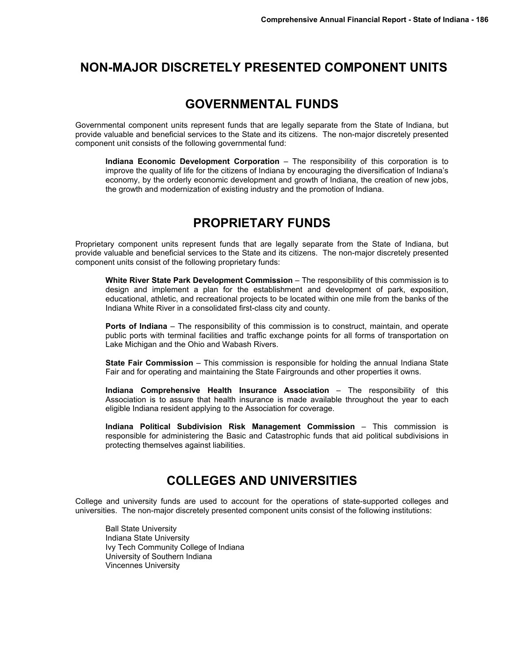### **NON-MAJOR DISCRETELY PRESENTED COMPONENT UNITS**

### **GOVERNMENTAL FUNDS**

Governmental component units represent funds that are legally separate from the State of Indiana, but provide valuable and beneficial services to the State and its citizens. The non-major discretely presented component unit consists of the following governmental fund:

**Indiana Economic Development Corporation** – The responsibility of this corporation is to improve the quality of life for the citizens of Indiana by encouraging the diversification of Indiana's economy, by the orderly economic development and growth of Indiana, the creation of new jobs, the growth and modernization of existing industry and the promotion of Indiana.

### **PROPRIETARY FUNDS**

Proprietary component units represent funds that are legally separate from the State of Indiana, but provide valuable and beneficial services to the State and its citizens. The non-major discretely presented component units consist of the following proprietary funds:

**White River State Park Development Commission** – The responsibility of this commission is to design and implement a plan for the establishment and development of park, exposition, educational, athletic, and recreational projects to be located within one mile from the banks of the Indiana White River in a consolidated first-class city and county.

**Ports of Indiana** – The responsibility of this commission is to construct, maintain, and operate public ports with terminal facilities and traffic exchange points for all forms of transportation on Lake Michigan and the Ohio and Wabash Rivers.

**State Fair Commission** – This commission is responsible for holding the annual Indiana State Fair and for operating and maintaining the State Fairgrounds and other properties it owns.

**Indiana Comprehensive Health Insurance Association** – The responsibility of this Association is to assure that health insurance is made available throughout the year to each eligible Indiana resident applying to the Association for coverage.

**Indiana Political Subdivision Risk Management Commission** – This commission is responsible for administering the Basic and Catastrophic funds that aid political subdivisions in protecting themselves against liabilities.

### **COLLEGES AND UNIVERSITIES**

College and university funds are used to account for the operations of state-supported colleges and universities. The non-major discretely presented component units consist of the following institutions:

Ball State University Indiana State University Ivy Tech Community College of Indiana University of Southern Indiana Vincennes University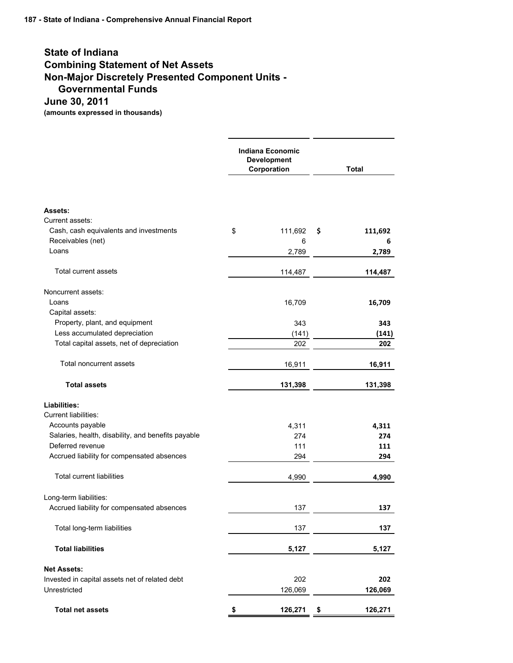#### **State of Indiana Combining Statement of Net Assets Non-Major Discretely Presented Component Units - Governmental Funds June 30, 2011 (amounts expressed in thousands)**

**Indiana Economic Development Corporation Total Assets:** Current assets: Cash, cash equivalents and investments \$ 111,692 **\$ 111,692** Receivables (net) 6 **6** Loans 2,789 **2,789** Total current assets 114,487 **114,487** Noncurrent assets: Loans 16,709 **16,709** Capital assets: Property, plant, and equipment 343 **343** Less accumulated depreciation (141) **(141)** Total capital assets, net of depreciation 202 **202** Total noncurrent assets **16,911** 16,911 **Total assets 131,398 131,398 Liabilities:** Current liabilities: Accounts payable **4,311** 4,311 4,311 Salaries, health, disability, and benefits payable 274 274 274 274 Deferred revenue 111 **111** Accrued liability for compensated absences 294 **294** Total current liabilities **4,990** 4,990 4,990 4,990 4,990 4,990 4,990 4,990 4,990 4,990 4,990 4,990 4,990 4,990 4,990 4,990 4,990 4,990 4,990 4,990 4,990 4,990 4,990 4,990 4,990 4,990 4,990 4,990 4,990 4,990 4,990 4,990 4, Long-term liabilities: Accrued liability for compensated absences 137 137 Total long-term liabilities **137** 137 **Total liabilities 5,127 5,127 Net Assets:** Invested in capital assets net of related debt 202 **202** Unrestricted 126,069 **126,069 Total net assets \$ 126,271 \$ 126,271**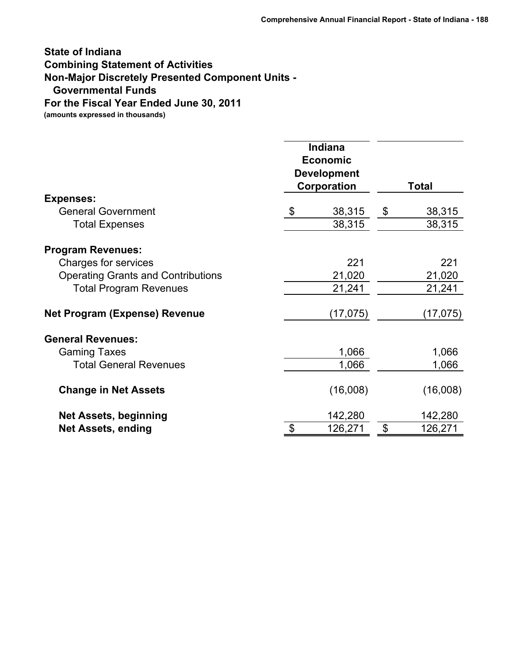### **State of Indiana Combining Statement of Activities Non-Major Discretely Presented Component Units - Governmental Funds For the Fiscal Year Ended June 30, 2011 (amounts expressed in thousands)**

|                                           | <b>Indiana</b><br><b>Economic</b><br><b>Development</b><br>Corporation | <b>Total</b>  |
|-------------------------------------------|------------------------------------------------------------------------|---------------|
| <b>Expenses:</b>                          |                                                                        |               |
| <b>General Government</b>                 | \$<br>38,315                                                           | \$<br>38,315  |
| <b>Total Expenses</b>                     | 38,315                                                                 | 38,315        |
| <b>Program Revenues:</b>                  |                                                                        |               |
| Charges for services                      | 221                                                                    | 221           |
| <b>Operating Grants and Contributions</b> | 21,020                                                                 | 21,020        |
| <b>Total Program Revenues</b>             | 21,241                                                                 | 21,241        |
| Net Program (Expense) Revenue             | (17, 075)                                                              | (17, 075)     |
| <b>General Revenues:</b>                  |                                                                        |               |
| <b>Gaming Taxes</b>                       | 1,066                                                                  | 1,066         |
| <b>Total General Revenues</b>             | 1,066                                                                  | 1,066         |
| <b>Change in Net Assets</b>               | (16,008)                                                               | (16,008)      |
| <b>Net Assets, beginning</b>              | 142,280                                                                | 142,280       |
| <b>Net Assets, ending</b>                 | \$<br>126,271                                                          | \$<br>126,271 |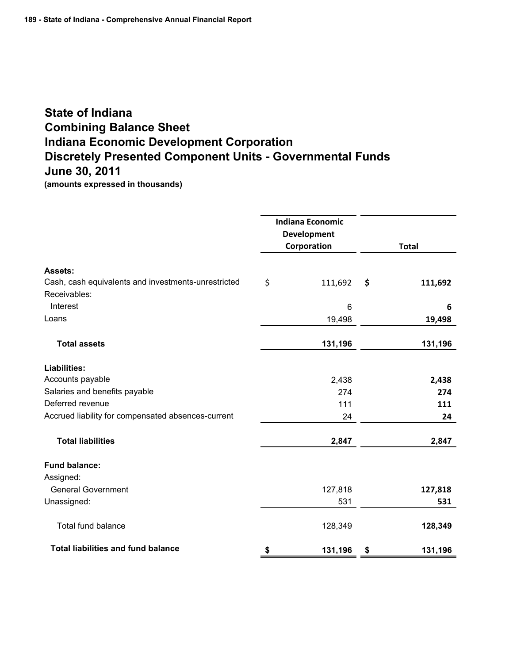## **State of Indiana Combining Balance Sheet Indiana Economic Development Corporation Discretely Presented Component Units - Governmental Funds June 30, 2011**

|                                                     | <b>Indiana Economic</b><br><b>Development</b><br>Corporation | <b>Total</b>  |
|-----------------------------------------------------|--------------------------------------------------------------|---------------|
|                                                     |                                                              |               |
| Assets:                                             |                                                              |               |
| Cash, cash equivalents and investments-unrestricted | \$<br>111,692                                                | \$<br>111,692 |
| Receivables:                                        |                                                              |               |
| Interest                                            | 6                                                            | 6             |
| Loans                                               | 19,498                                                       | 19,498        |
| <b>Total assets</b>                                 | 131,196                                                      | 131,196       |
| <b>Liabilities:</b>                                 |                                                              |               |
| Accounts payable                                    | 2,438                                                        | 2,438         |
| Salaries and benefits payable                       | 274                                                          | 274           |
| Deferred revenue                                    | 111                                                          | 111           |
| Accrued liability for compensated absences-current  | 24                                                           | 24            |
| <b>Total liabilities</b>                            | 2,847                                                        | 2,847         |
| <b>Fund balance:</b>                                |                                                              |               |
| Assigned:                                           |                                                              |               |
| <b>General Government</b>                           | 127,818                                                      | 127,818       |
| Unassigned:                                         | 531                                                          | 531           |
| Total fund balance                                  | 128,349                                                      | 128,349       |
| <b>Total liabilities and fund balance</b>           | \$<br>131,196                                                | \$<br>131,196 |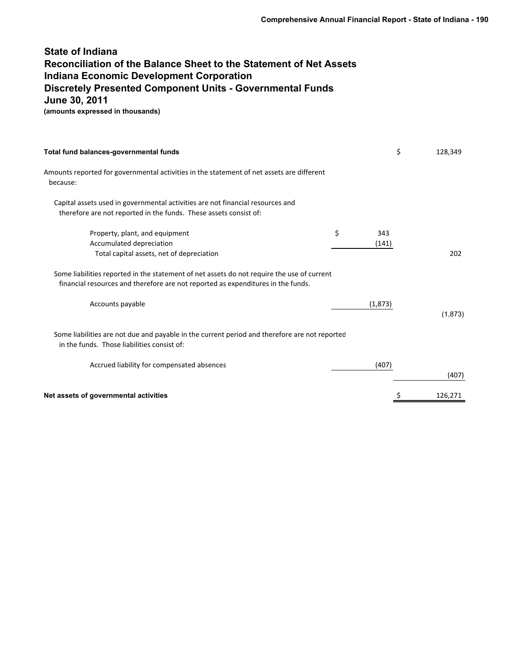### **State of Indiana Reconciliation of the Balance Sheet to the Statement of Net Assets Indiana Economic Development Corporation Discretely Presented Component Units - Governmental Funds June 30, 2011**

| Amounts reported for governmental activities in the statement of net assets are different<br>because:<br>Capital assets used in governmental activities are not financial resources and<br>therefore are not reported in the funds. These assets consist of:<br>\$<br>Property, plant, and equipment<br>343<br>Accumulated depreciation<br>(141)<br>Total capital assets, net of depreciation<br>202<br>Some liabilities reported in the statement of net assets do not require the use of current<br>financial resources and therefore are not reported as expenditures in the funds. | Total fund balances-governmental funds | \$<br>128,349 |
|----------------------------------------------------------------------------------------------------------------------------------------------------------------------------------------------------------------------------------------------------------------------------------------------------------------------------------------------------------------------------------------------------------------------------------------------------------------------------------------------------------------------------------------------------------------------------------------|----------------------------------------|---------------|
|                                                                                                                                                                                                                                                                                                                                                                                                                                                                                                                                                                                        |                                        |               |
|                                                                                                                                                                                                                                                                                                                                                                                                                                                                                                                                                                                        |                                        |               |
|                                                                                                                                                                                                                                                                                                                                                                                                                                                                                                                                                                                        |                                        |               |
|                                                                                                                                                                                                                                                                                                                                                                                                                                                                                                                                                                                        |                                        |               |
|                                                                                                                                                                                                                                                                                                                                                                                                                                                                                                                                                                                        |                                        |               |
|                                                                                                                                                                                                                                                                                                                                                                                                                                                                                                                                                                                        |                                        |               |
| Accounts payable<br>(1,873)                                                                                                                                                                                                                                                                                                                                                                                                                                                                                                                                                            |                                        |               |
|                                                                                                                                                                                                                                                                                                                                                                                                                                                                                                                                                                                        |                                        | (1,873)       |
| Some liabilities are not due and payable in the current period and therefore are not reported<br>in the funds. Those liabilities consist of:                                                                                                                                                                                                                                                                                                                                                                                                                                           |                                        |               |
| Accrued liability for compensated absences<br>(407)                                                                                                                                                                                                                                                                                                                                                                                                                                                                                                                                    |                                        |               |
|                                                                                                                                                                                                                                                                                                                                                                                                                                                                                                                                                                                        |                                        | (407)         |
| Net assets of governmental activities                                                                                                                                                                                                                                                                                                                                                                                                                                                                                                                                                  |                                        | 126,271       |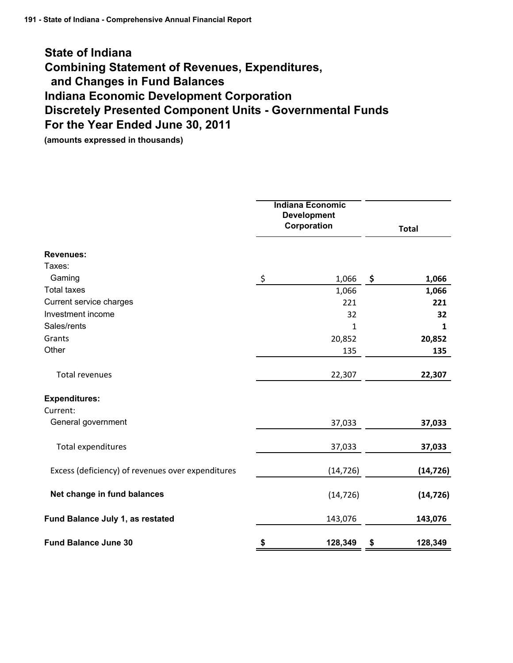**State of Indiana Combining Statement of Revenues, Expenditures, and Changes in Fund Balances Indiana Economic Development Corporation Discretely Presented Component Units - Governmental Funds For the Year Ended June 30, 2011**

|                                                   | <b>Indiana Economic</b><br><b>Development</b><br>Corporation | <b>Total</b>  |
|---------------------------------------------------|--------------------------------------------------------------|---------------|
| <b>Revenues:</b>                                  |                                                              |               |
| Taxes:                                            |                                                              |               |
| Gaming                                            | \$<br>1,066                                                  | \$<br>1,066   |
| <b>Total taxes</b>                                | 1,066                                                        | 1,066         |
| Current service charges                           | 221                                                          | 221           |
| Investment income                                 | 32                                                           | 32            |
| Sales/rents                                       | $\mathbf{1}$                                                 | 1             |
| Grants                                            | 20,852                                                       | 20,852        |
| Other                                             | 135                                                          | 135           |
| <b>Total revenues</b>                             | 22,307                                                       | 22,307        |
| <b>Expenditures:</b>                              |                                                              |               |
| Current:                                          |                                                              |               |
| General government                                | 37,033                                                       | 37,033        |
| Total expenditures                                | 37,033                                                       | 37,033        |
| Excess (deficiency) of revenues over expenditures | (14, 726)                                                    | (14, 726)     |
| Net change in fund balances                       | (14, 726)                                                    | (14, 726)     |
| Fund Balance July 1, as restated                  | 143,076                                                      | 143,076       |
| <b>Fund Balance June 30</b>                       | \$<br>128,349                                                | \$<br>128,349 |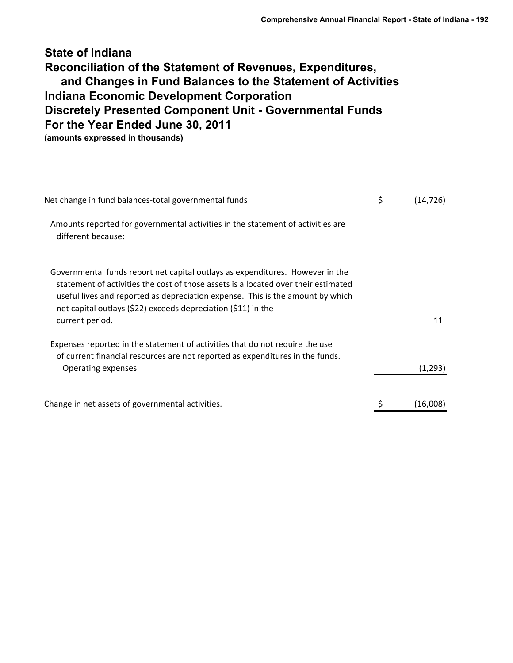**State of Indiana Reconciliation of the Statement of Revenues, Expenditures, and Changes in Fund Balances to the Statement of Activities Indiana Economic Development Corporation Discretely Presented Component Unit - Governmental Funds For the Year Ended June 30, 2011 (amounts expressed in thousands)**

| Net change in fund balances-total governmental funds                                                                                                                                                                                                                                                                   | \$<br>(14,726) |
|------------------------------------------------------------------------------------------------------------------------------------------------------------------------------------------------------------------------------------------------------------------------------------------------------------------------|----------------|
| Amounts reported for governmental activities in the statement of activities are<br>different because:                                                                                                                                                                                                                  |                |
| Governmental funds report net capital outlays as expenditures. However in the<br>statement of activities the cost of those assets is allocated over their estimated<br>useful lives and reported as depreciation expense. This is the amount by which<br>net capital outlays (\$22) exceeds depreciation (\$11) in the |                |
| current period.                                                                                                                                                                                                                                                                                                        | 11             |
| Expenses reported in the statement of activities that do not require the use<br>of current financial resources are not reported as expenditures in the funds.                                                                                                                                                          |                |
| Operating expenses                                                                                                                                                                                                                                                                                                     | (1, 293)       |
|                                                                                                                                                                                                                                                                                                                        |                |
| Change in net assets of governmental activities.                                                                                                                                                                                                                                                                       | (16,008)       |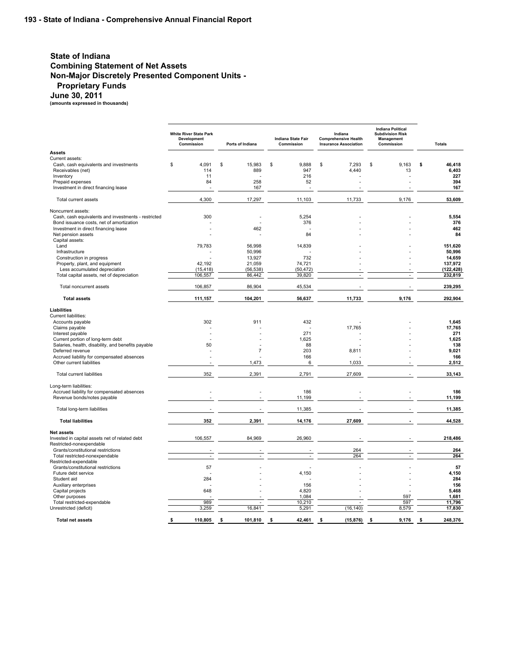#### **State of Indiana Combining Statement of Net Assets Non-Major Discretely Presented Component Units - Proprietary Funds June 30, 2011 (amounts expressed in thousands)**

|                                                     | <b>White River State Park</b><br><b>Development</b><br>Commission |    | Ports of Indiana |   | <b>Indiana State Fair</b><br>Commission | Indiana<br><b>Comprehensive Health</b><br><b>Insurance Association</b> | <b>Indiana Political</b><br><b>Subdivision Risk</b><br>Management<br>Commission |   | <b>Totals</b> |
|-----------------------------------------------------|-------------------------------------------------------------------|----|------------------|---|-----------------------------------------|------------------------------------------------------------------------|---------------------------------------------------------------------------------|---|---------------|
| <b>Assets</b>                                       |                                                                   |    |                  |   |                                         |                                                                        |                                                                                 |   |               |
| Current assets:                                     |                                                                   |    |                  |   |                                         |                                                                        |                                                                                 |   |               |
| Cash, cash equivalents and investments              | \$<br>4,091                                                       | \$ | 15,983           | S | 9,888                                   | \$<br>7,293                                                            | 9,163<br>\$                                                                     | s | 46,418        |
| Receivables (net)                                   | 114                                                               |    | 889              |   | 947                                     | 4,440                                                                  | 13                                                                              |   | 6,403         |
| Inventory                                           | 11                                                                |    |                  |   | 216                                     |                                                                        |                                                                                 |   | 227           |
| Prepaid expenses                                    | 84                                                                |    | 258              |   | 52                                      |                                                                        |                                                                                 |   | 394           |
| Investment in direct financing lease                |                                                                   |    | 167              |   | $\sim$                                  |                                                                        |                                                                                 |   | 167           |
|                                                     |                                                                   |    |                  |   |                                         |                                                                        |                                                                                 |   |               |
| Total current assets                                | 4,300                                                             |    | 17,297           |   | 11,103                                  | 11,733                                                                 | 9,176                                                                           |   | 53,609        |
| Noncurrent assets:                                  |                                                                   |    |                  |   |                                         |                                                                        |                                                                                 |   |               |
| Cash, cash equivalents and investments - restricted | 300                                                               |    |                  |   | 5,254                                   |                                                                        |                                                                                 |   | 5,554         |
| Bond issuance costs, net of amortization            |                                                                   |    |                  |   | 376                                     |                                                                        |                                                                                 |   | 376           |
| Investment in direct financing lease                |                                                                   |    | 462              |   |                                         |                                                                        |                                                                                 |   | 462           |
|                                                     |                                                                   |    |                  |   | 84                                      |                                                                        |                                                                                 |   | 84            |
| Net pension assets                                  |                                                                   |    |                  |   |                                         |                                                                        |                                                                                 |   |               |
| Capital assets:                                     |                                                                   |    |                  |   |                                         |                                                                        |                                                                                 |   |               |
| Land                                                | 79,783                                                            |    | 56,998           |   | 14,839                                  |                                                                        |                                                                                 |   | 151,620       |
| Infrastructure                                      |                                                                   |    | 50,996           |   |                                         |                                                                        |                                                                                 |   | 50,996        |
| Construction in progress                            |                                                                   |    | 13,927           |   | 732                                     |                                                                        |                                                                                 |   | 14,659        |
| Property, plant, and equipment                      | 42,192                                                            |    | 21,059           |   | 74,721                                  |                                                                        |                                                                                 |   | 137,972       |
| Less accumulated depreciation                       | (15, 418)                                                         |    | (56, 538)        |   | (50, 472)                               |                                                                        |                                                                                 |   | (122, 428)    |
| Total capital assets, net of depreciation           | 106,557                                                           |    | 86,442           |   | 39,820                                  |                                                                        |                                                                                 |   | 232,819       |
|                                                     |                                                                   |    |                  |   |                                         |                                                                        |                                                                                 |   |               |
| Total noncurrent assets                             | 106,857                                                           |    | 86,904           |   | 45,534                                  |                                                                        |                                                                                 |   | 239,295       |
| <b>Total assets</b>                                 | 111,157                                                           |    | 104,201          |   | 56,637                                  | 11,733                                                                 | 9.176                                                                           |   | 292,904       |
| Liabilities                                         |                                                                   |    |                  |   |                                         |                                                                        |                                                                                 |   |               |
| Current liabilities:                                |                                                                   |    |                  |   |                                         |                                                                        |                                                                                 |   |               |
| Accounts payable                                    | 302                                                               |    | 911              |   | 432                                     |                                                                        |                                                                                 |   | 1,645         |
| Claims payable                                      |                                                                   |    |                  |   |                                         | 17,765                                                                 |                                                                                 |   | 17,765        |
| Interest payable                                    |                                                                   |    |                  |   | 271                                     |                                                                        |                                                                                 |   | 271           |
| Current portion of long-term debt                   |                                                                   |    |                  |   | 1,625                                   |                                                                        |                                                                                 |   | 1,625         |
|                                                     |                                                                   |    |                  |   |                                         |                                                                        |                                                                                 |   |               |
| Salaries, health, disability, and benefits payable  | 50                                                                |    |                  |   | 88                                      |                                                                        |                                                                                 |   | 138           |
| Deferred revenue                                    |                                                                   |    | $\overline{7}$   |   | 203                                     | 8,811                                                                  |                                                                                 |   | 9,021         |
| Accrued liability for compensated absences          |                                                                   |    |                  |   | 166                                     |                                                                        |                                                                                 |   | 166           |
| Other current liabilities                           |                                                                   |    | 1,473            |   | 6                                       | 1,033                                                                  |                                                                                 |   | 2,512         |
| Total current liabilities                           | 352                                                               |    | 2,391            |   | 2,791                                   | 27,609                                                                 |                                                                                 |   | 33,143        |
| Long-term liabilities:                              |                                                                   |    |                  |   |                                         |                                                                        |                                                                                 |   |               |
| Accrued liability for compensated absences          |                                                                   |    |                  |   | 186                                     |                                                                        |                                                                                 |   | 186           |
| Revenue bonds/notes payable                         |                                                                   |    |                  |   | 11,199                                  |                                                                        |                                                                                 |   | 11,199        |
|                                                     |                                                                   |    |                  |   |                                         |                                                                        |                                                                                 |   |               |
| Total long-term liabilities                         |                                                                   |    | ٠                |   | 11,385                                  |                                                                        |                                                                                 |   | 11,385        |
| <b>Total liabilities</b>                            | 352                                                               |    | 2,391            |   | 14,176                                  | 27,609                                                                 |                                                                                 |   | 44,528        |
| <b>Net assets</b>                                   |                                                                   |    |                  |   |                                         |                                                                        |                                                                                 |   |               |
| Invested in capital assets net of related debt      | 106,557                                                           |    | 84,969           |   | 26,960                                  |                                                                        |                                                                                 |   | 218,486       |
|                                                     |                                                                   |    |                  |   |                                         |                                                                        |                                                                                 |   |               |
| Restricted-nonexpendable                            |                                                                   |    |                  |   |                                         |                                                                        |                                                                                 |   |               |
| Grants/constitutional restrictions                  |                                                                   |    |                  |   |                                         | 264                                                                    |                                                                                 |   | 264           |
| Total restricted-nonexpendable                      |                                                                   |    |                  |   |                                         | 264                                                                    |                                                                                 |   | 264           |
| Restricted-expendable                               |                                                                   |    |                  |   |                                         |                                                                        |                                                                                 |   |               |
| Grants/constitutional restrictions                  | 57                                                                |    |                  |   |                                         |                                                                        |                                                                                 |   | 57            |
| Future debt service                                 |                                                                   |    |                  |   | 4,150                                   |                                                                        |                                                                                 |   | 4,150         |
| Student aid                                         | 284                                                               |    |                  |   |                                         |                                                                        |                                                                                 |   | 284           |
| Auxiliary enterprises                               |                                                                   |    |                  |   | 156                                     |                                                                        |                                                                                 |   | 156           |
| Capital projects                                    | 648                                                               |    |                  |   | 4,820                                   |                                                                        |                                                                                 |   | 5,468         |
| Other purposes                                      |                                                                   |    |                  |   | 1,084                                   |                                                                        | 597                                                                             |   | 1,681         |
| Total restricted-expendable                         | 989                                                               |    |                  |   | 10,210                                  |                                                                        | 597                                                                             |   | 11,796        |
| Unrestricted (deficit)                              | 3.259                                                             |    | 16,841           |   | 5,291                                   | (16, 140)                                                              | 8,579                                                                           |   | 17,830        |
|                                                     |                                                                   |    |                  |   |                                         |                                                                        |                                                                                 |   |               |
| <b>Total net assets</b>                             | \$<br>110,805                                                     | Ŝ  | 101,810          |   | 42,461                                  | (15, 876)                                                              | \$<br>9,176                                                                     | s | 248,376       |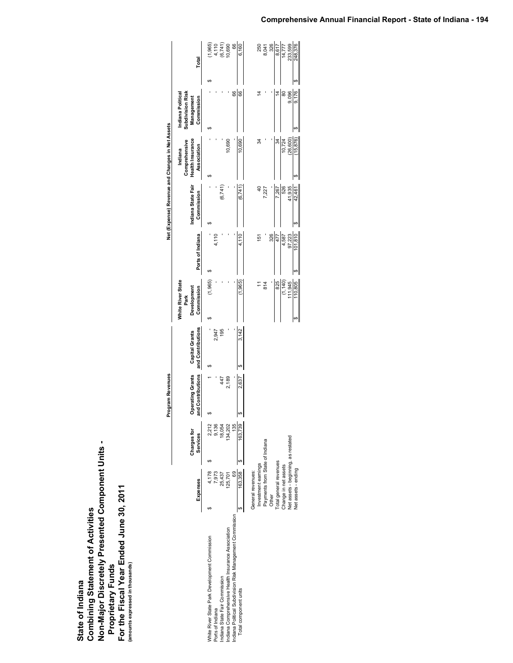State of Indiana<br>Combining Statement of Activities<br>Non-Major Discretely Presented Component Units -<br>Proprietary Funds<br>For the Fiscal Year Ended June 30, 2011 **Non-Major Discretely Presented Component Units - For the Fiscal Year Ended June 30, 2011 Combining Statement of Activities (amounts expressed in thousands) Proprietary Funds State of Indiana**

|                                                          |                                     |             | Program Revenues        |                       |                                          |   |                  |                    |   | Net (Expense) Revenue and Changes in Net Assets |   |                                                            |   |                                                      |
|----------------------------------------------------------|-------------------------------------|-------------|-------------------------|-----------------------|------------------------------------------|---|------------------|--------------------|---|-------------------------------------------------|---|------------------------------------------------------------|---|------------------------------------------------------|
|                                                          |                                     | Charges for | <b>Operating Grants</b> | <b>Capital Grants</b> | White River State<br>Development<br>Park |   |                  | Indiana State Fair |   | Health Insurance<br>Comprehensive<br>Indiana    |   | <b>Subdivision Risk</b><br>Indiana Political<br>Management |   |                                                      |
|                                                          | Expenses                            | Services    | and Contributions       | and Contributions     | Commission                               |   | Ports of Indiana | Commission         |   | Association                                     |   | Commission                                                 |   | Total                                                |
| White River State Park Development Commission            | 4,178                               | 2,212       |                         |                       | (1,965)                                  |   |                  |                    |   |                                                 |   |                                                            |   |                                                      |
| Ports of Indiana                                         | 7,973                               | 9,136       |                         | 2,947                 |                                          |   | 4,110            |                    |   |                                                 |   |                                                            |   |                                                      |
| Indiana State Fair Commission                            | 25,437                              | 18,054      | 447                     | 195                   |                                          |   |                  | (6,741)            |   |                                                 |   |                                                            |   | $(1, 965)$<br>$(4, 110)$<br>$(6, 741)$<br>$(0, 690)$ |
| ndiana Comprehensive Health Insurance Association        | 125,701                             | 134,202     | 2,189                   |                       |                                          |   |                  |                    |   | 10,690                                          |   |                                                            |   |                                                      |
| Indiana Political Subdivision Risk Management Commission | ෂි                                  | 135         |                         |                       |                                          |   |                  |                    |   |                                                 |   | 8                                                          |   | 66                                                   |
| Total component units                                    | 163,358                             | 163,739     | 2,637                   | 3,142                 | (1,965)                                  |   | 4,110            | (6,741)            |   | 10,690                                          |   | 88                                                         |   | 6,160                                                |
|                                                          | General revenues:                   |             |                         |                       |                                          |   |                  |                    |   |                                                 |   |                                                            |   |                                                      |
|                                                          | Investment earnings                 |             |                         |                       |                                          |   | 151              |                    |   | 34                                              |   |                                                            |   | 250                                                  |
|                                                          | Payments from State of Indiana      |             |                         |                       | 814                                      |   |                  | 7,227              |   |                                                 |   |                                                            |   | 8,041                                                |
|                                                          | Other                               |             |                         |                       |                                          |   | 326              |                    |   |                                                 |   |                                                            |   | 326                                                  |
|                                                          | Total general revenues              |             |                         |                       | 825                                      |   | 477              | 7,267              |   | z                                               |   |                                                            |   | 8,617                                                |
|                                                          | Change in net assets                |             |                         |                       | (1, 140)                                 |   | 4,587            | 526                |   | 10,724                                          |   | 80                                                         |   | 14,777                                               |
|                                                          | Net assets - beginning, as restated |             |                         |                       | 11,945                                   |   | 97,223           | 41,935             |   | (26, 600)                                       |   | 9,096                                                      |   | 233,599                                              |
|                                                          | Net assets - ending                 |             |                         |                       | 110,805                                  | ↮ | 101,810          | 42,461<br>Ø        | Θ | (15, 876)                                       | Ø | 9,176                                                      | Θ | 248,376                                              |

#### **Comprehensive Annual Financial Report - State of Indiana - 194**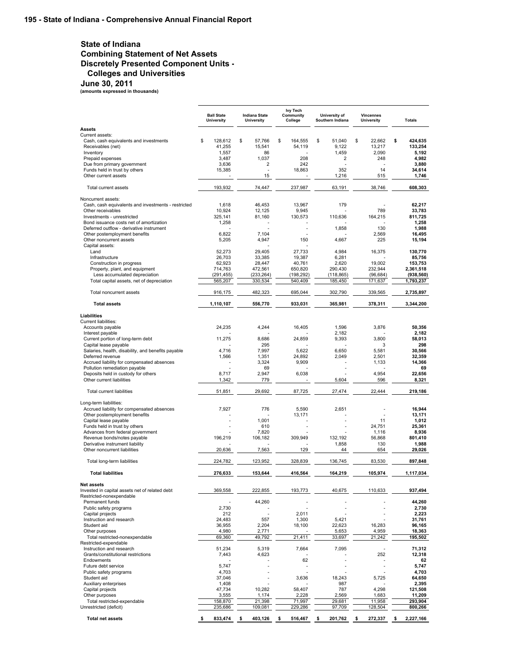#### **State of Indiana Combining Statement of Net Assets Discretely Presented Component Units - Colleges and Universities June 30, 2011**

|                                                                             | <b>Ball State</b><br><b>University</b> | <b>Indiana State</b><br><b>University</b> |     | lvy Tech<br>Community<br>College | University of<br>Southern Indiana | <b>Vincennes</b><br><b>University</b> | <b>Totals</b>           |
|-----------------------------------------------------------------------------|----------------------------------------|-------------------------------------------|-----|----------------------------------|-----------------------------------|---------------------------------------|-------------------------|
| <b>Assets</b>                                                               |                                        |                                           |     |                                  |                                   |                                       |                         |
| Current assets:<br>Cash, cash equivalents and investments                   | \$<br>128,612                          | \$<br>57,766                              | \$  | 164,555                          | \$<br>51,040                      | \$<br>22,662                          | \$<br>424,635           |
| Receivables (net)                                                           | 41,255                                 | 15,541                                    |     | 54,119                           | 9,122                             | 13,217                                | 133,254                 |
| Inventory                                                                   | 1,557                                  |                                           | 86  |                                  | 1,459                             | 2,090                                 | 5,192                   |
| Prepaid expenses<br>Due from primary government                             | 3,487<br>3,636                         | 1,037                                     | 2   | 208<br>242                       | 2                                 | 248                                   | 4,982<br>3,880          |
| Funds held in trust by others                                               | 15,385                                 |                                           | ٠   | 18,863                           | 352                               | 14                                    | 34,614                  |
| Other current assets                                                        |                                        |                                           | 15  |                                  | 1,216                             | 515                                   | 1,746                   |
| Total current assets                                                        | 193,932                                | 74,447                                    |     | 237,987                          | 63,191                            | 38,746                                | 608,303                 |
| Noncurrent assets:                                                          |                                        |                                           |     |                                  |                                   |                                       |                         |
| Cash, cash equivalents and investments - restricted                         | 1,618                                  | 46,453                                    |     | 13,967                           | 179                               |                                       | 62,217                  |
| Other receivables                                                           | 10,924                                 | 12,125                                    |     | 9,945                            |                                   | 789                                   | 33,783                  |
| Investments - unrestricted<br>Bond issuance costs net of amortization       | 325,141<br>1,258                       | 81,160                                    |     | 130,573                          | 110,636                           | 164,215                               | 811,725<br>1,258        |
| Deferred outflow - derivative instrument                                    |                                        |                                           |     | ä,                               | 1,858                             | 130                                   | 1,988                   |
| Other postemployment benefits                                               | 6,822                                  | 7,104                                     |     |                                  |                                   | 2,569                                 | 16,495                  |
| Other noncurrent assets<br>Capital assets:                                  | 5,205                                  | 4,947                                     |     | 150                              | 4,667                             | 225                                   | 15,194                  |
| Land                                                                        | 52,273                                 | 29,405                                    |     | 27,733                           | 4,984                             | 16,375                                | 130,770                 |
| Infrastructure                                                              | 26.703                                 | 33.385                                    |     | 19.387                           | 6,281                             |                                       | 85,756                  |
| Construction in progress                                                    | 62,923                                 | 28,447                                    |     | 40,761                           | 2,620                             | 19,002                                | 153,753                 |
| Property, plant, and equipment<br>Less accumulated depreciation             | 714,763<br>(291, 455)                  | 472,561<br>(233, 264)                     |     | 650,820<br>(198, 292)            | 290,430<br>(118, 865)             | 232,944<br>(96, 684)                  | 2,361,518<br>(938, 560) |
| Total capital assets, net of depreciation                                   | 565,207                                | 330.534                                   |     | 540,409                          | 185,450                           | 171,637                               | 1,793,237               |
| Total noncurrent assets                                                     | 916,175                                | 482,323                                   |     | 695,044                          | 302,790                           | 339.565                               | 2,735,897               |
| <b>Total assets</b>                                                         | 1,110,107                              | 556,770                                   |     | 933,031                          | 365,981                           | 378,311                               | 3.344.200               |
| Liabilities                                                                 |                                        |                                           |     |                                  |                                   |                                       |                         |
| Current liabilities:                                                        |                                        |                                           |     |                                  |                                   |                                       |                         |
| Accounts payable                                                            | 24,235                                 | 4,244                                     |     | 16,405                           | 1,596                             | 3,876                                 | 50,356                  |
| Interest payable                                                            | 11.275                                 |                                           |     |                                  | 2,182                             |                                       | 2,182                   |
| Current portion of long-term debt<br>Capital lease payable                  |                                        | 8,686                                     | 295 | 24.859                           | 9,393                             | 3,800<br>3                            | 58,013<br>298           |
| Salaries, health, disability, and benefits payable                          | 4,716                                  | 7,997                                     |     | 5,622                            | 6,650                             | 5,581                                 | 30,566                  |
| Deferred revenue                                                            | 1,566                                  | 1,351                                     |     | 24,892                           | 2,049                             | 2,501                                 | 32,359                  |
| Accrued liability for compensated absences<br>Pollution remediation payable |                                        | 3,324                                     | 69  | 9,909                            |                                   | 1,133                                 | 14,366<br>69            |
| Deposits held in custody for others                                         | 8,717                                  | 2,947                                     |     | 6,038                            |                                   | 4,954                                 | 22,656                  |
| Other current liabilities                                                   | 1,342                                  |                                           | 779 |                                  | 5,604                             | 596                                   | 8,321                   |
| Total current liabilities                                                   | 51,851                                 | 29,692                                    |     | 87,725                           | 27,474                            | 22,444                                | 219,186                 |
| Long-term liabilities:                                                      |                                        |                                           |     |                                  |                                   |                                       |                         |
| Accrued liability for compensated absences                                  | 7,927                                  |                                           | 776 | 5,590                            | 2,651                             |                                       | 16,944                  |
| Other postemployment benefits<br>Capital lease payable                      |                                        | 1,001                                     |     | 13,171                           |                                   | ÷.<br>11                              | 13,171<br>1,012         |
| Funds held in trust by others                                               |                                        |                                           | 610 |                                  |                                   | 24,751                                | 25,361                  |
| Advances from federal government                                            |                                        | 7,820                                     |     |                                  |                                   | 1,116                                 | 8,936                   |
| Revenue bonds/notes payable                                                 | 196.219                                | 106,182                                   |     | 309,949                          | 132,192                           | 56,868                                | 801.410                 |
| Derivative instrument liability<br>Other noncurrent liabilities             | 20,636                                 | 7,563                                     |     | 129                              | 1,858<br>44                       | 130<br>654                            | 1,988<br>29,026         |
| Total long-term liabilities                                                 | 224,782                                | 123,952                                   |     | 328,839                          | 136,745                           | 83,530                                | 897,848                 |
| <b>Total liabilities</b>                                                    | 276,633                                | 153,644                                   |     | 416.564                          | 164,219                           | 105,974                               | 1.117.034               |
|                                                                             |                                        |                                           |     |                                  |                                   |                                       |                         |
| <b>Net assets</b>                                                           |                                        | 222,855                                   |     |                                  |                                   |                                       |                         |
| Invested in capital assets net of related debt<br>Restricted-nonexpendable  | 369,558                                |                                           |     | 193,773                          | 40,675                            | 110,633                               | 937,494                 |
| Permanent funds                                                             |                                        | 44,260                                    |     |                                  |                                   |                                       | 44,260                  |
| Public safety programs                                                      | 2,730                                  |                                           |     |                                  | ä,                                |                                       | 2,730                   |
| Capital projects<br>Instruction and research                                | 212<br>24,483                          |                                           | 557 | 2,011<br>1,300                   | 5,421                             |                                       | 2,223<br>31,761         |
| Student aid                                                                 | 36,955                                 | 2,204                                     |     | 18,100                           | 22,623                            | 16,283                                | 96,165                  |
| Other purposes                                                              | 4,980                                  | 2,771                                     |     |                                  | 5,653                             | 4,959                                 | 18,363                  |
| Total restricted-nonexpendable                                              | 69,360                                 | 49,792                                    |     | 21,411                           | 33,697                            | 21,242                                | 195,502                 |
| Restricted-expendable<br>Instruction and research                           | 51,234                                 | 5,319                                     |     | 7,664                            | 7,095                             |                                       | 71,312                  |
| Grants/constitutional restrictions                                          | 7,443                                  | 4,623                                     |     |                                  |                                   | 252                                   | 12,318                  |
| Endowments                                                                  |                                        |                                           |     | 62                               |                                   |                                       | 62                      |
| Future debt service                                                         | 5,747                                  |                                           |     | ÷.                               |                                   |                                       | 5,747                   |
| Public safety programs<br>Student aid                                       | 4,703<br>37,046                        |                                           |     | 3,636                            | 18,243                            | 5,725                                 | 4,703<br>64,650         |
| Auxiliary enterprises                                                       | 1,408                                  |                                           |     |                                  | 987                               |                                       | 2,395                   |
| Capital projects                                                            | 47,734                                 | 10,282                                    |     | 58,407                           | 787                               | 4,298                                 | 121,508                 |
| Other purposes<br>Total restricted-expendable                               | 3,555<br>158,870                       | 1,174<br>21,398                           |     | 2,228<br>71,997                  | 2,569<br>29,681                   | 1,683<br>11,958                       | 11,209<br>293,904       |
| Unrestricted (deficit)                                                      | 235,686                                | 109,081                                   |     | 229,286                          | 97,709                            | 128,504                               | 800,266                 |
| <b>Total net assets</b>                                                     | \$<br>833,474                          | \$<br>403,126                             | \$  | 516,467                          | \$<br>201,762                     | \$<br>272,337                         | \$<br>2,227,166         |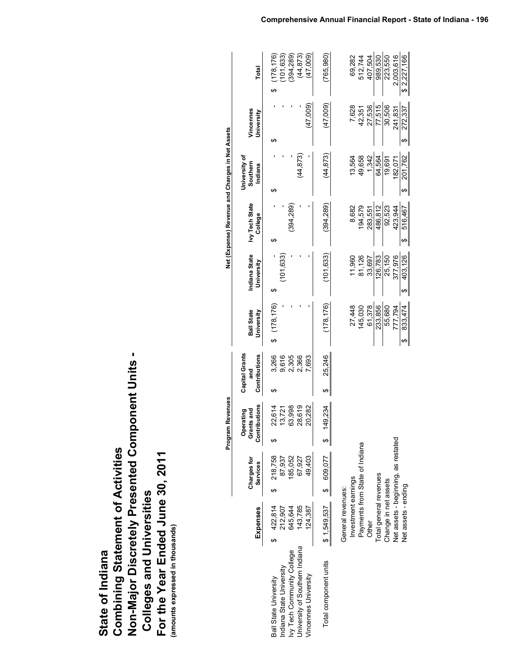Non-Major Discretely Presented Component Units -**Non-Major Discretely Presented Component Units - Combining Statement of Activities Combining Statement of Activities** For the Year Ended June 30, 2011 **For the Year Ended June 30, 2011** Colleges and Universities **Colleges and Universities** (amounts expressed in thousands) **(amounts expressed in thousands)** State of Indiana **State of Indiana**

|                                                                                                                                         |                                                           |                                                  |          | Program Revenues                                              |    |                                             |                                 |                             | Net (Expense) Revenue and Changes in Net Assets |                                      |                         |                                                                    |
|-----------------------------------------------------------------------------------------------------------------------------------------|-----------------------------------------------------------|--------------------------------------------------|----------|---------------------------------------------------------------|----|---------------------------------------------|---------------------------------|-----------------------------|-------------------------------------------------|--------------------------------------|-------------------------|--------------------------------------------------------------------|
|                                                                                                                                         | Expenses                                                  | Charges for<br>Services                          | Contribu | <b>Itions</b><br>Grants and<br>Operating                      |    | Capital Grants<br>Contributions<br>and<br>a | <b>Ball State</b><br>University | Indiana State<br>University | Ivy Tech State<br>College                       | University of<br>Southern<br>Indiana | Vincennes<br>University | Total                                                              |
| Jniversity of Southern Indiana<br>vy Tech Community College<br>ndiana State University<br>Vincennes University<br>Ball State University | 422,814<br>212,907<br>143,785<br>645,644<br>124,387<br>မာ | 218,758<br>185,052<br>49,403<br>87,937<br>67,927 |          | 998<br>619<br>614<br>282<br>721<br>ನ್ನ ಪ್ರ<br>යි<br>28,<br>20 | ťΑ | , 266<br>2,305<br>2,366<br>1,616<br>,693    | (178, 176)<br>ക                 | 101,633)<br>↔               | (394, 289)<br>မာ                                | (44, 873)<br>ക                       | (47,009)<br>ക           | (178, 176)<br>(394, 289)<br>(44, 873)<br>(47,009)<br>101,633<br>မာ |
| Total component units                                                                                                                   | \$1,549,537                                               | \$609,077                                        | ↔        | 234<br>149,                                                   | ↮  | 25,246                                      | (178, 176)                      | (101, 633)                  | (394, 289)                                      | (44.873)                             | (47,009)                | (765, 980)                                                         |
|                                                                                                                                         | Investment earnings<br>General revenues:                  |                                                  |          |                                                               |    |                                             | 27,448                          | 11,960                      | 8,682                                           | 13,564                               | 7,628                   | 69,282                                                             |
|                                                                                                                                         | <b>Other</b>                                              | Payments from State of Indiana                   |          |                                                               |    |                                             | 61,378<br>145,030               | 81,126<br>33,697            | 194,579<br>283,551                              | 1,342<br>49,658                      | 27,536<br>42,351        | 512,744<br>407,504                                                 |
|                                                                                                                                         | Total general revenues                                    |                                                  |          |                                                               |    |                                             | 233.856                         | 126.783                     | 486.812                                         | 64.564                               | 77,515                  | 989.530                                                            |
|                                                                                                                                         | Change in net assets                                      |                                                  |          |                                                               |    |                                             | 55,680                          | 25,150                      | 92.523                                          | 19,691                               | 30,506                  | 223,550                                                            |
|                                                                                                                                         | Net assets - ending                                       | Net assets - beginning, as restated              |          |                                                               |    |                                             | 777.794<br>833,474<br>↮         | 377.976<br>403,126<br>↮     | 423.944<br>516,467<br>↮                         | 201,762<br>182.071<br>↮              | 241.831<br>272,337<br>↮ | \$2,227,166<br>2.003.616                                           |